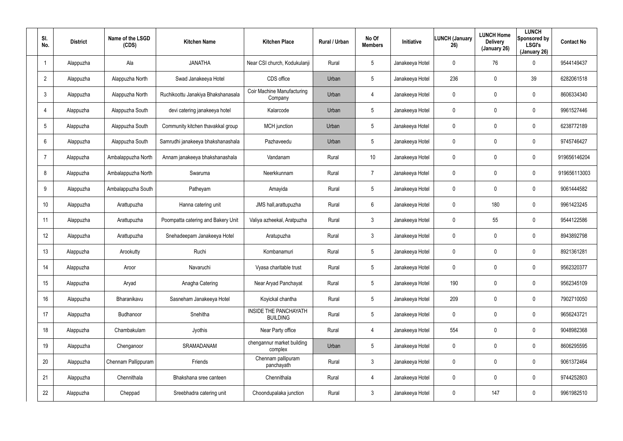| SI.<br>No.      | <b>District</b> | Name of the LSGD<br>(CDS) | <b>Kitchen Name</b>                | <b>Kitchen Place</b>                            | <b>Rural / Urban</b> | No Of<br><b>Members</b> | <b>Initiative</b> | <b>LUNCH (January</b><br>26) | <b>LUNCH Home</b><br><b>Delivery</b><br>(January 26) | <b>LUNCH</b><br>Sponsored by<br><b>LSGI's</b><br>(January 26) | <b>Contact No</b> |
|-----------------|-----------------|---------------------------|------------------------------------|-------------------------------------------------|----------------------|-------------------------|-------------------|------------------------------|------------------------------------------------------|---------------------------------------------------------------|-------------------|
|                 | Alappuzha       | Ala                       | <b>JANATHA</b>                     | Near CSI church, Kodukulanji                    | Rural                | $5\overline{)}$         | Janakeeya Hotel   | 0                            | 76                                                   | 0                                                             | 9544149437        |
| $\overline{2}$  | Alappuzha       | Alappuzha North           | Swad Janakeeya Hotel               | CDS office                                      | Urban                | $5\overline{)}$         | Janakeeya Hotel   | 236                          | 0                                                    | 39                                                            | 6282061518        |
| 3               | Alappuzha       | Alappuzha North           | Ruchikoottu Janakiya Bhakshanasala | <b>Coir Machine Manufacturing</b><br>Company    | Urban                | 4                       | Janakeeya Hotel   | 0                            | 0                                                    | 0                                                             | 8606334340        |
| $\overline{4}$  | Alappuzha       | Alappuzha South           | devi catering janakeeya hotel      | Kalarcode                                       | Urban                | 5                       | Janakeeya Hotel   | 0                            | 0                                                    | 0                                                             | 9961527446        |
| 5               | Alappuzha       | Alappuzha South           | Community kitchen thavakkal group  | <b>MCH</b> junction                             | Urban                | $5\overline{)}$         | Janakeeya Hotel   | 0                            | 0                                                    | 0                                                             | 6238772189        |
| 6               | Alappuzha       | Alappuzha South           | Samrudhi janakeeya bhakshanashala  | Pazhaveedu                                      | Urban                | 5                       | Janakeeya Hotel   | 0                            | 0                                                    | 0                                                             | 9745746427        |
| $\overline{7}$  | Alappuzha       | Ambalappuzha North        | Annam janakeeya bhakshanashala     | Vandanam                                        | Rural                | 10 <sup>°</sup>         | Janakeeya Hotel   | 0                            | $\mathbf 0$                                          | 0                                                             | 919656146204      |
| 8               | Alappuzha       | Ambalappuzha North        | Swaruma                            | Neerkkunnam                                     | Rural                | $\overline{7}$          | Janakeeya Hotel   | 0                            | $\boldsymbol{0}$                                     | 0                                                             | 919656113003      |
| 9               | Alappuzha       | Ambalappuzha South        | Patheyam                           | Amayida                                         | Rural                | $5\phantom{.0}$         | Janakeeya Hotel   | 0                            | 0                                                    | 0                                                             | 9061444582        |
| 10 <sup>°</sup> | Alappuzha       | Arattupuzha               | Hanna catering unit                | JMS hall, arattupuzha                           | Rural                | 6                       | Janakeeya Hotel   | 0                            | 180                                                  | 0                                                             | 9961423245        |
| 11              | Alappuzha       | Arattupuzha               | Poompatta catering and Bakery Unit | Valiya azheekal, Aratpuzha                      | Rural                | $\mathbf{3}$            | Janakeeya Hotel   | 0                            | 55                                                   | 0                                                             | 9544122586        |
| 12              | Alappuzha       | Arattupuzha               | Snehadeepam Janakeeya Hotel        | Aratupuzha                                      | Rural                | $\mathbf{3}$            | Janakeeya Hotel   | 0                            | 0                                                    | 0                                                             | 8943892798        |
| 13              | Alappuzha       | Arookutty                 | Ruchi                              | Kombanamuri                                     | Rural                | 5                       | Janakeeya Hotel   | 0                            | 0                                                    | 0                                                             | 8921361281        |
| 14              | Alappuzha       | Aroor                     | Navaruchi                          | Vyasa charitable trust                          | Rural                | 5                       | Janakeeya Hotel   | 0                            | 0                                                    | 0                                                             | 9562320377        |
| 15              | Alappuzha       | Aryad                     | Anagha Catering                    | Near Aryad Panchayat                            | Rural                | $5\phantom{.0}$         | Janakeeya Hotel   | 190                          | $\overline{0}$                                       | 0                                                             | 9562345109        |
| 16              | Alappuzha       | Bharanikavu               | Sasneham Janakeeya Hotel           | Koyickal chantha                                | Rural                | $5\phantom{.0}$         | Janakeeya Hotel   | 209                          | $\mathbf 0$                                          | 0                                                             | 7902710050        |
| 17              | Alappuzha       | Budhanoor                 | Snehitha                           | <b>INSIDE THE PANCHAYATH</b><br><b>BUILDING</b> | Rural                | $5\phantom{.0}$         | Janakeeya Hotel   | 0                            | $\overline{0}$                                       | 0                                                             | 9656243721        |
| 18              | Alappuzha       | Chambakulam               | Jyothis                            | Near Party office                               | Rural                | 4                       | Janakeeya Hotel   | 554                          | $\mathbf 0$                                          | 0                                                             | 9048982368        |
| 19              | Alappuzha       | Chenganoor                | SRAMADANAM                         | chengannur market building<br>complex           | Urban                | $5\phantom{.0}$         | Janakeeya Hotel   | 0                            | $\overline{0}$                                       | 0                                                             | 8606295595        |
| 20              | Alappuzha       | Chennam Pallippuram       | Friends                            | Chennam pallipuram<br>panchayath                | Rural                | $\mathbf{3}$            | Janakeeya Hotel   | $\mathbf 0$                  | $\mathbf 0$                                          | 0                                                             | 9061372464        |
| 21              | Alappuzha       | Chennithala               | Bhakshana sree canteen             | Chennithala                                     | Rural                | 4                       | Janakeeya Hotel   | 0                            | $\overline{0}$                                       | 0                                                             | 9744252803        |
| 22              | Alappuzha       | Cheppad                   | Sreebhadra catering unit           | Choondupalaka junction                          | Rural                | $\mathfrak{Z}$          | Janakeeya Hotel   | 0                            | 147                                                  | 0                                                             | 9961982510        |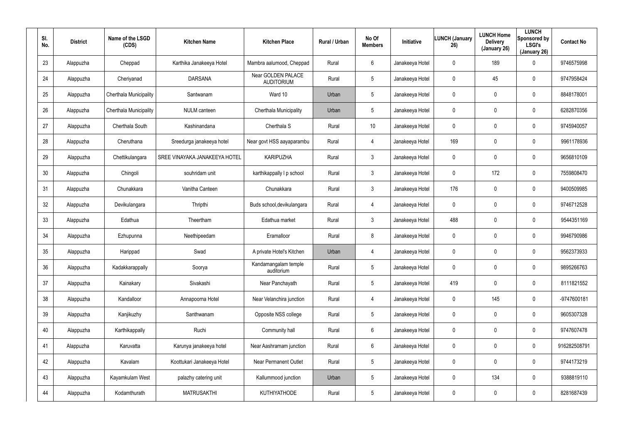| SI.<br>No. | <b>District</b> | Name of the LSGD<br>(CDS) | <b>Kitchen Name</b>           | <b>Kitchen Place</b>                    | Rural / Urban | No Of<br><b>Members</b> | Initiative      | <b>LUNCH (January</b><br>26) | <b>LUNCH Home</b><br><b>Delivery</b><br>(January 26) | <b>LUNCH</b><br>Sponsored by<br><b>LSGI's</b><br>(January 26) | <b>Contact No</b> |
|------------|-----------------|---------------------------|-------------------------------|-----------------------------------------|---------------|-------------------------|-----------------|------------------------------|------------------------------------------------------|---------------------------------------------------------------|-------------------|
| 23         | Alappuzha       | Cheppad                   | Karthika Janakeeya Hotel      | Mambra aalumood, Cheppad                | Rural         | 6                       | Janakeeya Hotel | 0                            | 189                                                  | 0                                                             | 9746575998        |
| 24         | Alappuzha       | Cheriyanad                | <b>DARSANA</b>                | Near GOLDEN PALACE<br><b>AUDITORIUM</b> | Rural         | 5                       | Janakeeya Hotel | 0                            | 45                                                   | 0                                                             | 9747958424        |
| 25         | Alappuzha       | Cherthala Municipality    | Santwanam                     | Ward 10                                 | Urban         | 5                       | Janakeeya Hotel | 0                            | $\mathbf 0$                                          | 0                                                             | 8848178001        |
| 26         | Alappuzha       | Cherthala Municipality    | <b>NULM</b> canteen           | Cherthala Municipality                  | Urban         | 5                       | Janakeeya Hotel | 0                            | $\mathbf 0$                                          | $\mathbf 0$                                                   | 6282870356        |
| 27         | Alappuzha       | Cherthala South           | Kashinandana                  | Cherthala <sub>S</sub>                  | Rural         | 10                      | Janakeeya Hotel | 0                            | $\mathbf 0$                                          | 0                                                             | 9745940057        |
| 28         | Alappuzha       | Cheruthana                | Sreedurga janakeeya hotel     | Near govt HSS aayaparambu               | Rural         | 4                       | Janakeeya Hotel | 169                          | $\mathbf 0$                                          | $\mathbf 0$                                                   | 9961178936        |
| 29         | Alappuzha       | Chettikulangara           | SREE VINAYAKA JANAKEEYA HOTEL | <b>KARIPUZHA</b>                        | Rural         | $\mathbf{3}$            | Janakeeya Hotel | 0                            | $\mathbf 0$                                          | $\mathbf 0$                                                   | 9656810109        |
| 30         | Alappuzha       | Chingoli                  | souhridam unit                | karthikappally I p school               | Rural         | $\mathbf{3}$            | Janakeeya Hotel | 0                            | 172                                                  | $\mathbf 0$                                                   | 7559808470        |
| 31         | Alappuzha       | Chunakkara                | Vanitha Canteen               | Chunakkara                              | Rural         | $\mathbf{3}$            | Janakeeya Hotel | 176                          | $\mathbf 0$                                          | $\mathbf 0$                                                   | 9400509985        |
| 32         | Alappuzha       | Devikulangara             | Thripthi                      | Buds school, devikulangara              | Rural         | 4                       | Janakeeya Hotel | 0                            | 0                                                    | 0                                                             | 9746712528        |
| 33         | Alappuzha       | Edathua                   | Theertham                     | Edathua market                          | Rural         | $\mathbf{3}$            | Janakeeya Hotel | 488                          | $\mathbf 0$                                          | $\mathbf 0$                                                   | 9544351169        |
| 34         | Alappuzha       | Ezhupunna                 | Neethipeedam                  | Eramalloor                              | Rural         | 8                       | Janakeeya Hotel | 0                            | 0                                                    | 0                                                             | 9946790986        |
| 35         | Alappuzha       | Harippad                  | Swad                          | A private Hotel's Kitchen               | Urban         | 4                       | Janakeeya Hotel | 0                            | $\boldsymbol{0}$                                     | 0                                                             | 9562373933        |
| 36         | Alappuzha       | Kadakkarappally           | Soorya                        | Kandamangalam temple<br>auditorium      | Rural         | 5                       | Janakeeya Hotel | 0                            | $\overline{0}$                                       | 0                                                             | 9895266763        |
| 37         | Alappuzha       | Kainakary                 | Sivakashi                     | Near Panchayath                         | Rural         | $5\phantom{.0}$         | Janakeeya Hotel | 419                          | $\overline{0}$                                       | 0                                                             | 8111821552        |
| 38         | Alappuzha       | Kandalloor                | Annapoorna Hotel              | Near Velanchira junction                | Rural         | $\overline{4}$          | Janakeeya Hotel | 0                            | 145                                                  | $\pmb{0}$                                                     | -9747600181       |
| 39         | Alappuzha       | Kanjikuzhy                | Santhwanam                    | Opposite NSS college                    | Rural         | $5\phantom{.0}$         | Janakeeya Hotel | 0                            | $\mathbf 0$                                          | 0                                                             | 9605307328        |
| 40         | Alappuzha       | Karthikappally            | Ruchi                         | Community hall                          | Rural         | $6\phantom{.}6$         | Janakeeya Hotel | 0                            | $\overline{0}$                                       | 0                                                             | 9747607478        |
| 41         | Alappuzha       | Karuvatta                 | Karunya janakeeya hotel       | Near Aashramam junction                 | Rural         | $6\phantom{.}6$         | Janakeeya Hotel | 0                            | $\pmb{0}$                                            | 0                                                             | 916282508791      |
| 42         | Alappuzha       | Kavalam                   | Koottukari Janakeeya Hotel    | <b>Near Permanent Outlet</b>            | Rural         | 5                       | Janakeeya Hotel | 0                            | $\overline{0}$                                       | 0                                                             | 9744173219        |
| 43         | Alappuzha       | Kayamkulam West           | palazhy catering unit         | Kallummood junction                     | Urban         | 5                       | Janakeeya Hotel | 0                            | 134                                                  | 0                                                             | 9388819110        |
| 44         | Alappuzha       | Kodamthurath              | <b>MATRUSAKTHI</b>            | KUTHIYATHODE                            | Rural         | $5\phantom{.0}$         | Janakeeya Hotel | 0                            | $\boldsymbol{0}$                                     | 0                                                             | 8281687439        |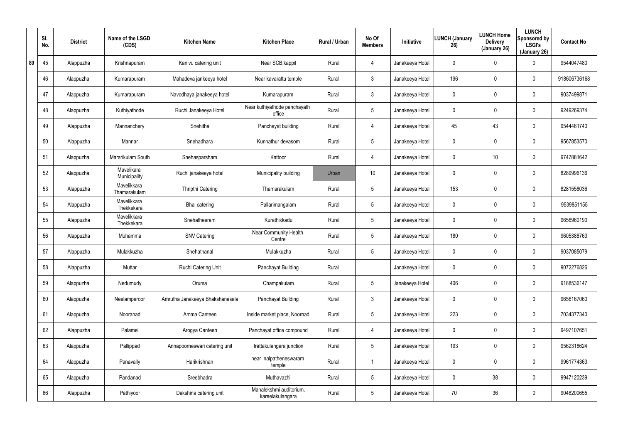|    | SI.<br>No. | <b>District</b> | Name of the LSGD<br>(CDS)   | <b>Kitchen Name</b>             | <b>Kitchen Place</b>                        | Rural / Urban | No Of<br><b>Members</b> | <b>Initiative</b> | <b>LUNCH (January</b><br>26) | <b>LUNCH Home</b><br><b>Delivery</b><br>(January 26) | <b>LUNCH</b><br>Sponsored by<br><b>LSGI's</b><br>(January 26) | <b>Contact No</b> |
|----|------------|-----------------|-----------------------------|---------------------------------|---------------------------------------------|---------------|-------------------------|-------------------|------------------------------|------------------------------------------------------|---------------------------------------------------------------|-------------------|
| 89 | 45         | Alappuzha       | Krishnapuram                | Kanivu catering unit            | Near SCB, kappil                            | Rural         | $\overline{4}$          | Janakeeya Hotel   | 0                            | 0                                                    | $\mathbf 0$                                                   | 9544047480        |
|    | 46         | Alappuzha       | Kumarapuram                 | Mahadeva jankeeya hotel         | Near kavarattu temple                       | Rural         | $\mathbf{3}$            | Janakeeya Hotel   | 196                          | 0                                                    | $\mathbf 0$                                                   | 918606736168      |
|    | 47         | Alappuzha       | Kumarapuram                 | Navodhaya janakeeya hotel       | Kumarapuram                                 | Rural         | $\mathbf{3}$            | Janakeeya Hotel   | 0                            | 0                                                    | $\mathbf 0$                                                   | 9037499871        |
|    | 48         | Alappuzha       | Kuthiyathode                | Ruchi Janakeeya Hotel           | Near kuthiyathode panchayath<br>office      | Rural         | $5\phantom{.0}$         | Janakeeya Hotel   | 0                            | 0                                                    | $\mathbf 0$                                                   | 9249269374        |
|    | 49         | Alappuzha       | Mannanchery                 | Snehitha                        | Panchayat building                          | Rural         | $\overline{4}$          | Janakeeya Hotel   | 45                           | 43                                                   | $\mathbf 0$                                                   | 9544461740        |
|    | 50         | Alappuzha       | Mannar                      | Snehadhara                      | Kunnathur devasom                           | Rural         | $5\phantom{.0}$         | Janakeeya Hotel   | 0                            | 0                                                    | $\mathbf 0$                                                   | 9567853570        |
|    | 51         | Alappuzha       | Mararikulam South           | Snehasparsham                   | Kattoor                                     | Rural         | $\overline{4}$          | Janakeeya Hotel   | 0                            | 10                                                   | $\mathbf 0$                                                   | 9747881642        |
|    | 52         | Alappuzha       | Mavelikara<br>Municipality  | Ruchi janakeeya hotel           | Municipality building                       | Urban         | 10 <sup>°</sup>         | Janakeeya Hotel   | 0                            | 0                                                    | $\mathbf 0$                                                   | 8289996136        |
|    | 53         | Alappuzha       | Mavelikkara<br>Thamarakulam | Thripthi Catering               | Thamarakulam                                | Rural         | $5\phantom{.0}$         | Janakeeya Hotel   | 153                          | 0                                                    | $\mathbf 0$                                                   | 8281558036        |
|    | 54         | Alappuzha       | Mavelikkara<br>Thekkekara   | Bhai catering                   | Pallarimangalam                             | Rural         | $5\overline{)}$         | Janakeeya Hotel   | 0                            | 0                                                    | $\mathbf 0$                                                   | 9539851155        |
|    | 55         | Alappuzha       | Mavelikkara<br>Thekkekara   | Snehatheeram                    | Kurathikkadu                                | Rural         | $5\phantom{.0}$         | Janakeeya Hotel   | 0                            | 0                                                    | $\mathbf 0$                                                   | 9656960190        |
|    | 56         | Alappuzha       | Muhamma                     | <b>SNV Catering</b>             | Near Community Health<br>Centre             | Rural         | $5\overline{)}$         | Janakeeya Hotel   | 180                          | 0                                                    | $\mathbf 0$                                                   | 9605388763        |
|    | 57         | Alappuzha       | Mulakkuzha                  | Snehathanal                     | Mulakkuzha                                  | Rural         | $5\phantom{.0}$         | Janakeeya Hotel   | 0                            | 0                                                    | $\mathbf 0$                                                   | 9037085079        |
|    | 58         | Alappuzha       | Muttar                      | Ruchi Catering Unit             | Panchayat Building                          | Rural         |                         | Janakeeya Hotel   | 0                            | $\mathbf 0$                                          | $\mathbf 0$                                                   | 9072276826        |
|    | 59         | Alappuzha       | Nedumudy                    | Oruma                           | Champakulam                                 | Rural         | $5\phantom{.0}$         | Janakeeya Hotel   | 406                          | $\mathbf 0$                                          | $\pmb{0}$                                                     | 9188536147        |
|    | 60         | Alappuzha       | Neelamperoor                | Amrutha Janakeeya Bhakshanasala | Panchayat Building                          | Rural         | $\mathfrak{Z}$          | Janakeeya Hotel   | 0                            | 0                                                    | $\pmb{0}$                                                     | 9656167060        |
|    | 61         | Alappuzha       | Nooranad                    | Amma Canteen                    | Inside market place, Noornad                | Rural         | $5\phantom{.0}$         | Janakeeya Hotel   | 223                          | 0                                                    | $\pmb{0}$                                                     | 7034377340        |
|    | 62         | Alappuzha       | Palamel                     | Arogya Canteen                  | Panchayat office compound                   | Rural         | 4                       | Janakeeya Hotel   | $\mathbf 0$                  | $\mathbf 0$                                          | $\mathbf 0$                                                   | 9497107651        |
|    | 63         | Alappuzha       | Pallippad                   | Annapoorneswari catering unit   | Irattakulangara junction                    | Rural         | $5\phantom{.0}$         | Janakeeya Hotel   | 193                          | 0                                                    | $\mathbf 0$                                                   | 9562318624        |
|    | 64         | Alappuzha       | Panavally                   | Harikrishnan                    | near nalpatheneswaram<br>temple             | Rural         |                         | Janakeeya Hotel   | $\mathbf 0$                  | $\mathbf 0$                                          | $\mathbf 0$                                                   | 9961774363        |
|    | 65         | Alappuzha       | Pandanad                    | Sreebhadra                      | Muthavazhi                                  | Rural         | $5\phantom{.0}$         | Janakeeya Hotel   | 0                            | 38                                                   | $\boldsymbol{0}$                                              | 9947120239        |
|    | 66         | Alappuzha       | Pathiyoor                   | Dakshina catering unit          | Mahalekshmi auditorium,<br>kareelakulangara | Rural         | $5\phantom{.0}$         | Janakeeya Hotel   | 70                           | 36                                                   | $\pmb{0}$                                                     | 9048200655        |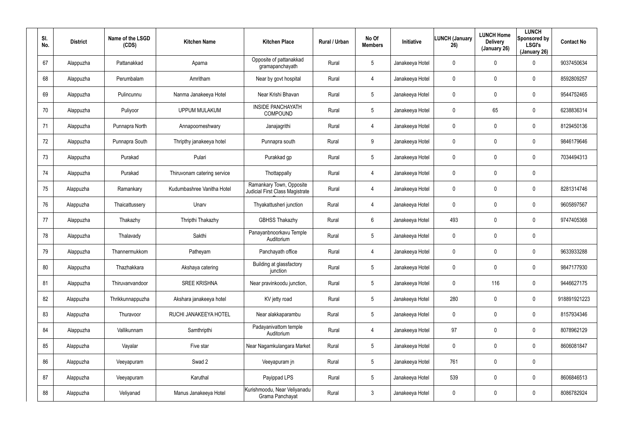| SI.<br>No. | <b>District</b> | Name of the LSGD<br>(CDS) | <b>Kitchen Name</b>         | <b>Kitchen Place</b>                                        | <b>Rural / Urban</b> | No Of<br><b>Members</b> | <b>Initiative</b> | <b>LUNCH (January</b><br>26) | <b>LUNCH Home</b><br><b>Delivery</b><br>(January 26) | <b>LUNCH</b><br>Sponsored by<br><b>LSGI's</b><br>(January 26) | <b>Contact No</b> |
|------------|-----------------|---------------------------|-----------------------------|-------------------------------------------------------------|----------------------|-------------------------|-------------------|------------------------------|------------------------------------------------------|---------------------------------------------------------------|-------------------|
| 67         | Alappuzha       | Pattanakkad               | Aparna                      | Opposite of pattanakkad<br>gramapanchayath                  | Rural                | $5\overline{)}$         | Janakeeya Hotel   | 0                            | 0                                                    | $\mathbf 0$                                                   | 9037450634        |
| 68         | Alappuzha       | Perumbalam                | Amritham                    | Near by govt hospital                                       | Rural                | 4                       | Janakeeya Hotel   | 0                            | 0                                                    | $\mathbf 0$                                                   | 8592809257        |
| 69         | Alappuzha       | Pulincunnu                | Nanma Janakeeya Hotel       | Near Krishi Bhavan                                          | Rural                | $5\overline{)}$         | Janakeeya Hotel   | 0                            | 0                                                    | $\mathbf 0$                                                   | 9544752465        |
| 70         | Alappuzha       | Puliyoor                  | <b>UPPUM MULAKUM</b>        | <b>INSIDE PANCHAYATH</b><br>COMPOUND                        | Rural                | $5\overline{)}$         | Janakeeya Hotel   | 0                            | 65                                                   | $\mathbf 0$                                                   | 6238836314        |
| 71         | Alappuzha       | Punnapra North            | Annapoorneshwary            | Janajagrithi                                                | Rural                | 4                       | Janakeeya Hotel   | 0                            | 0                                                    | $\mathbf 0$                                                   | 8129450136        |
| 72         | Alappuzha       | Punnapra South            | Thripthy janakeeya hotel    | Punnapra south                                              | Rural                | 9                       | Janakeeya Hotel   | 0                            | 0                                                    | $\mathbf 0$                                                   | 9846179646        |
| 73         | Alappuzha       | Purakad                   | Pulari                      | Purakkad gp                                                 | Rural                | $5\phantom{.0}$         | Janakeeya Hotel   | 0                            | 0                                                    | $\mathbf 0$                                                   | 7034494313        |
| 74         | Alappuzha       | Purakad                   | Thiruvonam catering service | Thottappally                                                | Rural                | 4                       | Janakeeya Hotel   | 0                            | 0                                                    | $\pmb{0}$                                                     |                   |
| 75         | Alappuzha       | Ramankary                 | Kudumbashree Vanitha Hotel  | Ramankary Town, Opposite<br>Judicial First Class Magistrate | Rural                | 4                       | Janakeeya Hotel   | 0                            | 0                                                    | $\pmb{0}$                                                     | 8281314746        |
| 76         | Alappuzha       | Thaicattussery            | Unarv                       | Thyakattusheri junction                                     | Rural                | 4                       | Janakeeya Hotel   | 0                            | 0                                                    | $\mathbf 0$                                                   | 9605897567        |
| 77         | Alappuzha       | Thakazhy                  | Thripthi Thakazhy           | <b>GBHSS Thakazhy</b>                                       | Rural                | 6                       | Janakeeya Hotel   | 493                          | 0                                                    | $\mathbf 0$                                                   | 9747405368        |
| 78         | Alappuzha       | Thalavady                 | Sakthi                      | Panayanbnoorkavu Temple<br>Auditorium                       | Rural                | $5\phantom{.0}$         | Janakeeya Hotel   | 0                            | 0                                                    | $\pmb{0}$                                                     |                   |
| 79         | Alappuzha       | Thannermukkom             | Patheyam                    | Panchayath office                                           | Rural                | 4                       | Janakeeya Hotel   | 0                            | 0                                                    | $\mathbf 0$                                                   | 9633933288        |
| 80         | Alappuzha       | Thazhakkara               | Akshaya catering            | Building at glassfactory<br>junction                        | Rural                | $5\phantom{.0}$         | Janakeeya Hotel   | 0                            | 0                                                    | $\pmb{0}$                                                     | 9847177930        |
| 81         | Alappuzha       | Thiruvanvandoor           | <b>SREE KRISHNA</b>         | Near pravinkoodu junction,                                  | Rural                | $5\phantom{.0}$         | Janakeeya Hotel   | 0                            | 116                                                  | $\mathsf{0}$                                                  | 9446627175        |
| 82         | Alappuzha       | Thrikkunnappuzha          | Akshara janakeeya hotel     | KV jetty road                                               | Rural                | $5\phantom{.0}$         | Janakeeya Hotel   | 280                          | 0                                                    | $\mathsf{0}$                                                  | 918891921223      |
| 83         | Alappuzha       | Thuravoor                 | RUCHI JANAKEEYA HOTEL       | Near alakkaparambu                                          | Rural                | $5\phantom{.0}$         | Janakeeya Hotel   | 0                            | 0                                                    | $\mathsf{0}$                                                  | 8157934346        |
| 84         | Alappuzha       | Vallikunnam               | Samthripthi                 | Padayanivattom temple<br>Auditorium                         | Rural                | 4                       | Janakeeya Hotel   | 97                           | 0                                                    | $\mathsf{0}$                                                  | 8078962129        |
| 85         | Alappuzha       | Vayalar                   | Five star                   | Near Nagamkulangara Market                                  | Rural                | $5\phantom{.0}$         | Janakeeya Hotel   | 0                            | 0                                                    | $\mathbf 0$                                                   | 8606081847        |
| 86         | Alappuzha       | Veeyapuram                | Swad 2                      | Veeyapuram jn                                               | Rural                | $5\phantom{.0}$         | Janakeeya Hotel   | 761                          | 0                                                    | $\pmb{0}$                                                     |                   |
| 87         | Alappuzha       | Veeyapuram                | Karuthal                    | Payippad LPS                                                | Rural                | $5\phantom{.0}$         | Janakeeya Hotel   | 539                          | 0                                                    | $\mathsf{0}$                                                  | 8606846513        |
| 88         | Alappuzha       | Veliyanad                 | Manus Janakeeya Hotel       | Kurishmoodu, Near Veliyanadu<br>Grama Panchayat             | Rural                | $\mathfrak{Z}$          | Janakeeya Hotel   | 0                            | 0                                                    | $\mathsf{0}$                                                  | 8086782924        |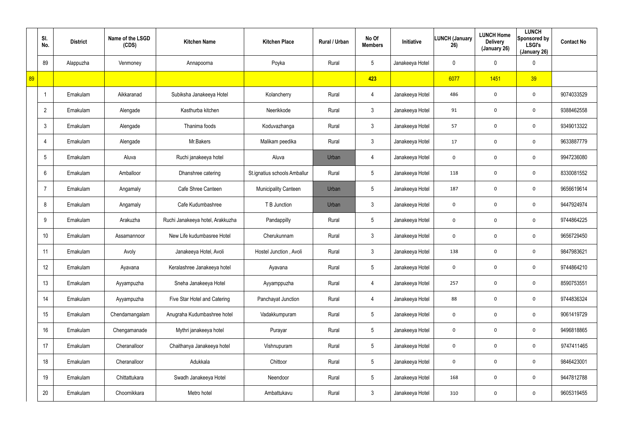|    | SI.<br>No.     | <b>District</b> | Name of the LSGD<br>(CDS) | <b>Kitchen Name</b>              | <b>Kitchen Place</b>         | Rural / Urban | No Of<br><b>Members</b> | Initiative      | <b>LUNCH (January</b><br>26) | <b>LUNCH Home</b><br><b>Delivery</b><br>(January 26) | <b>LUNCH</b><br>Sponsored by<br><b>LSGI's</b><br>(January 26) | <b>Contact No</b> |
|----|----------------|-----------------|---------------------------|----------------------------------|------------------------------|---------------|-------------------------|-----------------|------------------------------|------------------------------------------------------|---------------------------------------------------------------|-------------------|
|    | 89             | Alappuzha       | Venmoney                  | Annapoorna                       | Poyka                        | Rural         | $5\phantom{.0}$         | Janakeeya Hotel | 0                            | 0                                                    | $\mathbf 0$                                                   |                   |
| 89 |                |                 |                           |                                  |                              |               | 423                     |                 | 6077                         | 1451                                                 | 39                                                            |                   |
|    |                | Ernakulam       | Aikkaranad                | Subiksha Janakeeya Hotel         | Kolancherry                  | Rural         | 4                       | Janakeeya Hotel | 486                          | $\mathbf 0$                                          | $\mathbf 0$                                                   | 9074033529        |
|    | $\overline{2}$ | Ernakulam       | Alengade                  | Kasthurba kitchen                | Neerikkode                   | Rural         | $\mathfrak{Z}$          | Janakeeya Hotel | 91                           | 0                                                    | $\mathbf 0$                                                   | 9388462558        |
|    | $\mathbf{3}$   | Ernakulam       | Alengade                  | Thanima foods                    | Koduvazhanga                 | Rural         | $\mathfrak{Z}$          | Janakeeya Hotel | 57                           | $\mathbf 0$                                          | $\mathbf 0$                                                   | 9349013322        |
|    | 4              | Ernakulam       | Alengade                  | Mr.Bakers                        | Malikam peedika              | Rural         | $\mathfrak{Z}$          | Janakeeya Hotel | 17                           | 0                                                    | $\mathbf 0$                                                   | 9633887779        |
|    | 5              | Ernakulam       | Aluva                     | Ruchi janakeeya hotel            | Aluva                        | Urban         | 4                       | Janakeeya Hotel | $\mathbf 0$                  | $\mathbf 0$                                          | $\mathbf 0$                                                   | 9947236080        |
|    | 6              | Ernakulam       | Amballoor                 | Dhanshree catering               | St.ignatius schools Amballur | Rural         | $5\phantom{.0}$         | Janakeeya Hotel | 118                          | 0                                                    | $\mathbf 0$                                                   | 8330081552        |
|    | -7             | Ernakulam       | Angamaly                  | Cafe Shree Canteen               | Municipality Canteen         | Urban         | $5\phantom{.0}$         | Janakeeya Hotel | 187                          | $\mathbf 0$                                          | $\mathbf 0$                                                   | 9656619614        |
|    | 8              | Ernakulam       | Angamaly                  | Cafe Kudumbashree                | T B Junction                 | Urban         | $\mathbf{3}$            | Janakeeya Hotel | 0                            | 0                                                    | $\mathbf 0$                                                   | 9447924974        |
|    | 9              | Ernakulam       | Arakuzha                  | Ruchi Janakeeya hotel, Arakkuzha | Pandappilly                  | Rural         | $5\phantom{.0}$         | Janakeeya Hotel | 0                            | 0                                                    | $\mathbf 0$                                                   | 9744864225        |
|    | 10             | Ernakulam       | Assamannoor               | New Life kudumbasree Hotel       | Cherukunnam                  | Rural         | $\mathfrak{Z}$          | Janakeeya Hotel | 0                            | 0                                                    | $\mathbf 0$                                                   | 9656729450        |
|    | 11             | Ernakulam       | Avoly                     | Janakeeya Hotel, Avoli           | Hostel Junction, Avoli       | Rural         | $\mathfrak{Z}$          | Janakeeya Hotel | 138                          | 0                                                    | $\mathbf 0$                                                   | 9847983621        |
|    | 12             | Ernakulam       | Ayavana                   | Keralashree Janakeeya hotel      | Ayavana                      | Rural         | $5\phantom{.0}$         | Janakeeya Hotel | $\mathbf 0$                  | $\mathbf 0$                                          | $\mathbf 0$                                                   | 9744864210        |
|    | 13             | Ernakulam       | Ayyampuzha                | Sneha Janakeeya Hotel            | Ayyamppuzha                  | Rural         | 4                       | Janakeeya Hotel | 257                          | $\mathbf 0$                                          | $\mathbf 0$                                                   | 8590753551        |
|    | 14             | Ernakulam       | Ayyampuzha                | Five Star Hotel and Catering     | Panchayat Junction           | Rural         | 4                       | Janakeeya Hotel | 88                           | $\mathbf 0$                                          | $\mathbf 0$                                                   | 9744836324        |
|    | 15             | Ernakulam       | Chendamangalam            | Anugraha Kudumbashree hotel      | Vadakkumpuram                | Rural         | $5\phantom{.0}$         | Janakeeya Hotel | $\mathbf 0$                  | $\mathbf 0$                                          | $\mathbf 0$                                                   | 9061419729        |
|    | 16             | Ernakulam       | Chengamanade              | Mythri janakeeya hotel           | Purayar                      | Rural         | $5\phantom{.0}$         | Janakeeya Hotel | $\mathbf 0$                  | $\mathbf 0$                                          | $\mathbf 0$                                                   | 9496818865        |
|    | 17             | Ernakulam       | Cheranalloor              | Chaithanya Janakeeya hotel       | Vishnupuram                  | Rural         | $5\phantom{.0}$         | Janakeeya Hotel | $\mathbf 0$                  | $\mathbf 0$                                          | $\mathbf 0$                                                   | 9747411465        |
|    | 18             | Ernakulam       | Cheranalloor              | Adukkala                         | Chittoor                     | Rural         | $5\phantom{.0}$         | Janakeeya Hotel | $\mathbf 0$                  | 0                                                    | $\mathbf 0$                                                   | 9846423001        |
|    | 19             | Ernakulam       | Chittattukara             | Swadh Janakeeya Hotel            | Neendoor                     | Rural         | $5\phantom{.0}$         | Janakeeya Hotel | 168                          | 0                                                    | $\mathbf 0$                                                   | 9447812788        |
|    | 20             | Ernakulam       | Choornikkara              | Metro hotel                      | Ambattukavu                  | Rural         | $\mathbf{3}$            | Janakeeya Hotel | 310                          | 0                                                    | $\mathbf 0$                                                   | 9605319455        |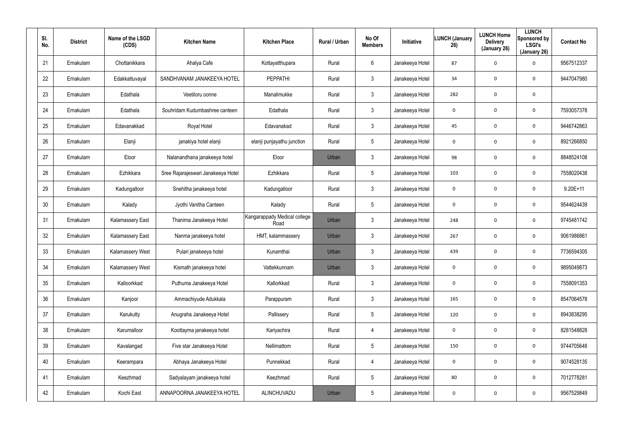| SI.<br>No. | <b>District</b> | Name of the LSGD<br>(CDS) | <b>Kitchen Name</b>                | <b>Kitchen Place</b>                 | Rural / Urban | No Of<br><b>Members</b> | Initiative      | <b>LUNCH (January</b><br>26) | <b>LUNCH Home</b><br><b>Delivery</b><br>(January 26) | <b>LUNCH</b><br>Sponsored by<br><b>LSGI's</b><br>(January 26) | <b>Contact No</b> |
|------------|-----------------|---------------------------|------------------------------------|--------------------------------------|---------------|-------------------------|-----------------|------------------------------|------------------------------------------------------|---------------------------------------------------------------|-------------------|
| 21         | Ernakulam       | Chottanikkara             | Ahalya Cafe                        | Kottayatthupara                      | Rural         | 6                       | Janakeeya Hotel | 87                           | $\mathbf{0}$                                         | 0                                                             | 9567512337        |
| 22         | Ernakulam       | Edakkattuvayal            | SANDHVANAM JANAKEEYA HOTEL         | <b>PEPPATHI</b>                      | Rural         | $\mathbf{3}$            | Janakeeya Hotel | 34                           | $\mathbf 0$                                          | 0                                                             | 9447047980        |
| 23         | Ernakulam       | Edathala                  | Veetiloru oonne                    | Manalimukke                          | Rural         | $\mathbf{3}$            | Janakeeya Hotel | 282                          | $\boldsymbol{0}$                                     | 0                                                             |                   |
| 24         | Ernakulam       | Edathala                  | Souhridam Kudumbashree canteen     | Edathala                             | Rural         | $\mathbf{3}$            | Janakeeya Hotel | 0                            | $\mathbf 0$                                          | 0                                                             | 7593057378        |
| 25         | Ernakulam       | Edavanakkad               | Royal Hotel                        | Edavanakad                           | Rural         | $\mathbf{3}$            | Janakeeya Hotel | 45                           | $\mathbf 0$                                          | 0                                                             | 9446742863        |
| 26         | Ernakulam       | Elanji                    | janakiya hotel elanji              | elanji punjayathu junction           | Rural         | 5                       | Janakeeya Hotel | 0                            | $\mathbf 0$                                          | 0                                                             | 8921266850        |
| 27         | Ernakulam       | Eloor                     | Nalanandhana janakeeya hotel       | Eloor                                | Urban         | $\mathbf{3}$            | Janakeeya Hotel | 98                           | $\mathbf 0$                                          | 0                                                             | 8848524108        |
| 28         | Ernakulam       | Ezhikkara                 | Sree Rajarajeswari Janakeeya Hotel | Ezhikkara                            | Rural         | $5\phantom{.0}$         | Janakeeya Hotel | 103                          | $\mathbf 0$                                          | 0                                                             | 7558020438        |
| 29         | Ernakulam       | Kadungalloor              | Snehitha janakeeya hotel           | Kadungalloor                         | Rural         | $\mathbf{3}$            | Janakeeya Hotel | 0                            | $\mathbf 0$                                          | 0                                                             | $9.20E+11$        |
| 30         | Ernakulam       | Kalady                    | Jyothi Vanitha Canteen             | Kalady                               | Rural         | $5\phantom{.0}$         | Janakeeya Hotel | 0                            | $\mathbf 0$                                          | 0                                                             | 9544624439        |
| 31         | Ernakulam       | Kalamassery East          | Thanima Janakeeya Hotel            | Kangarappady Medical college<br>Road | Urban         | $\mathbf{3}$            | Janakeeya Hotel | 248                          | $\mathbf 0$                                          | 0                                                             | 9745481742        |
| 32         | Ernakulam       | Kalamassery East          | Nanma janakeeya hotel              | HMT, kalammassery                    | Urban         | $\mathbf{3}$            | Janakeeya Hotel | 267                          | $\mathbf 0$                                          | 0                                                             | 9061986861        |
| 33         | Ernakulam       | Kalamassery West          | Pulari janakeeya hotel             | Kunamthai                            | Urban         | $\mathbf{3}$            | Janakeeya Hotel | 439                          | $\mathbf 0$                                          | 0                                                             | 7736594305        |
| 34         | Ernakulam       | Kalamassery West          | Kismath janakeeya hotel            | Vattekkunnam                         | Urban         | $\mathbf{3}$            | Janakeeya Hotel | 0                            | $\mathbf 0$                                          | 0                                                             | 9895049873        |
| 35         | Ernakulam       | Kalloorkkad               | Puthuma Janakeeya Hotel            | Kallorkkad                           | Rural         | $\mathbf{3}$            | Janakeeya Hotel | 0                            | $\mathbf 0$                                          | 0                                                             | 7558091353        |
| 36         | Ernakulam       | Kanjoor                   | Ammachiyude Adukkala               | Parappuram                           | Rural         | $\mathbf{3}$            | Janakeeya Hotel | 165                          | $\mathbf 0$                                          | 0                                                             | 8547064578        |
| 37         | Ernakulam       | Karukutty                 | Anugraha Janakeeya Hotel           | Pallissery                           | Rural         | $5\phantom{.0}$         | Janakeeya Hotel | 120                          | $\boldsymbol{0}$                                     | 0                                                             | 8943838295        |
| 38         | Ernakulam       | Karumalloor               | Koottayma janakeeya hotel          | Kariyachira                          | Rural         | $\overline{4}$          | Janakeeya Hotel | $\mathbf 0$                  | $\mathbf 0$                                          | 0                                                             | 8281548828        |
| 39         | Ernakulam       | Kavalangad                | Five star Janakeeya Hotel          | Nellimattom                          | Rural         | 5                       | Janakeeya Hotel | 150                          | $\mathbf 0$                                          | 0                                                             | 9744705648        |
| 40         | Ernakulam       | Keerampara                | Abhaya Janakeeya Hotel             | Punnekkad                            | Rural         | $\overline{4}$          | Janakeeya Hotel | $\mathbf 0$                  | $\mathbf 0$                                          | 0                                                             | 9074528135        |
| 41         | Ernakulam       | Keezhmad                  | Sadyalayam janakeeya hotel         | Keezhmad                             | Rural         | 5                       | Janakeeya Hotel | 80                           | $\mathbf 0$                                          | $\mathbf 0$                                                   | 7012778281        |
| 42         | Ernakulam       | Kochi East                | ANNAPOORNA JANAKEEYA HOTEL         | ALINCHUVADU                          | Urban         | 5                       | Janakeeya Hotel | 0                            | $\mathbf 0$                                          | 0                                                             | 9567529849        |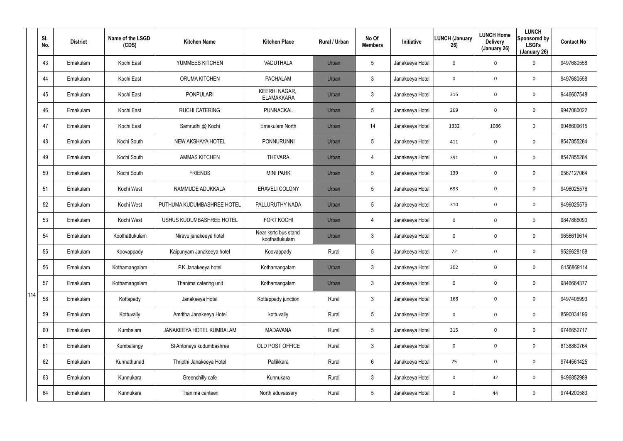|     | SI.<br>No. | <b>District</b> | Name of the LSGD<br>(CDS) | <b>Kitchen Name</b>        | <b>Kitchen Place</b>                      | Rural / Urban | No Of<br><b>Members</b> | <b>Initiative</b> | <b>LUNCH (January</b><br>26) | <b>LUNCH Home</b><br><b>Delivery</b><br>(January 26) | <b>LUNCH</b><br>Sponsored by<br><b>LSGI's</b><br>(January 26) | <b>Contact No</b> |
|-----|------------|-----------------|---------------------------|----------------------------|-------------------------------------------|---------------|-------------------------|-------------------|------------------------------|------------------------------------------------------|---------------------------------------------------------------|-------------------|
|     | 43         | Ernakulam       | Kochi East                | YUMMEES KITCHEN            | VADUTHALA                                 | Urban         | $5\phantom{.0}$         | Janakeeya Hotel   | 0                            | 0                                                    | 0                                                             | 9497680558        |
|     | 44         | Ernakulam       | Kochi East                | <b>ORUMA KITCHEN</b>       | <b>PACHALAM</b>                           | Urban         | $\mathbf{3}$            | Janakeeya Hotel   | 0                            | 0                                                    | $\mathbf 0$                                                   | 9497680558        |
|     | 45         | Ernakulam       | Kochi East                | <b>PONPULARI</b>           | <b>KEERHI NAGAR,</b><br><b>ELAMAKKARA</b> | Urban         | $\mathbf{3}$            | Janakeeya Hotel   | 315                          | 0                                                    | $\mathbf 0$                                                   | 9446607548        |
|     | 46         | Ernakulam       | Kochi East                | <b>RUCHI CATERING</b>      | PUNNACKAL                                 | Urban         | $5\phantom{.0}$         | Janakeeya Hotel   | 269                          | 0                                                    | $\mathbf 0$                                                   | 9947080022        |
|     | 47         | Ernakulam       | Kochi East                | Samrudhi @ Kochi           | Ernakulam North                           | Urban         | 14                      | Janakeeya Hotel   | 1332                         | 1086                                                 | $\mathbf 0$                                                   | 9048609615        |
|     | 48         | Ernakulam       | Kochi South               | NEW AKSHAYA HOTEL          | PONNURUNNI                                | Urban         | $5\phantom{.0}$         | Janakeeya Hotel   | 411                          | 0                                                    | 0                                                             | 8547855284        |
|     | 49         | Ernakulam       | Kochi South               | <b>AMMAS KITCHEN</b>       | <b>THEVARA</b>                            | Urban         | $\overline{4}$          | Janakeeya Hotel   | 391                          | 0                                                    | 0                                                             | 8547855284        |
|     | 50         | Ernakulam       | Kochi South               | <b>FRIENDS</b>             | <b>MINI PARK</b>                          | Urban         | $5\phantom{.0}$         | Janakeeya Hotel   | 139                          | 0                                                    | 0                                                             | 9567127064        |
|     | 51         | Ernakulam       | Kochi West                | NAMMUDE ADUKKALA           | <b>ERAVELI COLONY</b>                     | Urban         | $5\phantom{.0}$         | Janakeeya Hotel   | 693                          | 0                                                    | 0                                                             | 9496025576        |
|     | 52         | Ernakulam       | Kochi West                | PUTHUMA KUDUMBASHREE HOTEL | PALLURUTHY NADA                           | Urban         | $5\phantom{.0}$         | Janakeeya Hotel   | 310                          | 0                                                    | 0                                                             | 9496025576        |
|     | 53         | Ernakulam       | Kochi West                | USHUS KUDUMBASHREE HOTEL   | <b>FORT KOCHI</b>                         | Urban         | $\overline{4}$          | Janakeeya Hotel   | $\mathbf 0$                  | 0                                                    | $\mathbf 0$                                                   | 9847866090        |
|     | 54         | Ernakulam       | Koothattukulam            | Niravu janakeeya hotel     | Near ksrtc bus stand<br>koothattukulam    | Urban         | $\mathbf{3}$            | Janakeeya Hotel   | 0                            | 0                                                    | $\mathbf 0$                                                   | 9656619614        |
|     | 55         | Ernakulam       | Koovappady                | Kaipunyam Janakeeya hotel  | Koovappady                                | Rural         | $5\phantom{.0}$         | Janakeeya Hotel   | 72                           | 0                                                    | 0                                                             | 9526628158        |
|     | 56         | Ernakulam       | Kothamangalam             | P.K Janakeeya hotel        | Kothamangalam                             | Urban         | 3                       | Janakeeya Hotel   | 302                          | 0                                                    | $\mathbf 0$                                                   | 8156869114        |
|     | 57         | Ernakulam       | Kothamangalam             | Thanima catering unit      | Kothamangalam                             | Urban         | $\mathbf{3}$            | Janakeeya Hotel   | $\mathbf 0$                  | 0                                                    | $\mathbf 0$                                                   | 9846664377        |
| 114 | 58         | Ernakulam       | Kottapady                 | Janakeeya Hotel            | Kottappady junction                       | Rural         | $\mathbf{3}$            | Janakeeya Hotel   | 168                          | 0                                                    | $\mathbf 0$                                                   | 9497406993        |
|     | 59         | Ernakulam       | Kottuvally                | Amritha Janakeeya Hotel    | kottuvally                                | Rural         | $5\phantom{.0}$         | Janakeeya Hotel   | $\mathbf 0$                  | 0                                                    | $\mathbf 0$                                                   | 8590034196        |
|     | 60         | Ernakulam       | Kumbalam                  | JANAKEEYA HOTEL KUMBALAM   | <b>MADAVANA</b>                           | Rural         | $5\phantom{.0}$         | Janakeeya Hotel   | 315                          | 0                                                    | $\mathbf 0$                                                   | 9746652717        |
|     | 61         | Ernakulam       | Kumbalangy                | St Antoneys kudumbashree   | OLD POST OFFICE                           | Rural         | $\mathbf{3}$            | Janakeeya Hotel   | $\mathbf 0$                  | 0                                                    | $\mathbf 0$                                                   | 8138860764        |
|     | 62         | Ernakulam       | Kunnathunad               | Thripthi Janakeeya Hotel   | Pallikkara                                | Rural         | 6                       | Janakeeya Hotel   | 75                           | 0                                                    | $\mathbf 0$                                                   | 9744561425        |
|     | 63         | Ernakulam       | Kunnukara                 | Greenchilly cafe           | Kunnukara                                 | Rural         | $\mathfrak{Z}$          | Janakeeya Hotel   | $\mathbf 0$                  | 32                                                   | $\mathbf 0$                                                   | 9496852989        |
|     | 64         | Ernakulam       | Kunnukara                 | Thanima canteen            | North aduvassery                          | Rural         | $5\phantom{.0}$         | Janakeeya Hotel   | $\mathbf 0$                  | 44                                                   | $\mathbf 0$                                                   | 9744200583        |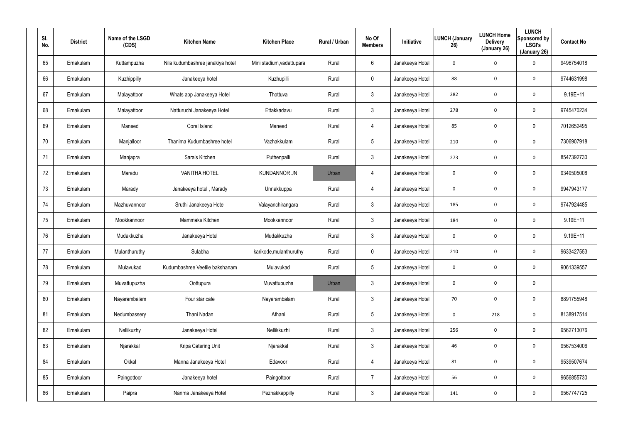| SI.<br>No. | <b>District</b> | Name of the LSGD<br>(CDS) | <b>Kitchen Name</b>              | <b>Kitchen Place</b>      | Rural / Urban | No Of<br><b>Members</b> | Initiative      | <b>LUNCH (January</b><br>26) | <b>LUNCH Home</b><br><b>Delivery</b><br>(January 26) | <b>LUNCH</b><br>Sponsored by<br><b>LSGI's</b><br>(January 26) | <b>Contact No</b> |
|------------|-----------------|---------------------------|----------------------------------|---------------------------|---------------|-------------------------|-----------------|------------------------------|------------------------------------------------------|---------------------------------------------------------------|-------------------|
| 65         | Ernakulam       | Kuttampuzha               | Nila kudumbashree janakiya hotel | Mini stadium, vadattupara | Rural         | 6                       | Janakeeya Hotel | 0                            | $\mathbf 0$                                          | 0                                                             | 9496754018        |
| 66         | Ernakulam       | Kuzhippilly               | Janakeeya hotel                  | Kuzhupilli                | Rural         | $\mathbf 0$             | Janakeeya Hotel | 88                           | $\mathbf 0$                                          | 0                                                             | 9744631998        |
| 67         | Ernakulam       | Malayattoor               | Whats app Janakeeya Hotel        | Thottuva                  | Rural         | $\mathbf{3}$            | Janakeeya Hotel | 282                          | $\mathbf 0$                                          | 0                                                             | 9.19E+11          |
| 68         | Ernakulam       | Malayattoor               | Natturuchi Janakeeya Hotel       | Ettakkadavu               | Rural         | $\mathbf{3}$            | Janakeeya Hotel | 278                          | $\mathbf 0$                                          | 0                                                             | 9745470234        |
| 69         | Ernakulam       | Maneed                    | Coral Island                     | Maneed                    | Rural         | $\overline{4}$          | Janakeeya Hotel | 85                           | $\mathbf 0$                                          | 0                                                             | 7012652495        |
| 70         | Ernakulam       | Manjalloor                | Thanima Kudumbashree hotel       | Vazhakkulam               | Rural         | 5                       | Janakeeya Hotel | 210                          | $\mathbf 0$                                          | 0                                                             | 7306907918        |
| 71         | Ernakulam       | Manjapra                  | Sara's Kitchen                   | Puthenpalli               | Rural         | $\mathbf{3}$            | Janakeeya Hotel | 273                          | $\mathbf 0$                                          | 0                                                             | 8547392730        |
| 72         | Ernakulam       | Maradu                    | <b>VANITHA HOTEL</b>             | <b>KUNDANNOR JN</b>       | Urban         | 4                       | Janakeeya Hotel | 0                            | $\mathbf 0$                                          | 0                                                             | 9349505008        |
| 73         | Ernakulam       | Marady                    | Janakeeya hotel, Marady          | Unnakkuppa                | Rural         | $\overline{4}$          | Janakeeya Hotel | 0                            | $\mathbf 0$                                          | 0                                                             | 9947943177        |
| 74         | Ernakulam       | Mazhuvannoor              | Sruthi Janakeeya Hotel           | Valayanchirangara         | Rural         | $\mathbf{3}$            | Janakeeya Hotel | 185                          | $\mathbf 0$                                          | 0                                                             | 9747924485        |
| 75         | Ernakulam       | Mookkannoor               | Mammaks Kitchen                  | Mookkannoor               | Rural         | $\mathbf{3}$            | Janakeeya Hotel | 184                          | $\mathbf 0$                                          | 0                                                             | $9.19E+11$        |
| 76         | Ernakulam       | Mudakkuzha                | Janakeeya Hotel                  | Mudakkuzha                | Rural         | $\mathbf{3}$            | Janakeeya Hotel | 0                            | $\mathbf 0$                                          | 0                                                             | $9.19E+11$        |
| 77         | Ernakulam       | Mulanthuruthy             | Sulabha                          | karikode, mulanthuruthy   | Rural         | $\mathbf 0$             | Janakeeya Hotel | 210                          | $\mathbf 0$                                          | 0                                                             | 9633427553        |
| 78         | Ernakulam       | Mulavukad                 | Kudumbashree Veetile bakshanam   | Mulavukad                 | Rural         | 5                       | Janakeeya Hotel | 0                            | $\mathbf 0$                                          | 0                                                             | 9061339557        |
| 79         | Ernakulam       | Muvattupuzha              | Oottupura                        | Muvattupuzha              | Urban         | $\mathbf{3}$            | Janakeeya Hotel | 0                            | $\boldsymbol{0}$                                     | 0                                                             |                   |
| 80         | Ernakulam       | Nayarambalam              | Four star cafe                   | Nayarambalam              | Rural         | $\mathbf{3}$            | Janakeeya Hotel | 70                           | $\mathbf 0$                                          | 0                                                             | 8891755948        |
| 81         | Ernakulam       | Nedumbassery              | Thani Nadan                      | Athani                    | Rural         | $5\phantom{.0}$         | Janakeeya Hotel | 0                            | 218                                                  | 0                                                             | 8138917514        |
| 82         | Ernakulam       | Nellikuzhy                | Janakeeya Hotel                  | Nellikkuzhi               | Rural         | 3 <sup>1</sup>          | Janakeeya Hotel | 256                          | $\mathbf 0$                                          | 0                                                             | 9562713076        |
| 83         | Ernakulam       | Njarakkal                 | Kripa Catering Unit              | Njarakkal                 | Rural         | 3 <sup>1</sup>          | Janakeeya Hotel | 46                           | $\boldsymbol{0}$                                     | 0                                                             | 9567534006        |
| 84         | Ernakulam       | Okkal                     | Manna Janakeeya Hotel            | Edavoor                   | Rural         | $\overline{4}$          | Janakeeya Hotel | 81                           | $\mathbf 0$                                          | 0                                                             | 9539507674        |
| 85         | Ernakulam       | Paingottoor               | Janakeeya hotel                  | Paingottoor               | Rural         | $\overline{7}$          | Janakeeya Hotel | 56                           | $\mathbf 0$                                          | $\mathbf 0$                                                   | 9656855730        |
| 86         | Ernakulam       | Paipra                    | Nanma Janakeeya Hotel            | Pezhakkappilly            | Rural         | 3 <sup>1</sup>          | Janakeeya Hotel | 141                          | $\mathbf 0$                                          | $\mathbf 0$                                                   | 9567747725        |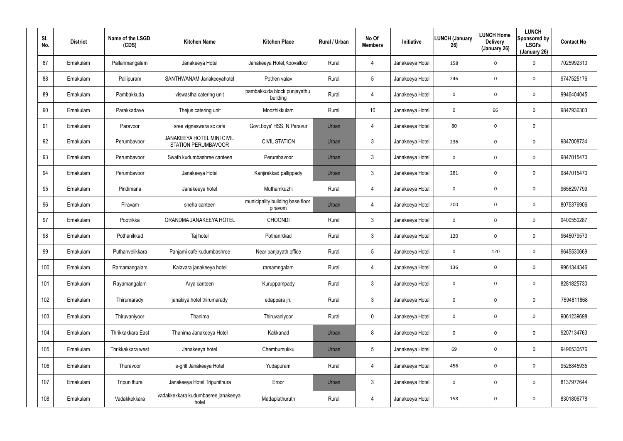| SI.<br>No. | <b>District</b> | Name of the LSGD<br>(CDS) | <b>Kitchen Name</b>                                      | <b>Kitchen Place</b>                        | <b>Rural / Urban</b> | No Of<br><b>Members</b> | Initiative      | <b>LUNCH (January</b><br>26) | <b>LUNCH Home</b><br><b>Delivery</b><br>(January 26) | <b>LUNCH</b><br>Sponsored by<br><b>LSGI's</b><br>(January 26) | <b>Contact No</b> |
|------------|-----------------|---------------------------|----------------------------------------------------------|---------------------------------------------|----------------------|-------------------------|-----------------|------------------------------|------------------------------------------------------|---------------------------------------------------------------|-------------------|
| 87         | Ernakulam       | Pallarimangalam           | Janakeeya Hotel                                          | Janakeeya Hotel, Koovalloor                 | Rural                | 4                       | Janakeeya Hotel | 158                          | $\mathbf 0$                                          | 0                                                             | 7025992310        |
| 88         | Ernakulam       | Pallipuram                | SANTHWANAM Janakeeyahotel                                | Pothen valav                                | Rural                | 5                       | Janakeeya Hotel | 246                          | $\boldsymbol{0}$                                     | 0                                                             | 9747525176        |
| 89         | Ernakulam       | Pambakkuda                | viswastha catering unit                                  | pambakkuda block punjayathu<br>building     | Rural                | 4                       | Janakeeya Hotel | 0                            | $\mathbf 0$                                          | 0                                                             | 9946404045        |
| 90         | Ernakulam       | Parakkadave               | Thejus catering unit                                     | Moozhikkulam                                | Rural                | 10                      | Janakeeya Hotel | 0                            | 66                                                   | 0                                                             | 9847936303        |
| 91         | Ernakulam       | Paravoor                  | sree vigneswara sc cafe                                  | Govt.boys' HSS, N.Paravur                   | Urban                | 4                       | Janakeeya Hotel | 80                           | $\mathbf 0$                                          | 0                                                             |                   |
| 92         | Ernakulam       | Perumbavoor               | JANAKEEYA HOTEL MINI CIVIL<br><b>STATION PERUMBAVOOR</b> | <b>CIVIL STATION</b>                        | Urban                | $\mathfrak{Z}$          | Janakeeya Hotel | 236                          | $\mathbf 0$                                          | 0                                                             | 9847008734        |
| 93         | Ernakulam       | Perumbavoor               | Swath kudumbashree canteen                               | Perumbavoor                                 | Urban                | $\mathbf{3}$            | Janakeeya Hotel | 0                            | $\mathbf 0$                                          | 0                                                             | 9847015470        |
| 94         | Ernakulam       | Perumbavoor               | Janakeeya Hotel                                          | Kanjirakkad pallippady                      | Urban                | $\mathbf{3}$            | Janakeeya Hotel | 281                          | $\mathbf 0$                                          | 0                                                             | 9847015470        |
| 95         | Ernakulam       | Pindimana                 | Janakeeya hotel                                          | Muthamkuzhi                                 | Rural                | $\overline{4}$          | Janakeeya Hotel | 0                            | $\mathbf 0$                                          | 0                                                             | 9656297799        |
| 96         | Ernakulam       | Piravam                   | sneha canteen                                            | municipality building base floor<br>piravom | Urban                | 4                       | Janakeeya Hotel | 200                          | $\mathbf 0$                                          | 0                                                             | 8075376906        |
| 97         | Ernakulam       | Pootrikka                 | <b>GRANDMA JANAKEEYA HOTEL</b>                           | <b>CHOONDI</b>                              | Rural                | $\mathbf{3}$            | Janakeeya Hotel | 0                            | $\mathbf 0$                                          | 0                                                             | 9400550287        |
| 98         | Ernakulam       | Pothanikkad               | Taj hotel                                                | Pothanikkad                                 | Rural                | $\mathbf{3}$            | Janakeeya Hotel | 120                          | $\mathbf 0$                                          | 0                                                             | 9645079573        |
| 99         | Ernakulam       | Puthanvelikkara           | Panjami cafe kudumbashree                                | Near panjayath office                       | Rural                | $5\overline{)}$         | Janakeeya Hotel | 0                            | 120                                                  | 0                                                             | 9645530669        |
| 100        | Ernakulam       | Ramamangalam              | Kalavara janakeeya hotel                                 | ramamngalam                                 | Rural                | 4                       | Janakeeya Hotel | 136                          | $\mathbf 0$                                          | 0                                                             | 9961344346        |
| 101        | Ernakulam       | Rayamangalam              | Arya canteen                                             | Kuruppampady                                | Rural                | $\mathbf{3}$            | Janakeeya Hotel | 0                            | $\mathbf 0$                                          | $\mathbf 0$                                                   | 8281825730        |
| 102        | Ernakulam       | Thirumarady               | janakiya hotel thirumarady                               | edappara jn.                                | Rural                | $\mathfrak{Z}$          | Janakeeya Hotel | $\mathbf 0$                  | $\mathbf 0$                                          | $\mathbf 0$                                                   | 7594811868        |
| 103        | Ernakulam       | Thiruvaniyoor             | Thanima                                                  | Thiruvaniyoor                               | Rural                | $\mathbf 0$             | Janakeeya Hotel | 0                            | $\boldsymbol{0}$                                     | $\mathbf 0$                                                   | 9061239698        |
| 104        | Ernakulam       | Thrikkakkara East         | Thanima Janakeeya Hotel                                  | Kakkanad                                    | Urban                | 8                       | Janakeeya Hotel | 0                            | $\mathbf 0$                                          | $\mathbf 0$                                                   | 9207134763        |
| 105        | Ernakulam       | Thrikkakkara west         | Janakeeya hotel                                          | Chembumukku                                 | Urban                | $5\phantom{.0}$         | Janakeeya Hotel | 69                           | $\boldsymbol{0}$                                     | 0                                                             | 9496530576        |
| 106        | Ernakulam       | Thuravoor                 | e-grill Janakeeya Hotel                                  | Yudapuram                                   | Rural                | 4                       | Janakeeya Hotel | 456                          | $\boldsymbol{0}$                                     | $\mathbf 0$                                                   | 9526845935        |
| 107        | Ernakulam       | Tripunithura              | Janakeeya Hotel Tripunithura                             | Eroor                                       | Urban                | $\mathfrak{Z}$          | Janakeeya Hotel | 0                            | $\boldsymbol{0}$                                     | $\mathbf 0$                                                   | 8137977644        |
| 108        | Ernakulam       | Vadakkekkara              | vadakkekkara kudumbasree janakeeya<br>hotel              | Madaplathuruth                              | Rural                | 4                       | Janakeeya Hotel | 158                          | $\mathbf 0$                                          | 0                                                             | 8301806778        |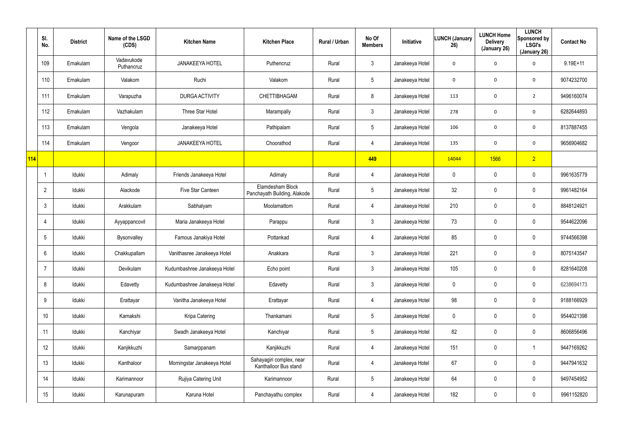|     | SI.<br>No.      | <b>District</b> | Name of the LSGD<br>(CDS) | <b>Kitchen Name</b>          | <b>Kitchen Place</b>                              | Rural / Urban | No Of<br><b>Members</b> | Initiative      | <b>LUNCH (January</b><br>26) | <b>LUNCH Home</b><br><b>Delivery</b><br>(January 26) | <b>LUNCH</b><br>Sponsored by<br><b>LSGI's</b><br>(January 26) | <b>Contact No</b> |
|-----|-----------------|-----------------|---------------------------|------------------------------|---------------------------------------------------|---------------|-------------------------|-----------------|------------------------------|------------------------------------------------------|---------------------------------------------------------------|-------------------|
|     | 109             | Ernakulam       | Vadavukode<br>Puthancruz  | <b>JANAKEEYA HOTEL</b>       | Puthencruz                                        | Rural         | $\mathfrak{Z}$          | Janakeeya Hotel | 0                            | $\mathbf 0$                                          | 0                                                             | $9.19E+11$        |
|     | 110             | Ernakulam       | Valakom                   | Ruchi                        | Valakom                                           | Rural         | $5\phantom{.0}$         | Janakeeya Hotel | 0                            | $\mathbf 0$                                          | 0                                                             | 9074232700        |
|     | 111             | Ernakulam       | Varapuzha                 | <b>DURGA ACTIVITY</b>        | CHETTIBHAGAM                                      | Rural         | 8                       | Janakeeya Hotel | 113                          | $\mathbf 0$                                          | $\overline{2}$                                                | 9496160074        |
|     | 112             | Ernakulam       | Vazhakulam                | Three Star Hotel             | Marampally                                        | Rural         | $\mathfrak{Z}$          | Janakeeya Hotel | 278                          | $\mathbf 0$                                          | $\mathbf 0$                                                   | 6282644893        |
|     | 113             | Ernakulam       | Vengola                   | Janakeeya Hotel              | Pathipalam                                        | Rural         | $5\phantom{.0}$         | Janakeeya Hotel | 106                          | $\mathbf 0$                                          | $\mathbf 0$                                                   | 8137887455        |
|     | 114             | Ernakulam       | Vengoor                   | <b>JANAKEEYA HOTEL</b>       | Choorathod                                        | Rural         | 4                       | Janakeeya Hotel | 135                          | $\mathbf 0$                                          | 0                                                             | 9656904682        |
| 114 |                 |                 |                           |                              |                                                   |               | 449                     |                 | 14044                        | 1566                                                 | $\sqrt{2}$                                                    |                   |
|     |                 | Idukki          | Adimaly                   | Friends Janakeeya Hotel      | Adimaly                                           | Rural         | 4                       | Janakeeya Hotel | 0                            | $\boldsymbol{0}$                                     | $\pmb{0}$                                                     | 9961635779        |
|     | $\overline{2}$  | Idukki          | Alackode                  | Five Star Canteen            | Elamdesham Block<br>Panchayath Building, Alakode  | Rural         | $5\phantom{.0}$         | Janakeeya Hotel | 32                           | $\pmb{0}$                                            | $\pmb{0}$                                                     | 9961482164        |
|     | $\mathbf{3}$    | Idukki          | Arakkulam                 | Sabhalyam                    | Moolamattom                                       | Rural         | 4                       | Janakeeya Hotel | 210                          | $\boldsymbol{0}$                                     | $\pmb{0}$                                                     | 8848124921        |
|     | $\overline{4}$  | Idukki          | Ayyappancovil             | Maria Janakeeya Hotel        | Parappu                                           | Rural         | $\mathfrak{Z}$          | Janakeeya Hotel | 73                           | $\pmb{0}$                                            | $\mathbf 0$                                                   | 9544622096        |
|     | $5\phantom{.0}$ | Idukki          | Bysonvalley               | Famous Janakiya Hotel        | Pottankad                                         | Rural         | 4                       | Janakeeya Hotel | 85                           | $\mathbf 0$                                          | $\mathbf 0$                                                   | 9744566398        |
|     | 6               | Idukki          | Chakkupallam              | Vanithasree Janakeeya Hotel  | Anakkara                                          | Rural         | $\mathfrak{Z}$          | Janakeeya Hotel | 221                          | $\mathbf 0$                                          | $\pmb{0}$                                                     | 8075143547        |
|     | $\overline{7}$  | Idukki          | Devikulam                 | Kudumbashree Janakeeya Hotel | Echo point                                        | Rural         | $\mathfrak{Z}$          | Janakeeya Hotel | 105                          | $\mathbf 0$                                          | $\pmb{0}$                                                     | 8281640208        |
|     | 8               | Idukki          | Edavetty                  | Kudumbashree Janakeeya Hotel | Edavetty                                          | Rural         | $\mathfrak{Z}$          | Janakeeya Hotel | 0                            | 0                                                    | $\pmb{0}$                                                     | 6238694173        |
|     | 9               | Idukki          | Erattayar                 | Vanitha Janakeeya Hotel      | Erattayar                                         | Rural         | 4                       | Janakeeya Hotel | 98                           | $\mathbf 0$                                          | $\pmb{0}$                                                     | 9188166929        |
|     | 10 <sup>°</sup> | Idukki          | Kamakshi                  | Kripa Catering               | Thankamani                                        | Rural         | $\overline{5}$          | Janakeeya Hotel | 0                            | 0                                                    | $\pmb{0}$                                                     | 9544021398        |
|     | 11              | ldukki          | Kanchiyar                 | Swadh Janakeeya Hotel        | Kanchiyar                                         | Rural         | $\overline{5}$          | Janakeeya Hotel | 82                           | $\mathbf 0$                                          | $\mathbf 0$                                                   | 8606856496        |
|     | 12              | Idukki          | Kanjikkuzhi               | Samarppanam                  | Kanjikkuzhi                                       | Rural         | 4                       | Janakeeya Hotel | 151                          | $\overline{0}$                                       | -1                                                            | 9447169262        |
|     | 13              | ldukki          | Kanthaloor                | Morningstar Janakeeya Hotel  | Sahayagiri complex, near<br>Kanthalloor Bus stand | Rural         | 4                       | Janakeeya Hotel | 67                           | $\mathbf 0$                                          | $\mathbf 0$                                                   | 9447941632        |
|     | 14              | Idukki          | Karimannoor               | Rujiya Catering Unit         | Karimannoor                                       | Rural         | $\overline{5}$          | Janakeeya Hotel | 64                           | $\overline{0}$                                       | $\pmb{0}$                                                     | 9497454952        |
|     | 15              | ldukki          | Karunapuram               | Karuna Hotel                 | Panchayathu complex                               | Rural         | 4                       | Janakeeya Hotel | 182                          | $\mathbf 0$                                          | $\pmb{0}$                                                     | 9961152820        |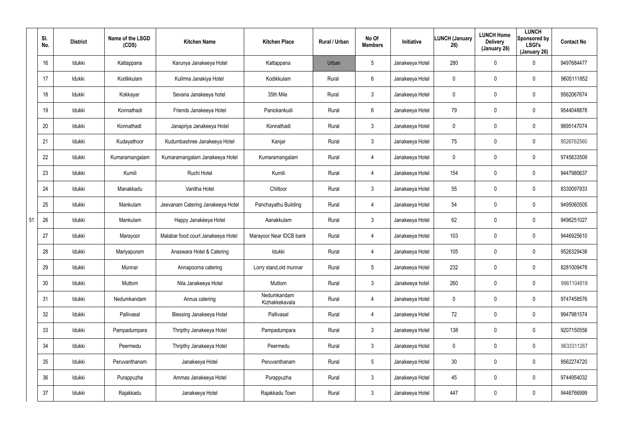|    | SI.<br>No. | <b>District</b> | Name of the LSGD<br>(CDS) | <b>Kitchen Name</b>                | <b>Kitchen Place</b>          | Rural / Urban | No Of<br><b>Members</b> | Initiative      | LUNCH (January<br>26) | <b>LUNCH Home</b><br><b>Delivery</b><br>(January 26) | <b>LUNCH</b><br>Sponsored by<br><b>LSGI's</b><br>(January 26) | <b>Contact No</b> |
|----|------------|-----------------|---------------------------|------------------------------------|-------------------------------|---------------|-------------------------|-----------------|-----------------------|------------------------------------------------------|---------------------------------------------------------------|-------------------|
|    | 16         | Idukki          | Kattappana                | Karunya Janakeeya Hotel            | Kattappana                    | Urban         | 5                       | Janakeeya Hotel | 280                   | $\mathbf 0$                                          | 0                                                             | 9497684477        |
|    | 17         | Idukki          | Kodikkulam                | Kulirma Janakiya Hotel             | Kodikkulam                    | Rural         | 6                       | Janakeeya Hotel | 0                     | $\mathbf 0$                                          | 0                                                             | 9605111852        |
|    | 18         | Idukki          | Kokkayar                  | Sevana Janakeeya hotel             | 35th Mile                     | Rural         | 3                       | Janakeeya Hotel | 0                     | 0                                                    | 0                                                             | 9562067674        |
|    | 19         | Idukki          | Konnathadi                | Friends Janakeeya Hotel            | Panickankudi                  | Rural         | $6\phantom{.}6$         | Janakeeya Hotel | 79                    | 0                                                    | 0                                                             | 9544048878        |
|    | 20         | Idukki          | Konnathadi                | Janapriya Janakeeya Hotel          | Konnathadi                    | Rural         | 3                       | Janakeeya Hotel | 0                     | 0                                                    | 0                                                             | 9895147074        |
|    | 21         | Idukki          | Kudayathoor               | Kudumbashree Janakeeya Hotel       | Kanjar                        | Rural         | 3                       | Janakeeya Hotel | 75                    | 0                                                    | 0                                                             | 9526762560        |
|    | 22         | Idukki          | Kumaramangalam            | Kumaramangalam Janakeeya Hotel     | Kumaramangalam                | Rural         | 4                       | Janakeeya Hotel | 0                     | 0                                                    | 0                                                             | 9745633509        |
|    | 23         | Idukki          | Kumili                    | Ruchi Hotel                        | Kumili                        | Rural         | 4                       | Janakeeya Hotel | 154                   | 0                                                    | 0                                                             | 9447980637        |
|    | 24         | Idukki          | Manakkadu                 | Vanitha Hotel                      | Chittoor                      | Rural         | $\mathbf{3}$            | Janakeeya Hotel | 55                    | 0                                                    | 0                                                             | 8330097933        |
|    | 25         | Idukki          | Mankulam                  | Jeevanam Catering Janakeeya Hotel  | Panchayathu Building          | Rural         | 4                       | Janakeeya Hotel | 54                    | 0                                                    | 0                                                             | 9495060505        |
| 51 | 26         | Idukki          | Mankulam                  | Happy Janakéeya Hotel              | Aanakkulam                    | Rural         | $\mathbf{3}$            | Janakeeya Hotel | 62                    | 0                                                    | 0                                                             | 9496251027        |
|    | 27         | Idukki          | Marayoor                  | Malabar food court Janakeeya Hotel | Marayoor Near IDCB bank       | Rural         | 4                       | Janakeeya Hotel | 103                   | 0                                                    | 0                                                             | 9446925610        |
|    | 28         | Idukki          | Mariyapuram               | Anaswara Hotel & Catering          | Idukki                        | Rural         | 4                       | Janakeeya Hotel | 105                   | $\mathbf 0$                                          | 0                                                             | 9526329438        |
|    | 29         | Idukki          | Munnar                    | Annapoorna catering                | Lorry stand, old munnar       | Rural         | 5                       | Janakeeya Hotel | 232                   | 0                                                    | 0                                                             | 8281009478        |
|    | 30         | Idukki          | Muttom                    | Nila Janakeeya Hotel               | Muttom                        | Rural         | $\mathbf{3}$            | Janakeeya hotel | 260                   | $\mathbf 0$                                          | 0                                                             | 9961104818        |
|    | 31         | Idukki          | Nedumkandam               | Annus catering                     | Nedumkandam<br>Kizhakkekavala | Rural         | 4                       | Janakeeya Hotel | 0                     | $\mathbf 0$                                          | 0                                                             | 9747458576        |
|    | 32         | Idukki          | Pallivasal                | Blessing Janakeeya Hotel           | Pallivasal                    | Rural         | 4                       | Janakeeya Hotel | 72                    | $\mathbf 0$                                          | 0                                                             | 9947981574        |
|    | 33         | Idukki          | Pampadumpara              | Thripthy Janakeeya Hotel           | Pampadumpara                  | Rural         | $\mathbf{3}$            | Janakeeya Hotel | 138                   | $\mathbf 0$                                          | 0                                                             | 9207150558        |
|    | 34         | Idukki          | Peermedu                  | Thripthy Janakeeya Hotel           | Peermedu                      | Rural         | $\mathbf{3}$            | Janakeeya Hotel | 0                     | $\mathbf 0$                                          | 0                                                             | 9633311267        |
|    | 35         | Idukki          | Peruvanthanam             | Janakeeya Hotel                    | Peruvanthanam                 | Rural         | $5\phantom{.0}$         | Janakeeya Hotel | 30 <sup>°</sup>       | $\mathbf 0$                                          | 0                                                             | 9562274720        |
|    | 36         | Idukki          | Purappuzha                | Ammas Janakeeya Hotel              | Purappuzha                    | Rural         | $\mathbf{3}$            | Janakeeya Hotel | 45                    | $\mathbf 0$                                          | 0                                                             | 9744954032        |
|    | 37         | Idukki          | Rajakkadu                 | Janakeeya Hotel                    | Rajakkadu Town                | Rural         | $\mathbf{3}$            | Janakeeya Hotel | 447                   | $\mathbf 0$                                          | 0                                                             | 9446766999        |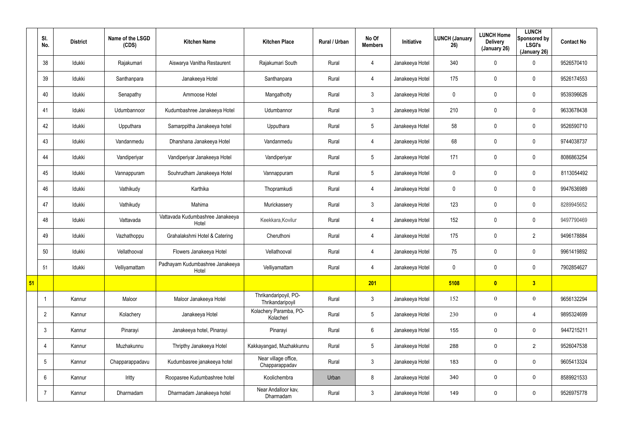|    | SI.<br>No.      | <b>District</b> | Name of the LSGD<br>(CDS) | <b>Kitchen Name</b>                       | <b>Kitchen Place</b>                      | Rural / Urban | No Of<br><b>Members</b> | Initiative      | <b>LUNCH (January</b><br>26) | <b>LUNCH Home</b><br><b>Delivery</b><br>(January 26) | <b>LUNCH</b><br>Sponsored by<br><b>LSGI's</b><br>(January 26) | <b>Contact No</b> |
|----|-----------------|-----------------|---------------------------|-------------------------------------------|-------------------------------------------|---------------|-------------------------|-----------------|------------------------------|------------------------------------------------------|---------------------------------------------------------------|-------------------|
|    | 38              | Idukki          | Rajakumari                | Aiswarya Vanitha Restaurent               | Rajakumari South                          | Rural         | $\overline{4}$          | Janakeeya Hotel | 340                          | 0                                                    | $\mathbf 0$                                                   | 9526570410        |
|    | 39              | Idukki          | Santhanpara               | Janakeeya Hotel                           | Santhanpara                               | Rural         | $\overline{4}$          | Janakeeya Hotel | 175                          | 0                                                    | $\mathbf 0$                                                   | 9526174553        |
|    | 40              | Idukki          | Senapathy                 | Ammoose Hotel                             | Mangathotty                               | Rural         | 3 <sup>1</sup>          | Janakeeya Hotel | 0                            | 0                                                    | $\mathbf 0$                                                   | 9539396626        |
|    | 41              | Idukki          | Udumbannoor               | Kudumbashree Janakeeya Hotel              | Udumbannor                                | Rural         | $\mathbf{3}$            | Janakeeya Hotel | 210                          | 0                                                    | $\mathbf 0$                                                   | 9633678438        |
|    | 42              | Idukki          | Upputhara                 | Samarppitha Janakeeya hotel               | Upputhara                                 | Rural         | $5\overline{)}$         | Janakeeya Hotel | 58                           | 0                                                    | $\mathbf 0$                                                   | 9526590710        |
|    | 43              | Idukki          | Vandanmedu                | Dharshana Janakeeya Hotel                 | Vandanmedu                                | Rural         | $\overline{4}$          | Janakeeya Hotel | 68                           | 0                                                    | $\mathbf 0$                                                   | 9744038737        |
|    | 44              | Idukki          | Vandiperiyar              | Vandiperiyar Janakeeya Hotel              | Vandiperiyar                              | Rural         | $5\phantom{.0}$         | Janakeeya Hotel | 171                          | 0                                                    | $\mathbf 0$                                                   | 8086863254        |
|    | 45              | Idukki          | Vannappuram               | Souhrudham Janakeeya Hotel                | Vannappuram                               | Rural         | $5\phantom{.0}$         | Janakeeya Hotel | 0                            | 0                                                    | $\mathbf 0$                                                   | 8113054492        |
|    | 46              | Idukki          | Vathikudy                 | Karthika                                  | Thopramkudi                               | Rural         | $\overline{4}$          | Janakeeya Hotel | 0                            | 0                                                    | $\mathbf 0$                                                   | 9947636989        |
|    | 47              | Idukki          | Vathikudy                 | Mahima                                    | Murickassery                              | Rural         | $\mathbf{3}$            | Janakeeya Hotel | 123                          | 0                                                    | $\mathbf 0$                                                   | 8289945652        |
|    | 48              | Idukki          | Vattavada                 | Vattavada Kudumbashree Janakeeya<br>Hotel | Keekkara, Kovilur                         | Rural         | $\overline{4}$          | Janakeeya Hotel | 152                          | 0                                                    | $\mathbf 0$                                                   | 9497790469        |
|    | 49              | ldukki          | Vazhathoppu               | Grahalakshmi Hotel & Catering             | Cheruthoni                                | Rural         | $\overline{4}$          | Janakeeya Hotel | 175                          | 0                                                    | $\overline{2}$                                                | 9496178884        |
|    | 50              | Idukki          | Vellathooval              | Flowers Janakeeya Hotel                   | Vellathooval                              | Rural         | 4                       | Janakeeya Hotel | 75                           | 0                                                    | $\mathbf 0$                                                   | 9961419892        |
|    | 51              | Idukki          | Velliyamattam             | Padhayam Kudumbashree Janakeeya<br>Hotel  | Velliyamattam                             | Rural         | $\overline{4}$          | Janakeeya Hotel | 0                            | 0                                                    | $\mathbf 0$                                                   | 7902854627        |
| 51 |                 |                 |                           |                                           |                                           |               | 201                     |                 | 5108                         | $\bullet$                                            | 3 <sup>2</sup>                                                |                   |
|    |                 | Kannur          | Maloor                    | Maloor Janakeeya Hotel                    | Thrikandaripoyil, PO-<br>Thrikandaripoyil | Rural         | $\mathbf{3}$            | Janakeeya Hotel | 152                          | $\boldsymbol{0}$                                     | $\mathbf{0}$                                                  | 9656132294        |
|    | $\overline{2}$  | Kannur          | Kolachery                 | Janakeeya Hotel                           | Kolachery Paramba, PO-<br>Kolacheri       | Rural         | $5\phantom{.0}$         | Janakeeya Hotel | 230                          | $\boldsymbol{0}$                                     | $\overline{4}$                                                | 9895324699        |
|    | $\mathbf{3}$    | Kannur          | Pinarayi                  | Janakeeya hotel, Pinarayi                 | Pinarayi                                  | Rural         | $6\phantom{.0}$         | Janakeeya Hotel | 155                          | 0                                                    | $\mathbf 0$                                                   | 9447215211        |
|    | 4               | Kannur          | Muzhakunnu                | Thripthy Janakeeya Hotel                  | Kakkayangad, Muzhakkunnu                  | Rural         | $5\phantom{.0}$         | Janakeeya Hotel | 288                          | 0                                                    | $\overline{2}$                                                | 9526047538        |
|    | $5\overline{)}$ | Kannur          | Chapparappadavu           | Kudumbasree janakeeya hotel               | Near village office,<br>Chapparappadav    | Rural         | 3 <sup>1</sup>          | Janakeeya Hotel | 183                          | 0                                                    | $\mathbf 0$                                                   | 9605413324        |
|    | 6               | Kannur          | Iritty                    | Roopasree Kudumbashree hotel              | Koolichembra                              | Urban         | 8                       | Janakeeya Hotel | 340                          | 0                                                    | $\mathbf 0$                                                   | 8589921533        |
|    | $\overline{7}$  | Kannur          | Dharmadam                 | Dharmadam Janakeeya hotel                 | Near Andalloor kav,<br>Dharmadam          | Rural         | 3 <sup>1</sup>          | Janakeeya Hotel | 149                          | 0                                                    | $\mathbf 0$                                                   | 9526975778        |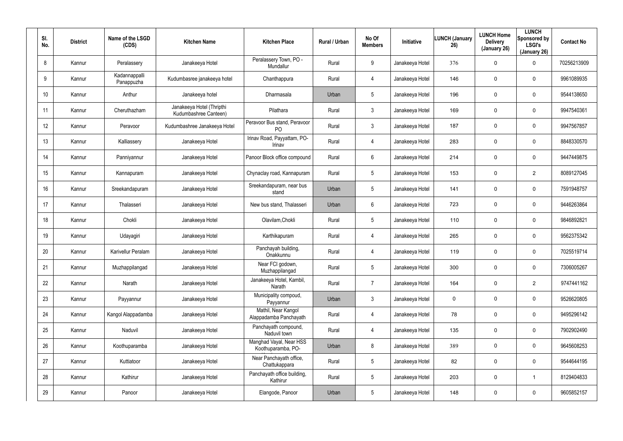| SI.<br>No.      | <b>District</b> | Name of the LSGD<br>(CDS)   | <b>Kitchen Name</b>                                | <b>Kitchen Place</b>                           | <b>Rural / Urban</b> | No Of<br><b>Members</b> | <b>Initiative</b> | <b>LUNCH (January</b><br>26) | <b>LUNCH Home</b><br><b>Delivery</b><br>(January 26) | <b>LUNCH</b><br>Sponsored by<br><b>LSGI's</b><br>(January 26) | <b>Contact No</b> |
|-----------------|-----------------|-----------------------------|----------------------------------------------------|------------------------------------------------|----------------------|-------------------------|-------------------|------------------------------|------------------------------------------------------|---------------------------------------------------------------|-------------------|
| 8               | Kannur          | Peralassery                 | Janakeeya Hotel                                    | Peralassery Town, PO -<br>Mundallur            | Rural                | 9                       | Janakeeya Hotel   | 376                          | $\mathbf 0$                                          | 0                                                             | 70256213909       |
| 9               | Kannur          | Kadannappalli<br>Panappuzha | Kudumbasree janakeeya hotel                        | Chanthappura                                   | Rural                | 4                       | Janakeeya Hotel   | 146                          | 0                                                    | 0                                                             | 9961089935        |
| 10 <sup>°</sup> | Kannur          | Anthur                      | Janakeeya hotel                                    | Dharmasala                                     | Urban                | $5\overline{)}$         | Janakeeya Hotel   | 196                          | $\mathbf 0$                                          | 0                                                             | 9544138650        |
| 11              | Kannur          | Cheruthazham                | Janakeeya Hotel (Thripthi<br>Kudumbashree Canteen) | Pilathara                                      | Rural                | 3                       | Janakeeya Hotel   | 169                          | 0                                                    | 0                                                             | 9947540361        |
| 12 <sup>°</sup> | Kannur          | Peravoor                    | Kudumbashree Janakeeya Hotel                       | Peravoor Bus stand, Peravoor<br>P <sub>O</sub> | Rural                | $\mathfrak{Z}$          | Janakeeya Hotel   | 187                          | $\mathbf 0$                                          | 0                                                             | 9947567857        |
| 13              | Kannur          | Kalliassery                 | Janakeeya Hotel                                    | Irinav Road, Payyattam, PO-<br>Irinav          | Rural                | 4                       | Janakeeya Hotel   | 283                          | 0                                                    | 0                                                             | 8848330570        |
| 14              | Kannur          | Panniyannur                 | Janakeeya Hotel                                    | Panoor Block office compound                   | Rural                | 6                       | Janakeeya Hotel   | 214                          | $\mathbf 0$                                          | 0                                                             | 9447449875        |
| 15              | Kannur          | Kannapuram                  | Janakeeya Hotel                                    | Chynaclay road, Kannapuram                     | Rural                | $5\overline{)}$         | Janakeeya Hotel   | 153                          | 0                                                    | 2                                                             | 8089127045        |
| 16              | Kannur          | Sreekandapuram              | Janakeeya Hotel                                    | Sreekandapuram, near bus<br>stand              | Urban                | 5                       | Janakeeya Hotel   | 141                          | $\mathbf 0$                                          | 0                                                             | 7591948757        |
| 17              | Kannur          | Thalasseri                  | Janakeeya Hotel                                    | New bus stand, Thalasseri                      | Urban                | 6                       | Janakeeya Hotel   | 723                          | 0                                                    | 0                                                             | 9446263864        |
| 18              | Kannur          | Chokli                      | Janakeeya Hotel                                    | Olavilam, Chokli                               | Rural                | $5\phantom{.0}$         | Janakeeya Hotel   | 110                          | $\mathbf 0$                                          | 0                                                             | 9846892821        |
| 19              | Kannur          | Udayagiri                   | Janakeeya Hotel                                    | Karthikapuram                                  | Rural                | 4                       | Janakeeya Hotel   | 265                          | 0                                                    | 0                                                             | 9562375342        |
| 20              | Kannur          | Karivellur Peralam          | Janakeeya Hotel                                    | Panchayah building,<br>Onakkunnu               | Rural                | 4                       | Janakeeya Hotel   | 119                          | $\mathbf 0$                                          | 0                                                             | 7025519714        |
| 21              | Kannur          | Muzhappilangad              | Janakeeya Hotel                                    | Near FCI godown,<br>Muzhappilangad             | Rural                | $5\phantom{.0}$         | Janakeeya Hotel   | 300                          | $\mathbf 0$                                          | 0                                                             | 7306005267        |
| 22              | Kannur          | Narath                      | Janakeeya Hotel                                    | Janakeeya Hotel, Kambil,<br>Narath             | Rural                | $\overline{7}$          | Janakeeya Hotel   | 164                          | $\mathbf 0$                                          | $\overline{2}$                                                | 9747441162        |
| 23              | Kannur          | Payyannur                   | Janakeeya Hotel                                    | Municipality compoud,<br>Payyannur             | Urban                | $\mathfrak{Z}$          | Janakeeya Hotel   | 0                            | $\mathbf 0$                                          | $\mathbf 0$                                                   | 9526620805        |
| 24              | Kannur          | Kangol Alappadamba          | Janakeeya Hotel                                    | Mathil, Near Kangol<br>Alappadamba Panchayath  | Rural                | $\overline{4}$          | Janakeeya Hotel   | 78                           | $\mathbf 0$                                          | 0                                                             | 9495296142        |
| 25              | Kannur          | Naduvil                     | Janakeeya Hotel                                    | Panchayath compound,<br>Naduvil town           | Rural                | 4                       | Janakeeya Hotel   | 135                          | $\mathbf 0$                                          | $\mathbf 0$                                                   | 7902902490        |
| 26              | Kannur          | Koothuparamba               | Janakeeya Hotel                                    | Manghad Vayal, Near HSS<br>Koothuparamba, PO-  | Urban                | 8                       | Janakeeya Hotel   | 389                          | 0                                                    | 0                                                             | 9645608253        |
| 27              | Kannur          | Kuttiatoor                  | Janakeeya Hotel                                    | Near Panchayath office,<br>Chattukappara       | Rural                | $5\phantom{.0}$         | Janakeeya Hotel   | 82                           | 0                                                    | $\mathbf 0$                                                   | 9544644195        |
| 28              | Kannur          | Kathirur                    | Janakeeya Hotel                                    | Panchayath office building,<br>Kathirur        | Rural                | $5\phantom{.0}$         | Janakeeya Hotel   | 203                          | $\pmb{0}$                                            | $\mathbf{1}$                                                  | 8129404833        |
| 29              | Kannur          | Panoor                      | Janakeeya Hotel                                    | Elangode, Panoor                               | Urban                | $5\phantom{.0}$         | Janakeeya Hotel   | 148                          | 0                                                    | $\mathbf 0$                                                   | 9605852157        |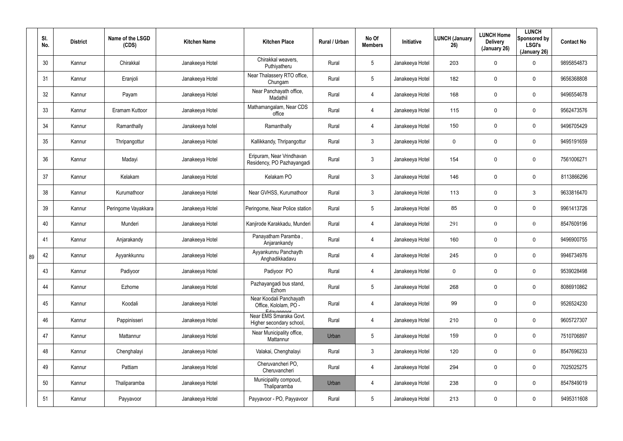|    | SI.<br>No. | <b>District</b> | Name of the LSGD<br>(CDS) | <b>Kitchen Name</b> | <b>Kitchen Place</b>                                             | Rural / Urban | No Of<br><b>Members</b> | Initiative      | <b>LUNCH (January</b><br>26) | <b>LUNCH Home</b><br><b>Delivery</b><br>(January 26) | <b>LUNCH</b><br>Sponsored by<br><b>LSGI's</b><br>(January 26) | <b>Contact No</b> |
|----|------------|-----------------|---------------------------|---------------------|------------------------------------------------------------------|---------------|-------------------------|-----------------|------------------------------|------------------------------------------------------|---------------------------------------------------------------|-------------------|
|    | 30         | Kannur          | Chirakkal                 | Janakeeya Hotel     | Chirakkal weavers,<br>Puthiyatheru                               | Rural         | $5\phantom{.0}$         | Janakeeya Hotel | 203                          | 0                                                    | 0                                                             | 9895854873        |
|    | 31         | Kannur          | Eranjoli                  | Janakeeya Hotel     | Near Thalassery RTO office,<br>Chungam                           | Rural         | $5\phantom{.0}$         | Janakeeya Hotel | 182                          | 0                                                    | $\mathbf 0$                                                   | 9656368808        |
|    | 32         | Kannur          | Payam                     | Janakeeya Hotel     | Near Panchayath office,<br>Madathil                              | Rural         | $\overline{4}$          | Janakeeya Hotel | 168                          | 0                                                    | $\mathbf 0$                                                   | 9496554678        |
|    | 33         | Kannur          | Eramam Kuttoor            | Janakeeya Hotel     | Mathamangalam, Near CDS<br>office                                | Rural         | $\overline{4}$          | Janakeeya Hotel | 115                          | 0                                                    | $\mathbf 0$                                                   | 9562473576        |
|    | 34         | Kannur          | Ramanthally               | Janakeeya hotel     | Ramanthally                                                      | Rural         | $\overline{4}$          | Janakeeya Hotel | 150                          | 0                                                    | $\mathbf 0$                                                   | 9496705429        |
|    | 35         | Kannur          | Thripangottur             | Janakeeya Hotel     | Kallikkandy, Thripangottur                                       | Rural         | $\mathbf{3}$            | Janakeeya Hotel | 0                            | 0                                                    | $\mathbf 0$                                                   | 9495191659        |
|    | 36         | Kannur          | Madayi                    | Janakeeya Hotel     | Eripuram, Near Vrindhavan<br>Residency, PO Pazhayangadi          | Rural         | $\mathfrak{Z}$          | Janakeeya Hotel | 154                          | 0                                                    | $\mathbf 0$                                                   | 7561006271        |
|    | 37         | Kannur          | Kelakam                   | Janakeeya Hotel     | Kelakam PO                                                       | Rural         | $\mathbf{3}$            | Janakeeya Hotel | 146                          | 0                                                    | 0                                                             | 8113866296        |
|    | 38         | Kannur          | Kurumathoor               | Janakeeya Hotel     | Near GVHSS, Kurumathoor                                          | Rural         | $\mathbf{3}$            | Janakeeya Hotel | 113                          | 0                                                    | 3                                                             | 9633816470        |
|    | 39         | Kannur          | Peringome Vayakkara       | Janakeeya Hotel     | Peringome, Near Police station                                   | Rural         | $5\phantom{.0}$         | Janakeeya Hotel | 85                           | 0                                                    | $\pmb{0}$                                                     | 9961413726        |
|    | 40         | Kannur          | Munderi                   | Janakeeya Hotel     | Kanjirode Karakkadu, Munderi                                     | Rural         | $\overline{4}$          | Janakeeya Hotel | 291                          | $\boldsymbol{0}$                                     | $\overline{0}$                                                | 8547609196        |
|    | 41         | Kannur          | Anjarakandy               | Janakeeya Hotel     | Panayatham Paramba,<br>Anjarankandy                              | Rural         | $\overline{4}$          | Janakeeya Hotel | 160                          | 0                                                    | $\mathbf 0$                                                   | 9496900755        |
| 89 | 42         | Kannur          | Ayyankkunnu               | Janakeeya Hotel     | Ayyankunnu Panchayth<br>Anghadikkadavu                           | Rural         | 4                       | Janakeeya Hotel | 245                          | 0                                                    | 0                                                             | 9946734976        |
|    | 43         | Kannur          | Padiyoor                  | Janakeeya Hotel     | Padiyoor PO                                                      | Rural         | $\overline{4}$          | Janakeeya Hotel | 0                            | 0                                                    | $\pmb{0}$                                                     | 9539028498        |
|    | 44         | Kannur          | Ezhome                    | Janakeeya Hotel     | Pazhayangadi bus stand,<br>Ezhom                                 | Rural         | $5\phantom{.0}$         | Janakeeya Hotel | 268                          | 0                                                    | $\mathbf 0$                                                   | 8086910862        |
|    | 45         | Kannur          | Koodali                   | Janakeeya Hotel     | Near Koodali Panchayath<br>Office, Kololam, PO -                 | Rural         | 4                       | Janakeeya Hotel | 99                           | 0                                                    | $\mathbf 0$                                                   | 9526524230        |
|    | 46         | Kannur          | Pappinisseri              | Janakeeya Hotel     | Edavannont<br>Near EMS Smaraka Govt.<br>Higher secondary school, | Rural         | $\overline{4}$          | Janakeeya Hotel | 210                          | 0                                                    | $\mathbf 0$                                                   | 9605727307        |
|    | 47         | Kannur          | Mattannur                 | Janakeeya Hotel     | Near Municipality office,<br>Mattannur                           | Urban         | $5\phantom{.0}$         | Janakeeya Hotel | 159                          | 0                                                    | $\mathbf 0$                                                   | 7510706897        |
|    | 48         | Kannur          | Chenghalayi               | Janakeeya Hotel     | Valakai, Chenghalayi                                             | Rural         | $\mathbf{3}$            | Janakeeya Hotel | 120                          | 0                                                    | 0                                                             | 8547696233        |
|    | 49         | Kannur          | Pattiam                   | Janakeeya Hotel     | Cheruvancheri PO,<br>Cheruvancheri                               | Rural         | $\overline{4}$          | Janakeeya Hotel | 294                          | 0                                                    | 0                                                             | 7025025275        |
|    | 50         | Kannur          | Thaliparamba              | Janakeeya Hotel     | Municipality compoud,<br>Thaliparamba                            | Urban         | $\overline{4}$          | Janakeeya Hotel | 238                          | 0                                                    | 0                                                             | 8547849019        |
|    | 51         | Kannur          | Payyavoor                 | Janakeeya Hotel     | Payyavoor - PO, Payyavoor                                        | Rural         | $5\phantom{.0}$         | Janakeeya Hotel | 213                          | 0                                                    | 0                                                             | 9495311608        |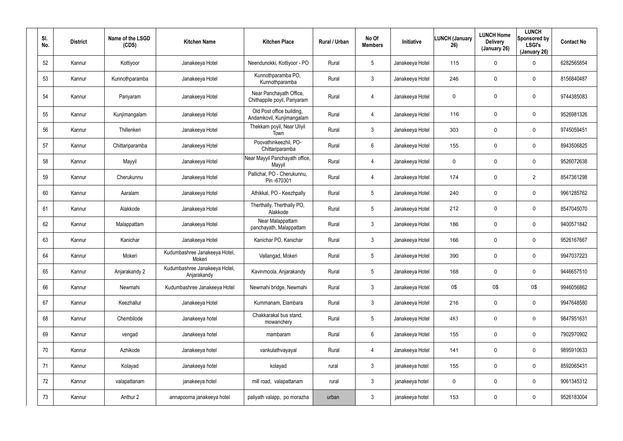| SI. | No. | <b>District</b> | Name of the LSGD<br>(CDS) | <b>Kitchen Name</b>                          | <b>Kitchen Place</b>                                    | Rural / Urban | No Of<br><b>Members</b> | Initiative      | <b>LUNCH (January</b><br>26) | <b>LUNCH Home</b><br><b>Delivery</b><br>(January 26) | <b>LUNCH</b><br>Sponsored by<br><b>LSGI's</b><br>(January 26) | <b>Contact No</b> |
|-----|-----|-----------------|---------------------------|----------------------------------------------|---------------------------------------------------------|---------------|-------------------------|-----------------|------------------------------|------------------------------------------------------|---------------------------------------------------------------|-------------------|
|     | 52  | Kannur          | Kottiyoor                 | Janakeeya Hotel                              | Neendunokki, Kottiyoor - PO                             | Rural         | $5\phantom{.0}$         | Janakeeya Hotel | 115                          | 0                                                    | $\mathbf 0$                                                   | 6282565854        |
|     | 53  | Kannur          | Kunnothparamba            | Janakeeya Hotel                              | Kunnothparamba PO,<br>Kunnothparamba                    | Rural         | 3                       | Janakeeya Hotel | 246                          | 0                                                    | 0                                                             | 8156840487        |
|     | 54  | Kannur          | Pariyaram                 | Janakeeya Hotel                              | Near Panchayath Office,<br>Chithappile poyil, Pariyaram | Rural         | 4                       | Janakeeya Hotel | $\mathbf 0$                  | 0                                                    | 0                                                             | 9744385083        |
|     | 55  | Kannur          | Kunjimangalam             | Janakeeya Hotel                              | Old Post office building,<br>Andamkovil, Kunjimangalam  | Rural         | 4                       | Janakeeya Hotel | 116                          | 0                                                    | $\pmb{0}$                                                     | 9526981326        |
|     | 56  | Kannur          | Thillenkeri               | Janakeeya Hotel                              | Thekkam poyil, Near Uliyil<br>Town                      | Rural         | $\mathbf{3}$            | Janakeeya Hotel | 303                          | 0                                                    | $\mathbf 0$                                                   | 9745059451        |
|     | 57  | Kannur          | Chittariparamba           | Janakeeya Hotel                              | Poovathinkeezhil, PO-<br>Chittariparamba                | Rural         | $6\phantom{.}$          | Janakeeya Hotel | 155                          | 0                                                    | 0                                                             | 8943506825        |
|     | 58  | Kannur          | Mayyil                    | Janakeeya Hotel                              | Near Mayyil Panchayath office,<br>Mayyil                | Rural         | 4                       | Janakeeya Hotel | $\mathbf 0$                  | 0                                                    | $\mathbf 0$                                                   | 9526072638        |
|     | 59  | Kannur          | Cherukunnu                | Janakeeya Hotel                              | Pallichal, PO - Cherukunnu,<br>Pin-670301               | Rural         | 4                       | Janakeeya Hotel | 174                          | 0                                                    | $\overline{2}$                                                | 8547361298        |
|     | 60  | Kannur          | Aaralam                   | Janakeeya Hotel                              | Athikkal, PO - Keezhpally                               | Rural         | $5\phantom{.0}$         | Janakeeya Hotel | 240                          | 0                                                    | $\mathbf 0$                                                   | 9961285762        |
|     | 61  | Kannur          | Alakkode                  | Janakeeya Hotel                              | Therthally, Therthally PO,<br>Alakkode                  | Rural         | $5\phantom{.0}$         | Janakeeya Hotel | 212                          | 0                                                    | 0                                                             | 8547045070        |
|     | 62  | Kannur          | Malappattam               | Janakeeya Hotel                              | Near Malappattam<br>panchayath, Malappattam             | Rural         | $\mathbf{3}$            | Janakeeya Hotel | 186                          | 0                                                    | $\mathbf 0$                                                   | 9400571842        |
|     | 63  | Kannur          | Kanichar                  | Janakeeya Hotel                              | Kanichar PO, Kanichar                                   | Rural         | 3                       | Janakeeya Hotel | 166                          | 0                                                    | 0                                                             | 9526167667        |
|     | 64  | Kannur          | Mokeri                    | Kudumbashree Janakeeya Hotel,<br>Mokeri      | Vallangad, Mokeri                                       | Rural         | $5\phantom{.0}$         | Janakeeya Hotel | 390                          | 0                                                    | $\mathbf 0$                                                   | 9947037223        |
|     | 65  | Kannur          | Anjarakandy 2             | Kudumbashree Janakeeya Hotel,<br>Anjarakandy | Kavinmoola, Anjarakandy                                 | Rural         | $5\phantom{.0}$         | Janakeeya Hotel | 168                          | 0                                                    | $\mathbf 0$                                                   | 9446657510        |
|     | 66  | Kannur          | Newmahi                   | Kudumbashree Janakeeya Hotel                 | Newmahi bridge, Newmahi                                 | Rural         | $\mathfrak{Z}$          | Janakeeya Hotel | 0\$                          | 0\$                                                  | 0\$                                                           | 9946056862        |
|     | 67  | Kannur          | Keezhallur                | Janakeeya Hotel                              | Kummanam, Elambara                                      | Rural         | $\mathfrak{Z}$          | Janakeeya Hotel | 216                          | 0                                                    | $\mathbf 0$                                                   | 9947648580        |
|     | 68  | Kannur          | Chembilode                | Janakeeya hotel                              | Chakkarakal bus stand,<br>mowanchery                    | Rural         | $5\phantom{.0}$         | Janakeeya Hotel | 483                          | $\overline{0}$                                       | $\mathbf{0}$                                                  | 9847951631        |
|     | 69  | Kannur          | vengad                    | Janakeeya hotel                              | mambaram                                                | Rural         | $6\phantom{.}$          | Janakeeya Hotel | 155                          | 0                                                    | $\mathbf 0$                                                   | 7902970902        |
|     | 70  | Kannur          | Azhikode                  | Janakeeya hotel                              | vankulathvayayal                                        | Rural         | 4                       | Janakeeya Hotel | 141                          | $\mathbf 0$                                          | $\mathbf 0$                                                   | 9895910633        |
|     | 71  | Kannur          | Kolayad                   | Janakeeya hotel                              | kolayad                                                 | rural         | $\mathfrak{Z}$          | janakeeya hotel | 155                          | 0                                                    | $\mathbf 0$                                                   | 8592065431        |
|     | 72  | Kannur          | valapattanam              | janakeeya hotel                              | mill road, valapattanam                                 | rural         | $\mathfrak{Z}$          | janakeeya hotel | 0                            | 0                                                    | $\mathbf 0$                                                   | 9061345312        |
|     | 73  | Kannur          | Anthur 2                  | annapoorna janakeeya hotel                   | paliyath valapp, po morazha                             | urban         | $\mathfrak{Z}$          | janakeeya hotel | 153                          | 0                                                    | $\mathsf{O}$                                                  | 9526183004        |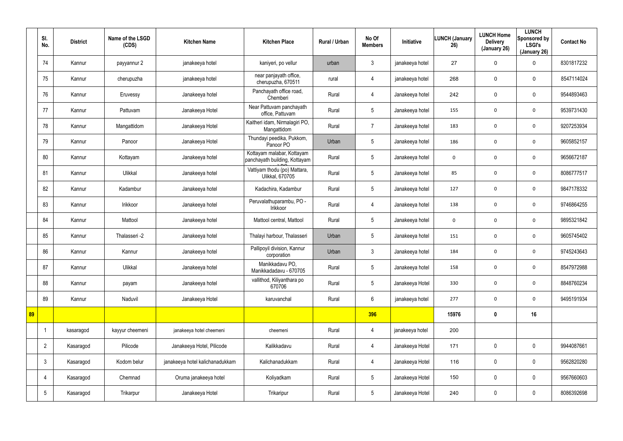|    | SI.<br>No.      | <b>District</b> | Name of the LSGD<br>(CDS) | <b>Kitchen Name</b>             | <b>Kitchen Place</b>                                        | Rural / Urban | No Of<br><b>Members</b> | Initiative      | <b>LUNCH (January</b><br>26) | <b>LUNCH Home</b><br><b>Delivery</b><br>(January 26) | <b>LUNCH</b><br>Sponsored by<br><b>LSGI's</b><br>(January 26) | <b>Contact No</b> |
|----|-----------------|-----------------|---------------------------|---------------------------------|-------------------------------------------------------------|---------------|-------------------------|-----------------|------------------------------|------------------------------------------------------|---------------------------------------------------------------|-------------------|
|    | 74              | Kannur          | payyannur 2               | janakeeya hotel                 | kaniyeri, po vellur                                         | urban         | $\mathbf{3}$            | janakeeya hotel | 27                           | 0                                                    | $\mathbf 0$                                                   | 8301817232        |
|    | 75              | Kannur          | cherupuzha                | janakeeya hotel                 | near panjayath office,<br>cherupuzha, 670511                | rural         | $\overline{4}$          | janakeeya hotel | 268                          | $\mathbf 0$                                          | $\mathbf 0$                                                   | 8547114024        |
|    | 76              | Kannur          | Eruvessy                  | Janakeeya hotel                 | Panchayath office road,<br>Chemberi                         | Rural         | 4                       | Janakeeya hotel | 242                          | $\mathbf 0$                                          | $\mathbf 0$                                                   | 9544893463        |
|    | 77              | Kannur          | Pattuvam                  | Janakeeya Hotel                 | Near Pattuvam panchayath<br>office, Pattuvam                | Rural         | $5\overline{)}$         | Janakeeya hotel | 155                          | 0                                                    | $\mathbf 0$                                                   | 9539731430        |
|    | 78              | Kannur          | Mangattidom               | Janakeeya Hotel                 | Kaitheri idam, Nirmalagiri PO,<br>Mangattidom               | Rural         | $\overline{7}$          | Janakeeya hotel | 183                          | 0                                                    | $\mathbf 0$                                                   | 9207253934        |
|    | 79              | Kannur          | Panoor                    | Janakeeya Hotel                 | Thundayi peedika, Pukkom,<br>Panoor PO                      | Urban         | 5                       | Janakeeya hotel | 186                          | 0                                                    | $\mathbf 0$                                                   | 9605852157        |
|    | 80              | Kannur          | Kottayam                  | Janakeeya hotel                 | Kottayam malabar, Kottayam<br>panchayath building, Kottayam | Rural         | $5\overline{)}$         | Janakeeya hotel | 0                            | 0                                                    | $\mathbf 0$                                                   | 9656672187        |
|    | 81              | Kannur          | Ulikkal                   | Janakeeya hotel                 | Vattiyam thodu (po) Mattara,<br><b>Ulikkal, 670705</b>      | Rural         | $5\overline{)}$         | Janakeeya hotel | 85                           | 0                                                    | $\mathbf 0$                                                   | 8086777517        |
|    | 82              | Kannur          | Kadambur                  | Janakeeya hotel                 | Kadachira, Kadambur                                         | Rural         | $5\overline{)}$         | Janakeeya hotel | 127                          | 0                                                    | $\mathbf 0$                                                   | 9847178332        |
|    | 83              | Kannur          | Irikkoor                  | Janakeeya hotel                 | Peruvalathuparambu, PO -<br>Irikkoor                        | Rural         | $\overline{4}$          | Janakeeya hotel | 138                          | 0                                                    | $\mathbf 0$                                                   | 9746864255        |
|    | 84              | Kannur          | Mattool                   | Janakeeya hotel                 | Mattool central, Mattool                                    | Rural         | $5\overline{)}$         | Janakeeya hotel | 0                            | 0                                                    | $\mathbf 0$                                                   | 9895321842        |
|    | 85              | Kannur          | Thalasseri -2             | Janakeeya hotel                 | Thalayi harbour, Thalasseri                                 | Urban         | $5\overline{)}$         | Janakeeya hotel | 151                          | 0                                                    | $\mathbf 0$                                                   | 9605745402        |
|    | 86              | Kannur          | Kannur                    | Janakeeya hotel                 | Pallipoyil division, Kannur<br>corporation                  | Urban         | $\mathbf{3}$            | Janakeeya hotel | 184                          | 0                                                    | $\mathbf 0$                                                   | 9745243643        |
|    | 87              | Kannur          | Ulikkal                   | Janakeeya hotel                 | Manikkadavu PO,<br>Manikkadadavu - 670705                   | Rural         | $5\overline{)}$         | Janakeeya hotel | 158                          | $\pmb{0}$                                            | $\boldsymbol{0}$                                              | 8547972988        |
|    | 88              | Kannur          | payam                     | Janakeeya hotel                 | vallithod, Kiliyanthara po<br>670706                        | Rural         | $5\overline{)}$         | Janakeeya Hotel | 330                          | 0                                                    | $\mathbf 0$                                                   | 8848760234        |
|    | 89              | Kannur          | Naduvil                   | Janakeeya Hotel                 | karuvanchal                                                 | Rural         | $6\overline{6}$         | janakeeya hotel | 277                          | 0                                                    | $\mathbf 0$                                                   | 9495191934        |
| 89 |                 |                 |                           |                                 |                                                             |               | 396                     |                 | 15976                        | $\boldsymbol{0}$                                     | 16                                                            |                   |
|    |                 | kasaragod       | kayyur cheemeni           | janakeeya hotel cheemeni        | cheemeni                                                    | Rural         | $\overline{4}$          | janakeeya hotel | 200                          |                                                      |                                                               |                   |
|    | $\overline{2}$  | Kasaragod       | Pilicode                  | Janakeeya Hotel, Pilicode       | Kalikkadavu                                                 | Rural         | $\overline{4}$          | Janakeeya Hotel | 171                          | 0                                                    | $\mathbf 0$                                                   | 9944087661        |
|    | $\mathbf{3}$    | Kasaragod       | Kodom belur               | janakeeya hotel kalichanadukkam | Kalichanadukkam                                             | Rural         | $\overline{4}$          | Janakeeya Hotel | 116                          | 0                                                    | $\mathbf 0$                                                   | 9562820280        |
|    | 4               | Kasaragod       | Chemnad                   | Oruma janakeeya hotel           | Koliyadkam                                                  | Rural         | $5\overline{)}$         | Janakeeya Hotel | 150                          | 0                                                    | $\mathbf 0$                                                   | 9567660603        |
|    | $5\phantom{.0}$ | Kasaragod       | Trikarpur                 | Janakeeya Hotel                 | Trikaripur                                                  | Rural         | 5 <sub>5</sub>          | Janakeeya Hotel | 240                          | 0                                                    | $\mathbf 0$                                                   | 8086392698        |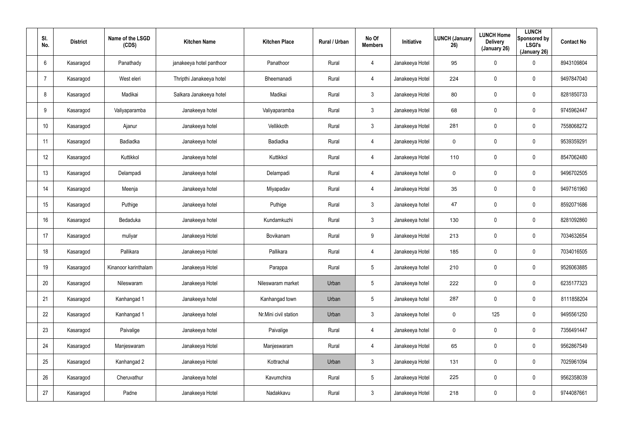| SI.<br>No.      | <b>District</b> | Name of the LSGD<br>(CDS) | <b>Kitchen Name</b>      | <b>Kitchen Place</b>  | Rural / Urban | No Of<br><b>Members</b> | Initiative      | <b>LUNCH (January</b><br>26) | <b>LUNCH Home</b><br><b>Delivery</b><br>(January 26) | <b>LUNCH</b><br>Sponsored by<br><b>LSGI's</b><br>(January 26) | <b>Contact No</b> |
|-----------------|-----------------|---------------------------|--------------------------|-----------------------|---------------|-------------------------|-----------------|------------------------------|------------------------------------------------------|---------------------------------------------------------------|-------------------|
| 6               | Kasaragod       | Panathady                 | janakeeya hotel panthoor | Panathoor             | Rural         | 4                       | Janakeeya Hotel | 95                           | $\boldsymbol{0}$                                     | $\boldsymbol{0}$                                              | 8943109804        |
|                 | Kasaragod       | West eleri                | Thripthi Janakeeya hotel | Bheemanadi            | Rural         | 4                       | Janakeeya Hotel | 224                          | $\boldsymbol{0}$                                     | $\mathbf 0$                                                   | 9497847040        |
| 8               | Kasaragod       | Madikai                   | Salkara Janakeeya hotel  | Madikai               | Rural         | 3 <sup>1</sup>          | Janakeeya Hotel | 80                           | $\boldsymbol{0}$                                     | $\pmb{0}$                                                     | 8281850733        |
| 9               | Kasaragod       | Valiyaparamba             | Janakeeya hotel          | Valiyaparamba         | Rural         | $\mathbf{3}$            | Janakeeya Hotel | 68                           | $\boldsymbol{0}$                                     | $\boldsymbol{0}$                                              | 9745962447        |
| 10 <sup>°</sup> | Kasaragod       | Ajanur                    | Janakeeya hotel          | Vellikkoth            | Rural         | 3                       | Janakeeya Hotel | 281                          | $\boldsymbol{0}$                                     | $\boldsymbol{0}$                                              | 7558068272        |
| 11              | Kasaragod       | Badiadka                  | Janakeeya hotel          | <b>Badiadka</b>       | Rural         | 4                       | Janakeeya Hotel | 0                            | 0                                                    | $\mathbf 0$                                                   | 9539359291        |
| 12              | Kasaragod       | Kuttikkol                 | Janakeeya hotel          | Kuttikkol             | Rural         | $\overline{4}$          | Janakeeya Hotel | 110                          | $\boldsymbol{0}$                                     | $\pmb{0}$                                                     | 8547062480        |
| 13              | Kasaragod       | Delampadi                 | Janakeeya hotel          | Delampadi             | Rural         | 4                       | Janakeeya hotel | 0                            | $\boldsymbol{0}$                                     | $\mathbf 0$                                                   | 9496702505        |
| 14              | Kasaragod       | Meenja                    | Janakeeya hotel          | Miyapadav             | Rural         | 4                       | Janakeeya Hotel | 35                           | $\boldsymbol{0}$                                     | $\boldsymbol{0}$                                              | 9497161960        |
| 15              | Kasaragod       | Puthige                   | Janakeeya hotel          | Puthige               | Rural         | $\mathbf{3}$            | Janakeeya hotel | 47                           | $\boldsymbol{0}$                                     | $\boldsymbol{0}$                                              | 8592071686        |
| 16              | Kasaragod       | Bedaduka                  | Janakeeya hotel          | Kundamkuzhi           | Rural         | $\mathbf{3}$            | Janakeeya hotel | 130                          | $\boldsymbol{0}$                                     | $\pmb{0}$                                                     | 8281092860        |
| 17              | Kasaragod       | muliyar                   | Janakeeya Hotel          | Bovikanam             | Rural         | 9                       | Janakeeya Hotel | 213                          | $\boldsymbol{0}$                                     | $\pmb{0}$                                                     | 7034632654        |
| 18              | Kasaragod       | Pallikara                 | Janakeeya Hotel          | Pallikara             | Rural         | 4                       | Janakeeya Hotel | 185                          | $\boldsymbol{0}$                                     | $\pmb{0}$                                                     | 7034016505        |
| 19              | Kasaragod       | Kinanoor karinthalam      | Janakeeya Hotel          | Parappa               | Rural         | $5\phantom{.0}$         | Janakeeya hotel | 210                          | $\pmb{0}$                                            | $\pmb{0}$                                                     | 9526063885        |
| 20              | Kasaragod       | Nileswaram                | Janakeeya Hotel          | Nileswaram market     | Urban         | $5\phantom{.0}$         | Janakeeya hotel | 222                          | 0                                                    | $\mathbf 0$                                                   | 6235177323        |
| 21              | Kasaragod       | Kanhangad 1               | Janakeeya hotel          | Kanhangad town        | Urban         | 5 <sub>5</sub>          | Janakeeya hotel | 287                          | 0                                                    | $\mathbf 0$                                                   | 8111858204        |
| 22              | Kasaragod       | Kanhangad 1               | Janakeeya hotel          | Nr.Mini civil station | Urban         | $\mathbf{3}$            | Janakeeya hotel | 0                            | 125                                                  | $\mathbf 0$                                                   | 9495561250        |
| 23              | Kasaragod       | Paivalige                 | Janakeeya hotel          | Paivalige             | Rural         | $\overline{4}$          | Janakeeya hotel | 0                            | 0                                                    | $\mathbf 0$                                                   | 7356491447        |
| 24              | Kasaragod       | Manjeswaram               | Janakeeya Hotel          | Manjeswaram           | Rural         | $\overline{4}$          | Janakeeya Hotel | 65                           | 0                                                    | $\mathbf 0$                                                   | 9562867549        |
| 25              | Kasaragod       | Kanhangad 2               | Janakeeya Hotel          | Kottrachal            | Urban         | 3 <sup>5</sup>          | Janakeeya Hotel | 131                          | 0                                                    | $\mathbf 0$                                                   | 7025961094        |
| 26              | Kasaragod       | Cheruvathur               | Janakeeya hotel          | Kavumchira            | Rural         | $5\overline{)}$         | Janakeeya Hotel | 225                          | $\boldsymbol{0}$                                     | $\mathbf 0$                                                   | 9562358039        |
| 27              | Kasaragod       | Padne                     | Janakeeya Hotel          | Nadakkavu             | Rural         | $\mathbf{3}$            | Janakeeya Hotel | 218                          | 0                                                    | $\bf{0}$                                                      | 9744087661        |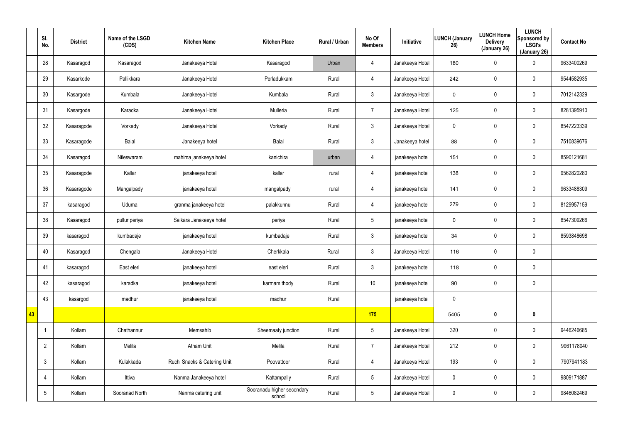|    | SI.<br>No.      | <b>District</b> | Name of the LSGD<br>(CDS) | <b>Kitchen Name</b>          | <b>Kitchen Place</b>                 | Rural / Urban | No Of<br><b>Members</b> | Initiative      | <b>LUNCH (January</b><br>26) | <b>LUNCH Home</b><br><b>Delivery</b><br>(January 26) | <b>LUNCH</b><br>Sponsored by<br><b>LSGI's</b><br>(January 26) | <b>Contact No</b> |
|----|-----------------|-----------------|---------------------------|------------------------------|--------------------------------------|---------------|-------------------------|-----------------|------------------------------|------------------------------------------------------|---------------------------------------------------------------|-------------------|
|    | 28              | Kasaragod       | Kasaragod                 | Janakeeya Hotel              | Kasaragod                            | Urban         | $\overline{4}$          | Janakeeya Hotel | 180                          | $\mathbf 0$                                          | 0                                                             | 9633400269        |
|    | 29              | Kasarkode       | Pallikkara                | Janakeeya Hotel              | Perladukkam                          | Rural         | $\overline{4}$          | Janakeeya Hotel | 242                          | 0                                                    | $\mathbf 0$                                                   | 9544582935        |
|    | 30              | Kasargode       | Kumbala                   | Janakeeya Hotel              | Kumbala                              | Rural         | 3                       | Janakeeya Hotel | 0                            | $\mathbf 0$                                          | $\mathbf 0$                                                   | 7012142329        |
|    | 31              | Kasargode       | Karadka                   | Janakeeya Hotel              | Mulleria                             | Rural         | $\overline{7}$          | Janakeeya Hotel | 125                          | $\mathbf 0$                                          | $\mathbf 0$                                                   | 8281395910        |
|    | 32              | Kasaragode      | Vorkady                   | Janakeeya Hotel              | Vorkady                              | Rural         | $\mathbf{3}$            | Janakeeya Hotel | 0                            | $\mathbf 0$                                          | $\mathbf 0$                                                   | 8547223339        |
|    | 33              | Kasaragode      | Balal                     | Janakeeya hotel              | Balal                                | Rural         | $\mathbf{3}$            | Janakeeya hotel | 88                           | $\mathbf 0$                                          | $\mathbf 0$                                                   | 7510839676        |
|    | 34              | Kasaragod       | Nileswaram                | mahima janakeeya hotel       | kanichira                            | urban         | 4                       | janakeeya hotel | 151                          | $\mathbf 0$                                          | $\mathbf 0$                                                   | 8590121681        |
|    | 35              | Kasaragode      | Kallar                    | janakeeya hotel              | kallar                               | rural         | 4                       | janakeeya hotel | 138                          | 0                                                    | $\mathbf 0$                                                   | 9562820280        |
|    | 36              | Kasaragode      | Mangalpady                | janakeeya hotel              | mangalpady                           | rural         | 4                       | janakeeya hotel | 141                          | $\mathbf 0$                                          | $\pmb{0}$                                                     | 9633488309        |
|    | 37              | kasaragod       | Uduma                     | granma janakeeya hotel       | palakkunnu                           | Rural         | $\overline{4}$          | janakeeya hotel | 279                          | 0                                                    | $\mathbf 0$                                                   | 8129957159        |
|    | 38              | Kasaragod       | pullur periya             | Salkara Janakeeya hotel      | periya                               | Rural         | $5\overline{)}$         | janakeeya hotel | $\mathbf 0$                  | 0                                                    | 0                                                             | 8547309266        |
|    | 39              | kasaragod       | kumbadaje                 | janakeeya hotel              | kumbadaje                            | Rural         | 3                       | janakeeya hotel | 34                           | 0                                                    | $\mathbf 0$                                                   | 8593848698        |
|    | 40              | Kasaragod       | Chengala                  | Janakeeya Hotel              | Cherkkala                            | Rural         | $\mathbf{3}$            | Janakeeya Hotel | 116                          | 0                                                    | $\pmb{0}$                                                     |                   |
|    | 41              | kasaragod       | East eleri                | janakeeya hotel              | east eleri                           | Rural         | $\mathbf{3}$            | janakeeya hotel | 118                          | $\pmb{0}$                                            | $\pmb{0}$                                                     |                   |
|    | 42              | kasaragod       | karadka                   | janakeeya hotel              | karmam thody                         | Rural         | 10 <sup>°</sup>         | janakeeya hotel | 90                           | $\pmb{0}$                                            | $\mathbf 0$                                                   |                   |
|    | 43              | kasargod        | madhur                    | janakeeya hotel              | madhur                               | Rural         |                         | janakeeya hotel | $\mathbf 0$                  |                                                      |                                                               |                   |
| 43 |                 |                 |                           |                              |                                      |               | 175                     |                 | 5405                         | $\boldsymbol{0}$                                     | $\mathbf 0$                                                   |                   |
|    | -1              | Kollam          | Chathannur                | Memsahib                     | Sheemaaty junction                   | Rural         | $5\overline{)}$         | Janakeeya Hotel | 320                          | 0                                                    | $\pmb{0}$                                                     | 9446246685        |
|    | $\overline{2}$  | Kollam          | Melila                    | <b>Atham Unit</b>            | Melila                               | Rural         | $\overline{7}$          | Janakeeya Hotel | 212                          | $\mathbf 0$                                          | $\pmb{0}$                                                     | 9961178040        |
|    | $\mathbf{3}$    | Kollam          | Kulakkada                 | Ruchi Snacks & Catering Unit | Poovattoor                           | Rural         | $\overline{4}$          | Janakeeya Hotel | 193                          | 0                                                    | $\pmb{0}$                                                     | 7907941183        |
|    | $\overline{4}$  | Kollam          | Ittiva                    | Nanma Janakeeya hotel        | Kattampally                          | Rural         | $5\overline{)}$         | Janakeeya Hotel | $\pmb{0}$                    | $\mathbf 0$                                          | $\mathbf 0$                                                   | 9809171887        |
|    | $5\phantom{.0}$ | Kollam          | Sooranad North            | Nanma catering unit          | Sooranadu higher secondary<br>school | Rural         | $5\overline{)}$         | Janakeeya Hotel | 0                            | 0                                                    | $\mathsf{0}$                                                  | 9846082469        |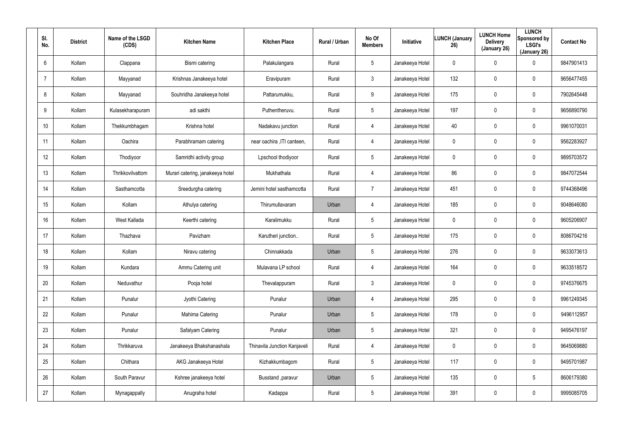| SI.<br>No.      | <b>District</b> | Name of the LSGD<br>(CDS) | <b>Kitchen Name</b>              | <b>Kitchen Place</b>         | Rural / Urban | No Of<br><b>Members</b> | Initiative      | <b>LUNCH (January</b><br>26) | <b>LUNCH Home</b><br><b>Delivery</b><br>(January 26) | <b>LUNCH</b><br>Sponsored by<br><b>LSGI's</b><br>(January 26) | <b>Contact No</b> |
|-----------------|-----------------|---------------------------|----------------------------------|------------------------------|---------------|-------------------------|-----------------|------------------------------|------------------------------------------------------|---------------------------------------------------------------|-------------------|
| $6\phantom{.}6$ | Kollam          | Clappana                  | Bismi catering                   | Palakulangara                | Rural         | $5\overline{)}$         | Janakeeya Hotel | 0                            | $\mathbf 0$                                          | 0                                                             | 9847901413        |
| $\overline{7}$  | Kollam          | Mayyanad                  | Krishnas Janakeeya hotel         | Eravipuram                   | Rural         | $\mathfrak{Z}$          | Janakeeya Hotel | 132                          | $\pmb{0}$                                            | 0                                                             | 9656477455        |
| 8               | Kollam          | Mayyanad                  | Souhridha Janakeeya hotel        | Pattarumukku,                | Rural         | 9                       | Janakeeya Hotel | 175                          | $\pmb{0}$                                            | 0                                                             | 7902645448        |
| 9               | Kollam          | Kulasekharapuram          | adi sakthi                       | Puthentheruvu.               | Rural         | $5\overline{)}$         | Janakeeya Hotel | 197                          | $\mathbf 0$                                          | 0                                                             | 9656890790        |
| 10 <sup>°</sup> | Kollam          | Thekkumbhagam             | Krishna hotel                    | Nadakavu junction            | Rural         | $\overline{4}$          | Janakeeya Hotel | 40                           | $\mathbf 0$                                          | 0                                                             | 9961070031        |
| 11              | Kollam          | Oachira                   | Parabhramam catering             | near oachira , ITI canteen,  | Rural         | 4                       | Janakeeya Hotel | $\mathbf 0$                  | $\mathbf 0$                                          | 0                                                             | 9562283927        |
| 12 <sup>°</sup> | Kollam          | Thodiyoor                 | Samridhi activity group          | Lpschool thodiyoor           | Rural         | $5\phantom{.0}$         | Janakeeya Hotel | $\mathbf 0$                  | $\mathbf 0$                                          | 0                                                             | 9895703572        |
| 13              | Kollam          | Thrikkovilvattom          | Murari catering, janakeeya hotel | Mukhathala                   | Rural         | 4                       | Janakeeya Hotel | 86                           | 0                                                    | 0                                                             | 9847072544        |
| 14              | Kollam          | Sasthamcotta              | Sreedurgha catering              | Jemini hotel sasthamcotta    | Rural         | $\overline{7}$          | Janakeeya Hotel | 451                          | $\mathbf 0$                                          | 0                                                             | 9744368496        |
| 15 <sub>2</sub> | Kollam          | Kollam                    | Athulya catering                 | Thirumullavaram              | Urban         | 4                       | Janakeeya Hotel | 185                          | $\mathbf 0$                                          | 0                                                             | 9048646080        |
| 16              | Kollam          | West Kallada              | Keerthi catering                 | Karalimukku                  | Rural         | $5\overline{)}$         | Janakeeya Hotel | $\mathbf 0$                  | $\mathbf 0$                                          | 0                                                             | 9605206907        |
| 17              | Kollam          | Thazhava                  | Pavizham                         | Karutheri junction           | Rural         | $5\overline{)}$         | Janakeeya Hotel | 175                          | $\mathbf 0$                                          | 0                                                             | 8086704216        |
| 18              | Kollam          | Kollam                    | Niravu catering                  | Chinnakkada                  | Urban         | $5\phantom{.0}$         | Janakeeya Hotel | 276                          | $\boldsymbol{0}$                                     | 0                                                             | 9633073613        |
| 19              | Kollam          | Kundara                   | Ammu Catering unit               | Mulavana LP school           | Rural         | 4                       | Janakeeya Hotel | 164                          | $\overline{0}$                                       | 0                                                             | 9633518572        |
| 20              | Kollam          | Neduvathur                | Pooja hotel                      | Thevalappuram                | Rural         | $\mathbf{3}$            | Janakeeya Hotel | $\mathbf 0$                  | $\overline{0}$                                       | 0                                                             | 9745376675        |
| 21              | Kollam          | Punalur                   | Jyothi Catering                  | Punalur                      | Urban         | $\overline{4}$          | Janakeeya Hotel | 295                          | $\overline{0}$                                       | 0                                                             | 9961249345        |
| 22              | Kollam          | Punalur                   | Mahima Catering                  | Punalur                      | Urban         | $5\phantom{.0}$         | Janakeeya Hotel | 178                          | $\overline{0}$                                       | 0                                                             | 9496112957        |
| 23              | Kollam          | Punalur                   | Safalyam Catering                | Punalur                      | Urban         | $5\phantom{.0}$         | Janakeeya Hotel | 321                          | $\boldsymbol{0}$                                     | 0                                                             | 9495476197        |
| 24              | Kollam          | Thrikkaruva               | Janakeeya Bhakshanashala         | Thinavila Junction Kanjaveli | Rural         | $\overline{4}$          | Janakeeya Hotel | 0                            | $\boldsymbol{0}$                                     | 0                                                             | 9645069880        |
| 25              | Kollam          | Chithara                  | AKG Janakeeya Hotel              | Kizhakkumbagom               | Rural         | $5\phantom{.0}$         | Janakeeya Hotel | 117                          | $\boldsymbol{0}$                                     | 0                                                             | 9495701987        |
| 26              | Kollam          | South Paravur             | Kshree janakeeya hotel           | Busstand , paravur           | Urban         | $5\phantom{.0}$         | Janakeeya Hotel | 135                          | $\boldsymbol{0}$                                     | $5\phantom{.0}$                                               | 8606179380        |
| 27              | Kollam          | Mynagappally              | Anugraha hotel                   | Kadappa                      | Rural         | $5\phantom{.0}$         | Janakeeya Hotel | 391                          | $\boldsymbol{0}$                                     | 0                                                             | 9995085705        |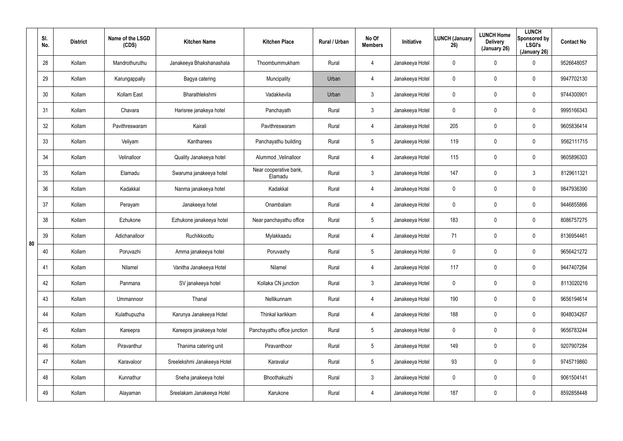|    | SI.<br>No. | <b>District</b> | Name of the LSGD<br>(CDS) | <b>Kitchen Name</b>         | <b>Kitchen Place</b>              | Rural / Urban | No Of<br><b>Members</b> | Initiative      | <b>LUNCH (January</b><br>26) | <b>LUNCH Home</b><br><b>Delivery</b><br>(January 26) | <b>LUNCH</b><br>Sponsored by<br><b>LSGI's</b><br>(January 26) | <b>Contact No</b> |
|----|------------|-----------------|---------------------------|-----------------------------|-----------------------------------|---------------|-------------------------|-----------------|------------------------------|------------------------------------------------------|---------------------------------------------------------------|-------------------|
|    | 28         | Kollam          | Mandrothuruthu            | Janakeeya Bhakshanashala    | Thoombummukham                    | Rural         | 4                       | Janakeeya Hotel | 0                            | $\mathbf 0$                                          | 0                                                             | 9526648057        |
|    | 29         | Kollam          | Karungappally             | Bagya catering              | Muncipality                       | Urban         | 4                       | Janakeeya Hotel | 0                            | $\mathbf 0$                                          | 0                                                             | 9947702130        |
|    | 30         | Kollam          | Kollam East               | Bharathlekshmi              | Vadakkevila                       | Urban         | $\mathfrak{Z}$          | Janakeeya Hotel | 0                            | $\mathbf 0$                                          | 0                                                             | 9744300901        |
|    | 31         | Kollam          | Chavara                   | Harisree janakeya hotel     | Panchayath                        | Rural         | 3                       | Janakeeya Hotel | 0                            | $\mathbf 0$                                          | 0                                                             | 9995166343        |
|    | 32         | Kollam          | Pavithreswaram            | Kairali                     | Pavithreswaram                    | Rural         | 4                       | Janakeeya Hotel | 205                          | $\mathbf 0$                                          | 0                                                             | 9605836414        |
|    | 33         | Kollam          | Veliyam                   | Kantharees                  | Panchayathu building              | Rural         | 5                       | Janakeeya Hotel | 119                          | $\mathbf 0$                                          | 0                                                             | 9562111715        |
|    | 34         | Kollam          | Velinalloor               | Quality Janakeeya hotel     | Alummod, Velinalloor              | Rural         | 4                       | Janakeeya Hotel | 115                          | $\mathbf 0$                                          | 0                                                             | 9605896303        |
|    | 35         | Kollam          | Elamadu                   | Swaruma janakeeya hotel     | Near cooperative bank,<br>Elamadu | Rural         | $\mathbf{3}$            | Janakeeya Hotel | 147                          | 0                                                    | 3                                                             | 8129611321        |
|    | 36         | Kollam          | Kadakkal                  | Nanma janakeeya hotel       | Kadakkal                          | Rural         | 4                       | Janakeeya Hotel | $\mathbf 0$                  | 0                                                    | 0                                                             | 9847936390        |
|    | 37         | Kollam          | Perayam                   | Janakeeya hotel             | Onambalam                         | Rural         | 4                       | Janakeeya Hotel | 0                            | 0                                                    | 0                                                             | 9446855866        |
|    | 38         | Kollam          | Ezhukone                  | Ezhukone janakeeya hotel    | Near panchayathu office           | Rural         | $5\overline{)}$         | Janakeeya Hotel | 183                          | $\mathbf 0$                                          | 0                                                             | 8086757275        |
| 80 | 39         | Kollam          | Adichanalloor             | Ruchikkoottu                | Mylakkaadu                        | Rural         | 4                       | Janakeeya Hotel | 71                           | 0                                                    | 0                                                             | 8136954461        |
|    | 40         | Kollam          | Poruvazhi                 | Amma janakeeya hotel        | Poruvaxhy                         | Rural         | $5\overline{)}$         | Janakeeya Hotel | 0                            | $\mathbf 0$                                          | 0                                                             | 9656421272        |
|    | 41         | Kollam          | Nilamel                   | Vanitha Janakeeya Hotel     | Nilamel                           | Rural         | 4                       | Janakeeya Hotel | 117                          | $\overline{0}$                                       | 0                                                             | 9447407264        |
|    | 42         | Kollam          | Panmana                   | SV janakeeya hotel          | Kollaka CN junction               | Rural         | $\mathbf{3}$            | Janakeeya Hotel | $\mathbf 0$                  | $\mathbf 0$                                          | 0                                                             | 8113020216        |
|    | 43         | Kollam          | Ummannoor                 | Thanal                      | Nellikunnam                       | Rural         | 4                       | Janakeeya Hotel | 190                          | $\mathbf 0$                                          | 0                                                             | 9656194614        |
|    | 44         | Kollam          | Kulathupuzha              | Karunya Janakeeya Hotel     | Thinkal karikkam                  | Rural         | 4                       | Janakeeya Hotel | 188                          | $\mathbf 0$                                          | 0                                                             | 9048034267        |
|    | 45         | Kollam          | Kareepra                  | Kareepra janakeeya hotel    | Panchayathu office junction       | Rural         | $5\phantom{.0}$         | Janakeeya Hotel | 0                            | $\boldsymbol{0}$                                     | 0                                                             | 9656783244        |
|    | 46         | Kollam          | Piravanthur               | Thanima catering unit       | Piravanthoor                      | Rural         | $5\phantom{.0}$         | Janakeeya Hotel | 149                          | $\boldsymbol{0}$                                     | 0                                                             | 9207907284        |
|    | 47         | Kollam          | Karavaloor                | Sreelekshmi Janakeeya Hotel | Karavalur                         | Rural         | $5\phantom{.0}$         | Janakeeya Hotel | 93                           | $\boldsymbol{0}$                                     | 0                                                             | 9745719860        |
|    | 48         | Kollam          | Kunnathur                 | Sneha janakeeya hotel       | Bhoothakuzhi                      | Rural         | $\mathfrak{Z}$          | Janakeeya Hotel | 0                            | $\boldsymbol{0}$                                     | 0                                                             | 9061504141        |
|    | 49         | Kollam          | Alayaman                  | Sreelakam Janakeeya Hotel   | Karukone                          | Rural         | 4                       | Janakeeya Hotel | 187                          | $\mathbf 0$                                          | 0                                                             | 8592858448        |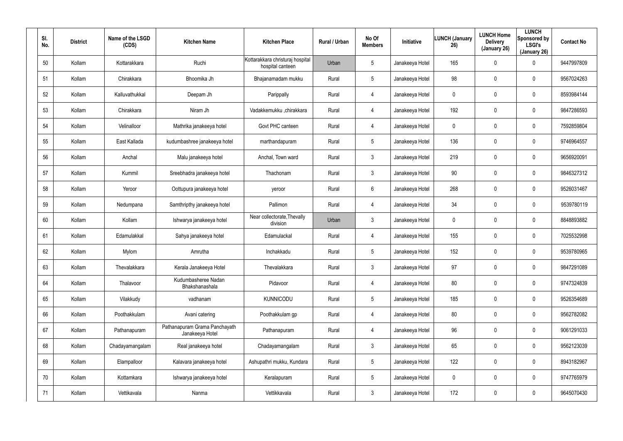| SI.<br>No. | <b>District</b> | Name of the LSGD<br>(CDS) | <b>Kitchen Name</b>                              | <b>Kitchen Place</b>                                 | Rural / Urban | No Of<br><b>Members</b> | Initiative      | <b>LUNCH (January</b><br>26) | <b>LUNCH Home</b><br><b>Delivery</b><br>(January 26) | <b>LUNCH</b><br>Sponsored by<br><b>LSGI's</b><br>(January 26) | <b>Contact No</b> |
|------------|-----------------|---------------------------|--------------------------------------------------|------------------------------------------------------|---------------|-------------------------|-----------------|------------------------------|------------------------------------------------------|---------------------------------------------------------------|-------------------|
| 50         | Kollam          | Kottarakkara              | Ruchi                                            | Kottarakkara christuraj hospital<br>hospital canteen | Urban         | $5\overline{)}$         | Janakeeya Hotel | 165                          | $\mathbf 0$                                          | 0                                                             | 9447997809        |
| 51         | Kollam          | Chirakkara                | Bhoomika Jh                                      | Bhajanamadam mukku                                   | Rural         | $5\overline{)}$         | Janakeeya Hotel | 98                           | 0                                                    | 0                                                             | 9567024263        |
| 52         | Kollam          | Kalluvathukkal            | Deepam Jh                                        | Parippally                                           | Rural         | 4                       | Janakeeya Hotel | 0                            | $\mathbf 0$                                          | 0                                                             | 8593984144        |
| 53         | Kollam          | Chirakkara                | Niram Jh                                         | Vadakkemukku ,chirakkara                             | Rural         | $\overline{4}$          | Janakeeya Hotel | 192                          | 0                                                    | 0                                                             | 9847286593        |
| 54         | Kollam          | Velinalloor               | Mathrika janakeeya hotel                         | Govt PHC canteen                                     | Rural         | 4                       | Janakeeya Hotel | 0                            | $\mathbf 0$                                          | 0                                                             | 7592859804        |
| 55         | Kollam          | East Kallada              | kudumbashree janakeeya hotel                     | marthandapuram                                       | Rural         | $5\overline{)}$         | Janakeeya Hotel | 136                          | 0                                                    | 0                                                             | 9746964557        |
| 56         | Kollam          | Anchal                    | Malu janakeeya hotel                             | Anchal, Town ward                                    | Rural         | $\mathbf{3}$            | Janakeeya Hotel | 219                          | $\pmb{0}$                                            | 0                                                             | 9656920091        |
| 57         | Kollam          | Kummil                    | Sreebhadra janakeeya hotel                       | Thachonam                                            | Rural         | $\mathbf{3}$            | Janakeeya Hotel | 90                           | $\boldsymbol{0}$                                     | 0                                                             | 9846327312        |
| 58         | Kollam          | Yeroor                    | Oottupura janakeeya hotel                        | yeroor                                               | Rural         | $6\phantom{.}6$         | Janakeeya Hotel | 268                          | $\pmb{0}$                                            | 0                                                             | 9526031467        |
| 59         | Kollam          | Nedumpana                 | Samthripthy janakeeya hotel                      | Pallimon                                             | Rural         | 4                       | Janakeeya Hotel | 34                           | $\boldsymbol{0}$                                     | 0                                                             | 9539780119        |
| 60         | Kollam          | Kollam                    | Ishwarya janakeeya hotel                         | Near collectorate, Thevally<br>division              | Urban         | $\mathbf{3}$            | Janakeeya Hotel | 0                            | $\pmb{0}$                                            | 0                                                             | 8848893882        |
| 61         | Kollam          | Edamulakkal               | Sahya janakeeya hotel                            | Edamulackal                                          | Rural         | 4                       | Janakeeya Hotel | 155                          | $\boldsymbol{0}$                                     | 0                                                             | 7025532998        |
| 62         | Kollam          | Mylom                     | Amrutha                                          | Inchakkadu                                           | Rural         | 5                       | Janakeeya Hotel | 152                          | $\boldsymbol{0}$                                     | 0                                                             | 9539780965        |
| 63         | Kollam          | Thevalakkara              | Kerala Janakeeya Hotel                           | Thevalakkara                                         | Rural         | 3                       | Janakeeya Hotel | 97                           | $\pmb{0}$                                            | 0                                                             | 9847291089        |
| 64         | Kollam          | Thalavoor                 | Kudumbasheree Nadan<br>Bhakshanashala            | Pidavoor                                             | Rural         | $\overline{4}$          | Janakeeya Hotel | 80                           | $\mathbf 0$                                          | 0                                                             | 9747324839        |
| 65         | Kollam          | Vilakkudy                 | vadhanam                                         | KUNNICODU                                            | Rural         | $5\phantom{.0}$         | Janakeeya Hotel | 185                          | $\boldsymbol{0}$                                     | 0                                                             | 9526354689        |
| 66         | Kollam          | Poothakkulam              | Avani catering                                   | Poothakkulam gp                                      | Rural         | $\overline{4}$          | Janakeeya Hotel | 80                           | $\overline{0}$                                       | 0                                                             | 9562782082        |
| 67         | Kollam          | Pathanapuram              | Pathanapuram Grama Panchayath<br>Janakeeya Hotel | Pathanapuram                                         | Rural         | 4                       | Janakeeya Hotel | 96                           | $\overline{0}$                                       | 0                                                             | 9061291033        |
| 68         | Kollam          | Chadayamangalam           | Real janakeeya hotel                             | Chadayamangalam                                      | Rural         | $\mathbf{3}$            | Janakeeya Hotel | 65                           | $\overline{0}$                                       | 0                                                             | 9562123039        |
| 69         | Kollam          | Elampalloor               | Kalavara janakeeya hotel                         | Ashupathri mukku, Kundara                            | Rural         | $5\phantom{.0}$         | Janakeeya Hotel | 122                          | $\overline{0}$                                       | 0                                                             | 8943182967        |
| 70         | Kollam          | Kottamkara                | Ishwarya janakeeya hotel                         | Keralapuram                                          | Rural         | $5\phantom{.0}$         | Janakeeya Hotel | 0                            | $\overline{0}$                                       | 0                                                             | 9747765979        |
| 71         | Kollam          | Vettikavala               | Nanma                                            | Vettikkavala                                         | Rural         | $\mathfrak{Z}$          | Janakeeya Hotel | 172                          | $\mathbf 0$                                          | 0                                                             | 9645070430        |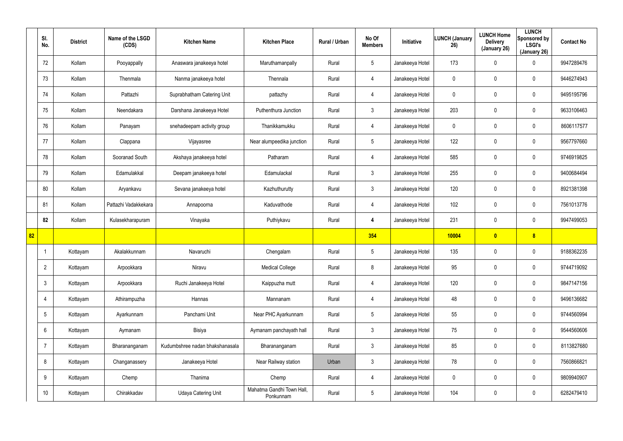|                 | SI.<br>No.      | <b>District</b> | Name of the LSGD<br>(CDS) | <b>Kitchen Name</b>             | <b>Kitchen Place</b>                   | Rural / Urban | No Of<br><b>Members</b> | Initiative      | LUNCH (January<br>26) | <b>LUNCH Home</b><br><b>Delivery</b><br>(January 26) | <b>LUNCH</b><br>Sponsored by<br><b>LSGI's</b><br>(January 26) | <b>Contact No</b> |
|-----------------|-----------------|-----------------|---------------------------|---------------------------------|----------------------------------------|---------------|-------------------------|-----------------|-----------------------|------------------------------------------------------|---------------------------------------------------------------|-------------------|
|                 | 72              | Kollam          | Pooyappally               | Anaswara janakeeya hotel        | Maruthamanpally                        | Rural         | $5\phantom{.0}$         | Janakeeya Hotel | 173                   | 0                                                    | $\mathbf 0$                                                   | 9947289476        |
|                 | 73              | Kollam          | Thenmala                  | Nanma janakeeya hotel           | Thennala                               | Rural         | 4                       | Janakeeya Hotel | 0                     | 0                                                    | $\mathbf 0$                                                   | 9446274943        |
|                 | 74              | Kollam          | Pattazhi                  | Suprabhatham Catering Unit      | pattazhy                               | Rural         | $\overline{4}$          | Janakeeya Hotel | 0                     | 0                                                    | $\mathbf 0$                                                   | 9495195796        |
|                 | 75              | Kollam          | Neendakara                | Darshana Janakeeya Hotel        | Puthenthura Junction                   | Rural         | $\mathfrak{Z}$          | Janakeeya Hotel | 203                   | 0                                                    | $\mathbf 0$                                                   | 9633106463        |
|                 | 76              | Kollam          | Panayam                   | snehadeepam activity group      | Thanikkamukku                          | Rural         | $\overline{4}$          | Janakeeya Hotel | 0                     | 0                                                    | $\mathbf 0$                                                   | 8606117577        |
|                 | 77              | Kollam          | Clappana                  | Vijayasree                      | Near alumpeedika junction              | Rural         | $5\phantom{.0}$         | Janakeeya Hotel | 122                   | 0                                                    | $\mathbf 0$                                                   | 9567797660        |
|                 | 78              | Kollam          | Sooranad South            | Akshaya janakeeya hotel         | Patharam                               | Rural         | $\overline{4}$          | Janakeeya Hotel | 585                   | 0                                                    | $\mathbf 0$                                                   | 9746919825        |
|                 | 79              | Kollam          | Edamulakkal               | Deepam janakeeya hotel          | Edamulackal                            | Rural         | $\mathbf{3}$            | Janakeeya Hotel | 255                   | 0                                                    | $\mathbf 0$                                                   | 9400684494        |
|                 | 80              | Kollam          | Aryankavu                 | Sevana janakeeya hotel          | Kazhuthurutty                          | Rural         | $\mathbf{3}$            | Janakeeya Hotel | 120                   | 0                                                    | $\mathbf 0$                                                   | 8921381398        |
|                 | 81              | Kollam          | Pattazhi Vadakkekara      | Annapoorna                      | Kaduvathode                            | Rural         | $\overline{4}$          | Janakeeya Hotel | 102                   | 0                                                    | $\mathbf 0$                                                   | 7561013776        |
|                 | 82              | Kollam          | Kulasekharapuram          | Vinayaka                        | Puthiykavu                             | Rural         | 4                       | Janakeeya Hotel | 231                   | $\mathbf 0$                                          | $\mathbf 0$                                                   | 9947499053        |
| $\overline{82}$ |                 |                 |                           |                                 |                                        |               | 354                     |                 | 10004                 | $\overline{\mathbf{0}}$                              | 8                                                             |                   |
|                 |                 | Kottayam        | Akalakkunnam              | Navaruchi                       | Chengalam                              | Rural         | $\sqrt{5}$              | Janakeeya Hotel | 135                   | 0                                                    | $\mathbf 0$                                                   | 9188362235        |
|                 | $\overline{2}$  | Kottayam        | Arpookkara                | Niravu                          | <b>Medical College</b>                 | Rural         | $\bf 8$                 | Janakeeya Hotel | 95                    | 0                                                    | $\pmb{0}$                                                     | 9744719092        |
|                 | $\mathbf{3}$    | Kottayam        | Arpookkara                | Ruchi Janakeeya Hotel           | Kaippuzha mutt                         | Rural         | $\overline{4}$          | Janakeeya Hotel | 120                   | 0                                                    | $\mathsf{0}$                                                  | 9847147156        |
|                 | 4               | Kottayam        | Athirampuzha              | Hannas                          | Mannanam                               | Rural         | $\overline{4}$          | Janakeeya Hotel | 48                    | 0                                                    | $\mathbf 0$                                                   | 9496136682        |
|                 | $5\overline{)}$ | Kottayam        | Ayarkunnam                | Panchami Unit                   | Near PHC Ayarkunnam                    | Rural         | $5\phantom{.0}$         | Janakeeya Hotel | 55                    | 0                                                    | $\mathbf 0$                                                   | 9744560994        |
|                 | 6               | Kottayam        | Aymanam                   | Bisiya                          | Aymanam panchayath hall                | Rural         | 3 <sup>1</sup>          | Janakeeya Hotel | 75                    | 0                                                    | $\mathsf{0}$                                                  | 9544560606        |
|                 | $\overline{7}$  | Kottayam        | Bharananganam             | Kudumbshree nadan bhakshanasala | Bharananganam                          | Rural         | $\mathbf{3}$            | Janakeeya Hotel | 85                    | 0                                                    | $\mathsf{0}$                                                  | 8113827680        |
|                 | 8               | Kottayam        | Changanassery             | Janakeeya Hotel                 | Near Railway station                   | Urban         | 3 <sup>1</sup>          | Janakeeya Hotel | 78                    | 0                                                    | $\mathsf{0}$                                                  | 7560866821        |
|                 | 9               | Kottayam        | Chemp                     | Thanima                         | Chemp                                  | Rural         | $\overline{4}$          | Janakeeya Hotel | 0                     | 0                                                    | $\mathbf 0$                                                   | 9809940907        |
|                 | 10              | Kottayam        | Chirakkadav               | Udaya Catering Unit             | Mahatma Gandhi Town Hall,<br>Ponkunnam | Rural         | $5\phantom{.0}$         | Janakeeya Hotel | 104                   | 0                                                    | $\mathbf 0$                                                   | 6282479410        |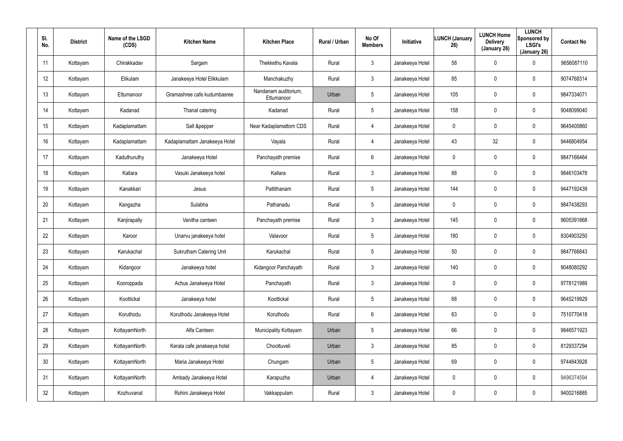| SI.<br>No. | <b>District</b> | Name of the LSGD<br>(CDS) | <b>Kitchen Name</b>            | <b>Kitchen Place</b>               | <b>Rural / Urban</b> | No Of<br><b>Members</b> | Initiative      | <b>LUNCH (January</b><br>26) | <b>LUNCH Home</b><br><b>Delivery</b><br>(January 26) | <b>LUNCH</b><br>Sponsored by<br><b>LSGI's</b><br>(January 26) | <b>Contact No</b> |
|------------|-----------------|---------------------------|--------------------------------|------------------------------------|----------------------|-------------------------|-----------------|------------------------------|------------------------------------------------------|---------------------------------------------------------------|-------------------|
| 11         | Kottayam        | Chirakkadav               | Sargam                         | Thekkethu Kavala                   | Rural                | $\mathfrak{Z}$          | Janakeeya Hotel | 58                           | 0                                                    | 0                                                             | 9656087110        |
| 12         | Kottayam        | Elikulam                  | Janakeeya Hotel Elikkulam      | Manchakuzhy                        | Rural                | 3                       | Janakeeya Hotel | 85                           | 0                                                    | $\mathbf 0$                                                   | 9074768314        |
| 13         | Kottayam        | Ettumanoor                | Gramashree cafe kudumbasree    | Nandanam auditorium,<br>Ettumanoor | Urban                | $5\overline{)}$         | Janakeeya Hotel | 105                          | 0                                                    | $\mathbf 0$                                                   | 9847334071        |
| 14         | Kottayam        | Kadanad                   | Thanal catering                | Kadanad                            | Rural                | $5\overline{)}$         | Janakeeya Hotel | 158                          | 0                                                    | $\mathbf 0$                                                   | 9048099040        |
| 15         | Kottayam        | Kadaplamattam             | Salt &pepper                   | Near Kadaplamattom CDS             | Rural                | 4                       | Janakeeya Hotel | 0                            | 0                                                    | $\mathbf 0$                                                   | 9645400860        |
| 16         | Kottayam        | Kadaplamattam             | Kadaplamattam Janakeeya Hotel  | Vayala                             | Rural                | 4                       | Janakeeya Hotel | 43                           | 32                                                   | $\mathbf 0$                                                   | 9446804954        |
| 17         | Kottayam        | Kaduthuruthy              | Janakeeya Hotel                | Panchayath premise                 | Rural                | 6                       | Janakeeya Hotel | 0                            | $\boldsymbol{0}$                                     | 0                                                             | 9847166464        |
| 18         | Kottayam        | Kallara                   | Vasuki Janakeeya hotel         | Kallara                            | Rural                | 3                       | Janakeeya Hotel | 88                           | 0                                                    | $\mathbf 0$                                                   | 9846103478        |
| 19         | Kottayam        | Kanakkari                 | Jesus                          | Pattithanam                        | Rural                | $5\phantom{.0}$         | Janakeeya Hotel | 144                          | $\boldsymbol{0}$                                     | 0                                                             | 9447192439        |
| 20         | Kottayam        | Kangazha                  | Sulabha                        | Pathanadu                          | Rural                | 5                       | Janakeeya Hotel | 0                            | 0                                                    | $\mathbf 0$                                                   | 9847438293        |
| 21         | Kottayam        | Kanjirapally              | Vanitha canteen                | Panchayath premise                 | Rural                | $\mathbf{3}$            | Janakeeya Hotel | 145                          | $\boldsymbol{0}$                                     | 0                                                             | 9605391868        |
| 22         | Kottayam        | Karoor                    | Unarvu janakeeya hotel         | Valavoor                           | Rural                | $5\overline{)}$         | Janakeeya Hotel | 180                          | $\boldsymbol{0}$                                     | $\mathbf 0$                                                   | 8304903250        |
| 23         | Kottayam        | Karukachal                | <b>Sukrutham Catering Unit</b> | Karukachal                         | Rural                | 5                       | Janakeeya Hotel | 50                           | $\boldsymbol{0}$                                     | $\mathbf 0$                                                   | 9847766843        |
| 24         | Kottayam        | Kidangoor                 | Janakeeya hotel                | Kidangoor Panchayath               | Rural                | $\mathfrak{Z}$          | Janakeeya Hotel | 140                          | $\pmb{0}$                                            | $\pmb{0}$                                                     | 9048080292        |
| 25         | Kottayam        | Kooroppada                | Achus Janakeeya Hotel          | Panchayath                         | Rural                | $\mathfrak{Z}$          | Janakeeya Hotel | 0                            | $\pmb{0}$                                            | $\pmb{0}$                                                     | 9778121989        |
| 26         | Kottayam        | Koottickal                | Janakeeya hotel                | Koottickal                         | Rural                | $5\phantom{.0}$         | Janakeeya Hotel | 68                           | $\pmb{0}$                                            | $\pmb{0}$                                                     | 9645219929        |
| 27         | Kottayam        | Koruthodu                 | Koruthodu Janakeeya Hotel      | Koruthodu                          | Rural                | 6                       | Janakeeya Hotel | 63                           | $\pmb{0}$                                            | $\pmb{0}$                                                     | 7510770418        |
| 28         | Kottayam        | KottayamNorth             | Alfa Canteen                   | Municipality Kottayam              | Urban                | $5\phantom{.0}$         | Janakeeya Hotel | 66                           | $\overline{0}$                                       | $\pmb{0}$                                                     | 9846571923        |
| 29         | Kottayam        | KottayamNorth             | Kerala cafe janakeeya hotel    | Choottuveli                        | Urban                | $\mathbf{3}$            | Janakeeya Hotel | 85                           | $\pmb{0}$                                            | 0                                                             | 8129337294        |
| 30         | Kottayam        | KottayamNorth             | Maria Janakeeya Hotel          | Chungam                            | Urban                | $5\phantom{.0}$         | Janakeeya Hotel | 69                           | $\overline{0}$                                       | $\pmb{0}$                                                     | 9744843928        |
| 31         | Kottayam        | KottayamNorth             | Ambady Janakeeya Hotel         | Karapuzha                          | Urban                | 4                       | Janakeeya Hotel | 0                            | $\pmb{0}$                                            | 0                                                             | 9496374594        |
| 32         | Kottayam        | Kozhuvanal                | Rohini Janakeeya Hotel         | Vakkappulam                        | Rural                | $\mathfrak{Z}$          | Janakeeya Hotel | 0                            | $\boldsymbol{0}$                                     | 0                                                             | 9400216885        |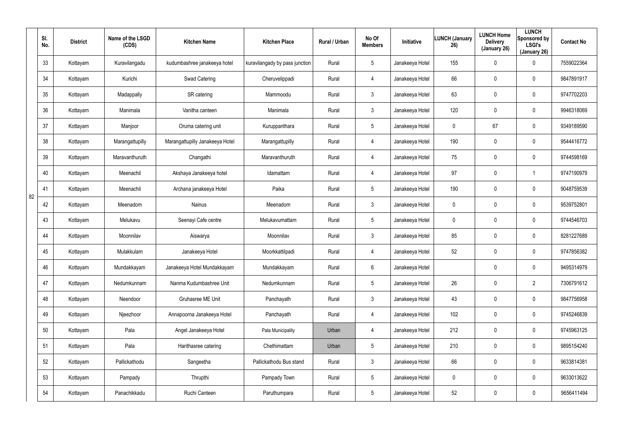|    | SI.<br>No. | <b>District</b> | Name of the LSGD<br>(CDS) | <b>Kitchen Name</b>             | <b>Kitchen Place</b>           | Rural / Urban | No Of<br><b>Members</b> | Initiative      | <b>LUNCH (January</b><br>26) | <b>LUNCH Home</b><br><b>Delivery</b><br>(January 26) | <b>LUNCH</b><br>Sponsored by<br><b>LSGI's</b><br>(January 26) | <b>Contact No</b> |
|----|------------|-----------------|---------------------------|---------------------------------|--------------------------------|---------------|-------------------------|-----------------|------------------------------|------------------------------------------------------|---------------------------------------------------------------|-------------------|
|    | 33         | Kottayam        | Kuravilangadu             | kudumbashree janakeeya hotel    | kuravilangady by pass junction | Rural         | $5\phantom{.0}$         | Janakeeya Hotel | 155                          | 0                                                    | 0                                                             | 7559022364        |
|    | 34         | Kottayam        | Kurichi                   | Swad Catering                   | Cheruvelippadi                 | Rural         | 4                       | Janakeeya Hotel | 66                           | 0                                                    | $\mathbf 0$                                                   | 9847891917        |
|    | 35         | Kottayam        | Madappally                | SR catering                     | Mammoodu                       | Rural         | $\mathfrak{Z}$          | Janakeeya Hotel | 63                           | 0                                                    | $\mathbf 0$                                                   | 9747702203        |
|    | 36         | Kottayam        | Manimala                  | Vanitha canteen                 | Manimala                       | Rural         | $\mathfrak{Z}$          | Janakeeya Hotel | 120                          | 0                                                    | $\mathbf 0$                                                   | 9946318069        |
|    | 37         | Kottayam        | Manjoor                   | Oruma catering unit             | Kuruppanthara                  | Rural         | $5\phantom{.0}$         | Janakeeya Hotel | 0                            | 67                                                   | $\mathbf 0$                                                   | 9349189590        |
|    | 38         | Kottayam        | Marangattupilly           | Marangattupilly Janakeeya Hotel | Marangattupilly                | Rural         | 4                       | Janakeeya Hotel | 190                          | $\mathbf 0$                                          | $\mathbf 0$                                                   | 9544416772        |
|    | 39         | Kottayam        | Maravanthuruth            | Changathi                       | Maravanthuruth                 | Rural         | 4                       | Janakeeya Hotel | 75                           | 0                                                    | $\mathbf 0$                                                   | 9744598169        |
|    | 40         | Kottayam        | Meenachil                 | Akshaya Janakeeya hotel         | Idamattam                      | Rural         | 4                       | Janakeeya Hotel | 97                           | 0                                                    |                                                               | 9747190979        |
| 82 | 41         | Kottayam        | Meenachil                 | Archana janakeeya Hotel         | Paika                          | Rural         | $5\phantom{.0}$         | Janakeeya Hotel | 190                          | 0                                                    | $\mathbf 0$                                                   | 9048759539        |
|    | 42         | Kottayam        | Meenadom                  | Nainus                          | Meenadom                       | Rural         | 3                       | Janakeeya Hotel | 0                            | 0                                                    | $\mathbf 0$                                                   | 9539752801        |
|    | 43         | Kottayam        | Melukavu                  | Seenayi Cafe centre             | Melukavumattam                 | Rural         | $5\phantom{.0}$         | Janakeeya Hotel | 0                            | 0                                                    | $\mathbf 0$                                                   | 9744546703        |
|    | 44         | Kottayam        | Moonnilav                 | Aiswarya                        | Moonnilav                      | Rural         | 3                       | Janakeeya Hotel | 85                           | 0                                                    | $\mathbf 0$                                                   | 8281227689        |
|    | 45         | Kottayam        | Mulakkulam                | Janakeeya Hotel                 | Moorkkattilpadi                | Rural         | 4                       | Janakeeya Hotel | 52                           | 0                                                    | $\mathbf 0$                                                   | 9747856382        |
|    | 46         | Kottayam        | Mundakkayam               | Janakeeya Hotel Mundakkayam     | Mundakkayam                    | Rural         | 6                       | Janakeeya Hotel |                              | $\mathbf 0$                                          | $\mathbf 0$                                                   | 9495314979        |
|    | 47         | Kottayam        | Nedumkunnam               | Nanma Kudumbashree Unit         | Nedumkunnam                    | Rural         | $5\phantom{.0}$         | Janakeeya Hotel | 26                           | $\mathbf 0$                                          | $\overline{2}$                                                | 7306791612        |
|    | 48         | Kottayam        | Neendoor                  | Gruhasree ME Unit               | Panchayath                     | Rural         | $\mathfrak{Z}$          | Janakeeya Hotel | 43                           | 0                                                    | $\pmb{0}$                                                     | 9847756958        |
|    | 49         | Kottayam        | Njeezhoor                 | Annapoorna Janakeeya Hotel      | Panchayath                     | Rural         | 4                       | Janakeeya Hotel | 102                          | $\mathbf 0$                                          | $\pmb{0}$                                                     | 9745246839        |
|    | 50         | Kottayam        | Pala                      | Angel Janakeeya Hotel           | Pala Municipality              | Urban         | 4                       | Janakeeya Hotel | 212                          | $\mathbf 0$                                          | $\pmb{0}$                                                     | 9745963125        |
|    | 51         | Kottayam        | Pala                      | Harithasree catering            | Chethimattam                   | Urban         | $5\phantom{.0}$         | Janakeeya Hotel | 210                          | $\mathbf 0$                                          | $\mathbf 0$                                                   | 9895154240        |
|    | 52         | Kottayam        | Pallickathodu             | Sangeetha                       | Pallickathodu Bus stand        | Rural         | $\mathfrak{Z}$          | Janakeeya Hotel | 66                           | $\mathbf 0$                                          | $\pmb{0}$                                                     | 9633814381        |
|    | 53         | Kottayam        | Pampady                   | Thrupthi                        | Pampady Town                   | Rural         | $5\phantom{.0}$         | Janakeeya Hotel | 0                            | $\mathbf 0$                                          | $\mathbf 0$                                                   | 9633013622        |
|    | 54         | Kottayam        | Panachikkadu              | Ruchi Canteen                   | Paruthumpara                   | Rural         | $\overline{5}$          | Janakeeya Hotel | 52                           | $\mathbf 0$                                          | $\pmb{0}$                                                     | 9656411494        |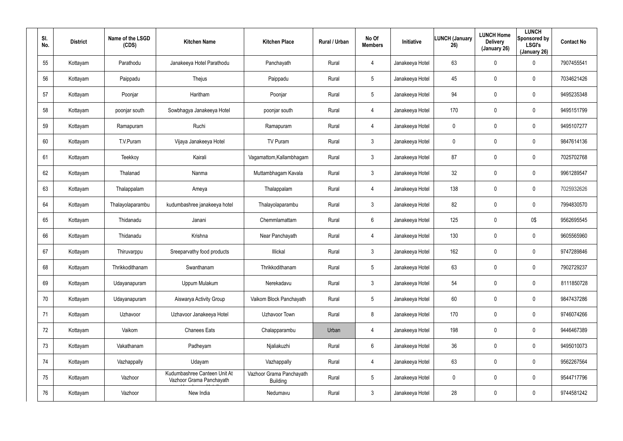| SI.<br>No. | <b>District</b> | Name of the LSGD<br>(CDS) | <b>Kitchen Name</b>                                      | <b>Kitchen Place</b>                        | Rural / Urban | No Of<br><b>Members</b> | Initiative      | <b>LUNCH (January</b><br>26) | <b>LUNCH Home</b><br><b>Delivery</b><br>(January 26) | <b>LUNCH</b><br>Sponsored by<br><b>LSGI's</b><br>(January 26) | <b>Contact No</b> |
|------------|-----------------|---------------------------|----------------------------------------------------------|---------------------------------------------|---------------|-------------------------|-----------------|------------------------------|------------------------------------------------------|---------------------------------------------------------------|-------------------|
| 55         | Kottayam        | Parathodu                 | Janakeeya Hotel Parathodu                                | Panchayath                                  | Rural         | 4                       | Janakeeya Hotel | 63                           | $\pmb{0}$                                            | 0                                                             | 7907455541        |
| 56         | Kottayam        | Paippadu                  | Thejus                                                   | Paippadu                                    | Rural         | 5                       | Janakeeya Hotel | 45                           | $\boldsymbol{0}$                                     | 0                                                             | 7034621426        |
| 57         | Kottayam        | Poonjar                   | Haritham                                                 | Poonjar                                     | Rural         | 5                       | Janakeeya Hotel | 94                           | $\pmb{0}$                                            | 0                                                             | 9495235348        |
| 58         | Kottayam        | poonjar south             | Sowbhagya Janakeeya Hotel                                | poonjar south                               | Rural         | 4                       | Janakeeya Hotel | 170                          | $\boldsymbol{0}$                                     | 0                                                             | 9495151799        |
| 59         | Kottayam        | Ramapuram                 | Ruchi                                                    | Ramapuram                                   | Rural         | $\overline{4}$          | Janakeeya Hotel | 0                            | $\pmb{0}$                                            | 0                                                             | 9495107277        |
| 60         | Kottayam        | T.V.Puram                 | Vijaya Janakeeya Hotel                                   | TV Puram                                    | Rural         | $\mathbf{3}$            | Janakeeya Hotel | 0                            | $\mathbf 0$                                          | 0                                                             | 9847614136        |
| 61         | Kottayam        | Teekkoy                   | Kairali                                                  | Vagamattom, Kallambhagam                    | Rural         | $\mathbf{3}$            | Janakeeya Hotel | 87                           | $\pmb{0}$                                            | 0                                                             | 7025702768        |
| 62         | Kottayam        | Thalanad                  | Nanma                                                    | Muttambhagam Kavala                         | Rural         | $\mathbf{3}$            | Janakeeya Hotel | 32                           | $\boldsymbol{0}$                                     | $\mathbf 0$                                                   | 9961289547        |
| 63         | Kottayam        | Thalappalam               | Ameya                                                    | Thalappalam                                 | Rural         | $\overline{4}$          | Janakeeya Hotel | 138                          | $\overline{0}$                                       | 0                                                             | 7025932626        |
| 64         | Kottayam        | Thalayolaparambu          | kudumbashree janakeeya hotel                             | Thalayolaparambu                            | Rural         | $\mathbf{3}$            | Janakeeya Hotel | 82                           | $\pmb{0}$                                            | $\mathbf 0$                                                   | 7994830570        |
| 65         | Kottayam        | Thidanadu                 | Janani                                                   | Chemmlamattam                               | Rural         | $6\phantom{.}6$         | Janakeeya Hotel | 125                          | $\overline{0}$                                       | 0\$                                                           | 9562695545        |
| 66         | Kottayam        | Thidanadu                 | Krishna                                                  | Near Panchayath                             | Rural         | 4                       | Janakeeya Hotel | 130                          | $\boldsymbol{0}$                                     | $\mathbf 0$                                                   | 9605565960        |
| 67         | Kottayam        | Thiruvarppu               | Sreeparvathy food products                               | Illickal                                    | Rural         | $\mathbf{3}$            | Janakeeya Hotel | 162                          | $\overline{0}$                                       | $\mathbf 0$                                                   | 9747289846        |
| 68         | Kottayam        | Thrikkodithanam           | Swanthanam                                               | Thrikkodithanam                             | Rural         | 5                       | Janakeeya Hotel | 63                           | $\mathbf 0$                                          | $\pmb{0}$                                                     | 7902729237        |
| 69         | Kottayam        | Udayanapuram              | Uppum Mulakum                                            | Nerekadavu                                  | Rural         | $\mathbf{3}$            | Janakeeya Hotel | 54                           | $\overline{0}$                                       | $\pmb{0}$                                                     | 8111850728        |
| 70         | Kottayam        | Udayanapuram              | Aiswarya Activity Group                                  | Vaikom Block Panchayath                     | Rural         | $5\phantom{.0}$         | Janakeeya Hotel | 60                           | $\mathbf 0$                                          | $\pmb{0}$                                                     | 9847437286        |
| 71         | Kottayam        | Uzhavoor                  | Uzhavoor Janakeeya Hotel                                 | Uzhavoor Town                               | Rural         | 8                       | Janakeeya Hotel | 170                          | $\mathbf 0$                                          | $\pmb{0}$                                                     | 9746074266        |
| 72         | Kottayam        | Vaikom                    | <b>Chanees Eats</b>                                      | Chalapparambu                               | Urban         | $\overline{4}$          | Janakeeya Hotel | 198                          | $\mathbf 0$                                          | $\pmb{0}$                                                     | 9446467389        |
| 73         | Kottayam        | Vakathanam                | Padheyam                                                 | Njaliakuzhi                                 | Rural         | $6\phantom{.}6$         | Janakeeya Hotel | 36                           | $\pmb{0}$                                            | 0                                                             | 9495010073        |
| 74         | Kottayam        | Vazhappally               | Udayam                                                   | Vazhappally                                 | Rural         | $\overline{4}$          | Janakeeya Hotel | 63                           | $\mathbf 0$                                          | 0                                                             | 9562267564        |
| 75         | Kottayam        | Vazhoor                   | Kudumbashree Canteen Unit At<br>Vazhoor Grama Panchayath | Vazhoor Grama Panchayath<br><b>Building</b> | Rural         | $5\phantom{.0}$         | Janakeeya Hotel | 0                            | $\pmb{0}$                                            | 0                                                             | 9544717796        |
| 76         | Kottayam        | Vazhoor                   | New India                                                | Nedumavu                                    | Rural         | 3 <sup>1</sup>          | Janakeeya Hotel | 28                           | $\boldsymbol{0}$                                     | 0                                                             | 9744581242        |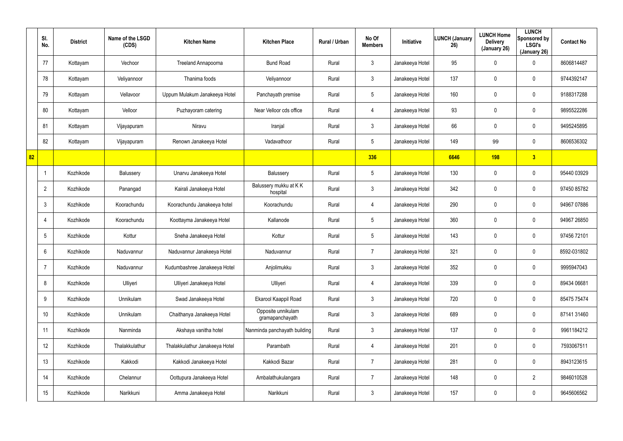|    | SI.<br>No.      | <b>District</b> | Name of the LSGD<br>(CDS) | <b>Kitchen Name</b>            | <b>Kitchen Place</b>                  | Rural / Urban | No Of<br><b>Members</b> | <b>Initiative</b> | <b>LUNCH (January</b><br>26) | <b>LUNCH Home</b><br><b>Delivery</b><br>(January 26) | <b>LUNCH</b><br>Sponsored by<br><b>LSGI's</b><br>(January 26) | <b>Contact No</b> |
|----|-----------------|-----------------|---------------------------|--------------------------------|---------------------------------------|---------------|-------------------------|-------------------|------------------------------|------------------------------------------------------|---------------------------------------------------------------|-------------------|
|    | 77              | Kottayam        | Vechoor                   | Treeland Annapoorna            | <b>Bund Road</b>                      | Rural         | $\mathbf{3}$            | Janakeeya Hotel   | 95                           | 0                                                    | $\mathbf 0$                                                   | 8606814487        |
|    | 78              | Kottayam        | Veliyannoor               | Thanima foods                  | Veliyannoor                           | Rural         | $\mathbf{3}$            | Janakeeya Hotel   | 137                          | 0                                                    | $\mathbf 0$                                                   | 9744392147        |
|    | 79              | Kottayam        | Vellavoor                 | Uppum Mulakum Janakeeya Hotel  | Panchayath premise                    | Rural         | $5\overline{)}$         | Janakeeya Hotel   | 160                          | 0                                                    | $\mathbf 0$                                                   | 9188317288        |
|    | 80              | Kottayam        | Velloor                   | Puzhayoram catering            | Near Velloor cds office               | Rural         | 4                       | Janakeeya Hotel   | 93                           | 0                                                    | $\mathbf 0$                                                   | 9895522286        |
|    | 81              | Kottayam        | Vijayapuram               | Niravu                         | Iranjal                               | Rural         | $\mathbf{3}$            | Janakeeya Hotel   | 66                           | 0                                                    | $\mathbf 0$                                                   | 9495245895        |
|    | 82              | Kottayam        | Vijayapuram               | Renown Janakeeya Hotel         | Vadavathoor                           | Rural         | $5\overline{)}$         | Janakeeya Hotel   | 149                          | 99                                                   | $\mathbf 0$                                                   | 8606536302        |
| 82 |                 |                 |                           |                                |                                       |               | 336                     |                   | 6646                         | 198                                                  | $\sqrt{3}$                                                    |                   |
|    | $\mathbf 1$     | Kozhikode       | Balussery                 | Unarvu Janakeeya Hotel         | Balussery                             | Rural         | $5\phantom{.0}$         | Janakeeya Hotel   | 130                          | 0                                                    | $\mathbf 0$                                                   | 95440 03929       |
|    | $\overline{2}$  | Kozhikode       | Panangad                  | Kairali Janakeeya Hotel        | Balussery mukku at KK<br>hospital     | Rural         | $\mathbf{3}$            | Janakeeya Hotel   | 342                          | 0                                                    | $\mathbf 0$                                                   | 97450 85782       |
|    | $\mathbf{3}$    | Kozhikode       | Koorachundu               | Koorachundu Janakeeya hotel    | Koorachundu                           | Rural         | 4                       | Janakeeya Hotel   | 290                          | 0                                                    | $\mathbf 0$                                                   | 94967 07886       |
|    | 4               | Kozhikode       | Koorachundu               | Koottayma Janakeeya Hotel      | Kallanode                             | Rural         | $5\phantom{.0}$         | Janakeeya Hotel   | 360                          | 0                                                    | $\mathbf 0$                                                   | 94967 26850       |
|    | 5               | Kozhikode       | Kottur                    | Sneha Janakeeya Hotel          | Kottur                                | Rural         | $5\phantom{.0}$         | Janakeeya Hotel   | 143                          | 0                                                    | $\mathbf 0$                                                   | 97456 72101       |
|    | 6               | Kozhikode       | Naduvannur                | Naduvannur Janakeeya Hotel     | Naduvannur                            | Rural         | $\overline{7}$          | Janakeeya Hotel   | 321                          | $\mathbf 0$                                          | $\mathbf 0$                                                   | 8592-031802       |
|    | -7              | Kozhikode       | Naduvannur                | Kudumbashree Janakeeya Hotel   | Anjolimukku                           | Rural         | $\mathfrak{Z}$          | Janakeeya Hotel   | 352                          | 0                                                    | $\pmb{0}$                                                     | 9995947043        |
|    | 8               | Kozhikode       | Ulliyeri                  | Ulliyeri Janakeeya Hotel       | Ulliyeri                              | Rural         | 4                       | Janakeeya Hotel   | 339                          | 0                                                    | $\pmb{0}$                                                     | 89434 06681       |
|    | 9               | Kozhikode       | Unnikulam                 | Swad Janakeeya Hotel           | Ekarool Kaappil Road                  | Rural         | $\mathbf{3}$            | Janakeeya Hotel   | 720                          | 0                                                    | $\pmb{0}$                                                     | 85475 75474       |
|    | 10 <sup>°</sup> | Kozhikode       | Unnikulam                 | Chaithanya Janakeeya Hotel     | Opposite unnikulam<br>gramapanchayath | Rural         | $\mathfrak{Z}$          | Janakeeya Hotel   | 689                          | 0                                                    | $\pmb{0}$                                                     | 87141 31460       |
|    | 11              | Kozhikode       | Nanminda                  | Akshaya vanitha hotel          | Nanminda panchayath building          | Rural         | $\mathbf{3}$            | Janakeeya Hotel   | 137                          | 0                                                    | $\mathbf 0$                                                   | 9961184212        |
|    | 12              | Kozhikode       | Thalakkulathur            | Thalakkulathur Janakeeya Hotel | Parambath                             | Rural         | 4                       | Janakeeya Hotel   | 201                          | 0                                                    | $\mathbf 0$                                                   | 7593067511        |
|    | 13              | Kozhikode       | Kakkodi                   | Kakkodi Janakeeya Hotel        | Kakkodi Bazar                         | Rural         | $\overline{7}$          | Janakeeya Hotel   | 281                          | 0                                                    | $\pmb{0}$                                                     | 8943123615        |
|    | 14              | Kozhikode       | Chelannur                 | Oottupura Janakeeya Hotel      | Ambalathukulangara                    | Rural         | $\overline{7}$          | Janakeeya Hotel   | 148                          | 0                                                    | $\overline{2}$                                                | 9846010528        |
|    | 15              | Kozhikode       | Narikkuni                 | Amma Janakeeya Hotel           | Narikkuni                             | Rural         | $\mathfrak{Z}$          | Janakeeya Hotel   | 157                          | 0                                                    | $\pmb{0}$                                                     | 9645606562        |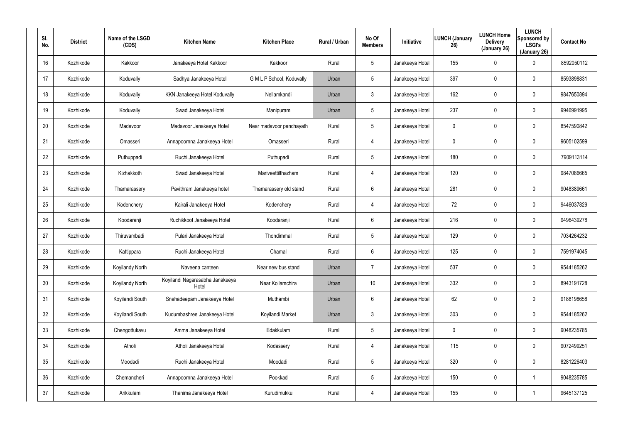| SI.<br>No. | <b>District</b> | Name of the LSGD<br>(CDS) | <b>Kitchen Name</b>                      | <b>Kitchen Place</b>      | Rural / Urban | No Of<br><b>Members</b> | Initiative      | <b>LUNCH (January</b><br>26) | <b>LUNCH Home</b><br><b>Delivery</b><br>(January 26) | <b>LUNCH</b><br>Sponsored by<br><b>LSGI's</b><br>(January 26) | <b>Contact No</b> |
|------------|-----------------|---------------------------|------------------------------------------|---------------------------|---------------|-------------------------|-----------------|------------------------------|------------------------------------------------------|---------------------------------------------------------------|-------------------|
| 16         | Kozhikode       | Kakkoor                   | Janakeeya Hotel Kakkoor                  | Kakkoor                   | Rural         | 5                       | Janakeeya Hotel | 155                          | $\mathbf 0$                                          | 0                                                             | 8592050112        |
| 17         | Kozhikode       | Koduvally                 | Sadhya Janakeeya Hotel                   | G M L P School, Koduvally | Urban         | 5                       | Janakeeya Hotel | 397                          | 0                                                    | $\mathbf 0$                                                   | 8593898831        |
| 18         | Kozhikode       | Koduvally                 | KKN Janakeeya Hotel Koduvally            | Nellamkandi               | Urban         | 3                       | Janakeeya Hotel | 162                          | 0                                                    | $\mathbf 0$                                                   | 9847650894        |
| 19         | Kozhikode       | Koduvally                 | Swad Janakeeya Hotel                     | Manipuram                 | Urban         | 5                       | Janakeeya Hotel | 237                          | 0                                                    | $\mathbf 0$                                                   | 9946991995        |
| 20         | Kozhikode       | Madavoor                  | Madavoor Janakeeya Hotel                 | Near madavoor panchayath  | Rural         | 5                       | Janakeeya Hotel | 0                            | 0                                                    | $\mathbf 0$                                                   | 8547590842        |
| 21         | Kozhikode       | Omasseri                  | Annapoornna Janakeeya Hotel              | Omasseri                  | Rural         | 4                       | Janakeeya Hotel | 0                            | 0                                                    | $\mathbf 0$                                                   | 9605102599        |
| 22         | Kozhikode       | Puthuppadi                | Ruchi Janakeeya Hotel                    | Puthupadi                 | Rural         | 5                       | Janakeeya Hotel | 180                          | $\boldsymbol{0}$                                     | 0                                                             | 7909113114        |
| 23         | Kozhikode       | Kizhakkoth                | Swad Janakeeya Hotel                     | Mariveettilthazham        | Rural         | $\overline{4}$          | Janakeeya Hotel | 120                          | $\boldsymbol{0}$                                     | $\mathbf 0$                                                   | 9847086665        |
| 24         | Kozhikode       | Thamarassery              | Pavithram Janakeeya hotel                | Thamarassery old stand    | Rural         | 6                       | Janakeeya Hotel | 281                          | $\boldsymbol{0}$                                     | $\mathbf 0$                                                   | 9048389661        |
| 25         | Kozhikode       | Kodenchery                | Kairali Janakeeya Hotel                  | Kodenchery                | Rural         | $\overline{4}$          | Janakeeya Hotel | 72                           | $\boldsymbol{0}$                                     | $\mathbf 0$                                                   | 9446037829        |
| 26         | Kozhikode       | Koodaranji                | Ruchikkoot Janakeeya Hotel               | Koodaranji                | Rural         | 6                       | Janakeeya Hotel | 216                          | $\boldsymbol{0}$                                     | $\mathbf 0$                                                   | 9496439278        |
| 27         | Kozhikode       | Thiruvambadi              | Pulari Janakeeya Hotel                   | Thondimmal                | Rural         | 5                       | Janakeeya Hotel | 129                          | $\boldsymbol{0}$                                     | $\mathbf 0$                                                   | 7034264232        |
| 28         | Kozhikode       | Kattippara                | Ruchi Janakeeya Hotel                    | Chamal                    | Rural         | 6                       | Janakeeya Hotel | 125                          | $\boldsymbol{0}$                                     | 0                                                             | 7591974045        |
| 29         | Kozhikode       | Koyilandy North           | Naveena canteen                          | Near new bus stand        | Urban         | $\overline{7}$          | Janakeeya Hotel | 537                          | $\pmb{0}$                                            | $\pmb{0}$                                                     | 9544185262        |
| 30         | Kozhikode       | Koyilandy North           | Koyilandi Nagarasabha Janakeeya<br>Hotel | Near Kollamchira          | Urban         | 10                      | Janakeeya Hotel | 332                          | $\pmb{0}$                                            | 0                                                             | 8943191728        |
| 31         | Kozhikode       | Koyilandi South           | Snehadeepam Janakeeya Hotel              | Muthambi                  | Urban         | $6\phantom{.}6$         | Janakeeya Hotel | 62                           | $\pmb{0}$                                            | $\pmb{0}$                                                     | 9188198658        |
| 32         | Kozhikode       | Koyilandi South           | Kudumbashree Janakeeya Hotel             | Koyilandi Market          | Urban         | $\mathbf{3}$            | Janakeeya Hotel | 303                          | $\pmb{0}$                                            | $\pmb{0}$                                                     | 9544185262        |
| 33         | Kozhikode       | Chengottukavu             | Amma Janakeeya Hotel                     | Edakkulam                 | Rural         | $5\phantom{.0}$         | Janakeeya Hotel | 0                            | $\overline{0}$                                       | $\pmb{0}$                                                     | 9048235785        |
| 34         | Kozhikode       | Atholi                    | Atholi Janakeeya Hotel                   | Kodassery                 | Rural         | 4                       | Janakeeya Hotel | 115                          | $\pmb{0}$                                            | 0                                                             | 9072499251        |
| 35         | Kozhikode       | Moodadi                   | Ruchi Janakeeya Hotel                    | Moodadi                   | Rural         | $5\phantom{.0}$         | Janakeeya Hotel | 320                          | $\mathbf 0$                                          | $\pmb{0}$                                                     | 8281226403        |
| 36         | Kozhikode       | Chemancheri               | Annapoornna Janakeeya Hotel              | Pookkad                   | Rural         | $5\phantom{.0}$         | Janakeeya Hotel | 150                          | $\overline{0}$                                       |                                                               | 9048235785        |
| 37         | Kozhikode       | Arikkulam                 | Thanima Janakeeya Hotel                  | Kurudimukku               | Rural         | $\overline{4}$          | Janakeeya Hotel | 155                          | $\boldsymbol{0}$                                     |                                                               | 9645137125        |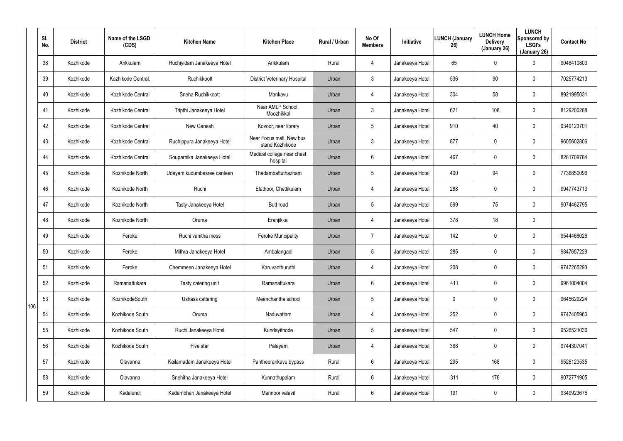|     | SI.<br>No. | <b>District</b> | Name of the LSGD<br>(CDS) | <b>Kitchen Name</b>        | <b>Kitchen Place</b>                        | Rural / Urban | No Of<br><b>Members</b> | Initiative      | <b>LUNCH (January</b><br>26) | <b>LUNCH Home</b><br><b>Delivery</b><br>(January 26) | <b>LUNCH</b><br>Sponsored by<br><b>LSGI's</b><br>(January 26) | <b>Contact No</b> |
|-----|------------|-----------------|---------------------------|----------------------------|---------------------------------------------|---------------|-------------------------|-----------------|------------------------------|------------------------------------------------------|---------------------------------------------------------------|-------------------|
|     | 38         | Kozhikode       | Arikkulam                 | Ruchiyidam Janakeeya Hotel | Arikkulam                                   | Rural         | $\overline{4}$          | Janakeeya Hotel | 65                           | 0                                                    | $\mathbf 0$                                                   | 9048410803        |
|     | 39         | Kozhikode       | Kozhikode Central.        | Ruchikkoott                | <b>District Veterinary Hospital</b>         | Urban         | $\mathbf{3}$            | Janakeeya Hotel | 536                          | 90                                                   | $\mathbf 0$                                                   | 7025774213        |
|     | 40         | Kozhikode       | Kozhikode Central         | Sneha Ruchikkoott          | Mankavu                                     | Urban         | $\overline{4}$          | Janakeeya Hotel | 304                          | 58                                                   | $\mathbf 0$                                                   | 8921995031        |
|     | 41         | Kozhikode       | Kozhikode Central         | Tripthi Janakeeya Hotel    | Near AMLP School,<br>Moozhikkal             | Urban         | $\mathbf{3}$            | Janakeeya Hotel | 621                          | 108                                                  | $\mathbf 0$                                                   | 8129200288        |
|     | 42         | Kozhikode       | Kozhikode Central         | New Ganesh                 | Kovoor, near library                        | Urban         | $5\overline{)}$         | Janakeeya Hotel | 910                          | 40                                                   | $\mathbf 0$                                                   | 9349123701        |
|     | 43         | Kozhikode       | Kozhikode Central         | Ruchippura Janakeeya Hotel | Near Focus mall, New bus<br>stand Kozhikode | Urban         | $\mathbf{3}$            | Janakeeya Hotel | 877                          | 0                                                    | $\mathbf 0$                                                   | 9605602806        |
|     | 44         | Kozhikode       | Kozhikode Central         | Souparnika Janakeeya Hotel | Medical college near chest<br>hospital      | Urban         | 6                       | Janakeeya Hotel | 467                          | 0                                                    | $\mathbf 0$                                                   | 8281709784        |
|     | 45         | Kozhikode       | Kozhikode North           | Udayam kudumbasree canteen | Thadambattuthazham                          | Urban         | $5\phantom{.0}$         | Janakeeya Hotel | 400                          | 94                                                   | $\mathbf 0$                                                   | 7736850096        |
|     | 46         | Kozhikode       | Kozhikode North           | Ruchi                      | Elathoor, Chettikulam                       | Urban         | $\overline{4}$          | Janakeeya Hotel | 288                          | 0                                                    | $\mathbf 0$                                                   | 9947743713        |
|     | 47         | Kozhikode       | Kozhikode North           | Tasty Janakeeya Hotel      | Butt road                                   | Urban         | $5\phantom{.0}$         | Janakeeya Hotel | 599                          | 75                                                   | $\mathbf 0$                                                   | 9074462795        |
|     | 48         | Kozhikode       | Kozhikode North           | Oruma                      | Eranjikkal                                  | Urban         | $\overline{4}$          | Janakeeya Hotel | 378                          | 18                                                   | $\mathbf 0$                                                   |                   |
|     | 49         | Kozhikode       | Feroke                    | Ruchi vanitha mess         | <b>Feroke Muncipality</b>                   | Urban         | 7                       | Janakeeya Hotel | 142                          | 0                                                    | $\mathbf 0$                                                   | 9544468026        |
|     | 50         | Kozhikode       | Feroke                    | Mithra Janakeeya Hotel     | Ambalangadi                                 | Urban         | $5\phantom{.0}$         | Janakeeya Hotel | 285                          | 0                                                    | $\mathbf 0$                                                   | 9847657229        |
|     | 51         | Kozhikode       | Feroke                    | Chemmeen Janakeeya Hotel   | Karuvanthuruthi                             | Urban         | 4                       | Janakeeya Hotel | 208                          | 0                                                    | $\mathbf 0$                                                   | 9747265293        |
|     | 52         | Kozhikode       | Ramanattukara             | Tasty catering unit        | Ramanattukara                               | Urban         | $6\phantom{.}$          | Janakeeya Hotel | 411                          | 0                                                    | $\pmb{0}$                                                     | 9961004004        |
| 106 | 53         | Kozhikode       | KozhikodeSouth            | Ushass cattering           | Meenchantha school                          | Urban         | $5\overline{)}$         | Janakeeya Hotel | $\mathbf 0$                  | 0                                                    | $\pmb{0}$                                                     | 9645629224        |
|     | 54         | Kozhikode       | Kozhikode South           | Oruma                      | Naduvattam                                  | Urban         | $\overline{4}$          | Janakeeya Hotel | 252                          | 0                                                    | $\pmb{0}$                                                     | 9747405960        |
|     | 55         | Kozhikode       | Kozhikode South           | Ruchi Janakeeya Hotel      | Kundayithode                                | Urban         | $5\overline{)}$         | Janakeeya Hotel | 547                          | 0                                                    | $\mathbf 0$                                                   | 9526521036        |
|     | 56         | Kozhikode       | Kozhikode South           | Five star                  | Palayam                                     | Urban         | 4                       | Janakeeya Hotel | 368                          | 0                                                    | $\mathbf 0$                                                   | 9744307041        |
|     | 57         | Kozhikode       | Olavanna                  | Kailamadam Janakeeya Hotel | Pantheerankavu bypass                       | Rural         | $6\phantom{.}6$         | Janakeeya Hotel | 295                          | 168                                                  | $\pmb{0}$                                                     | 9526123535        |
|     | 58         | Kozhikode       | Olavanna                  | Snehitha Janakeeya Hotel   | Kunnathupalam                               | Rural         | $6\overline{6}$         | Janakeeya Hotel | 311                          | 176                                                  | $\pmb{0}$                                                     | 9072771905        |
|     | 59         | Kozhikode       | Kadalundi                 | Kadambhari Janakeeya Hotel | Mannoor valavil                             | Rural         | $6\,$                   | Janakeeya Hotel | 191                          | 0                                                    | $\pmb{0}$                                                     | 9349923675        |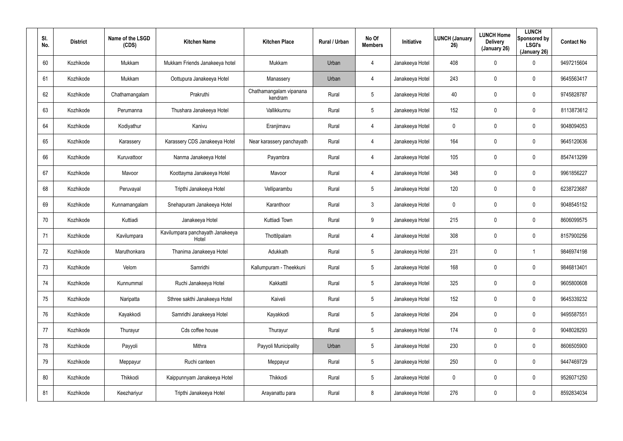| SI.<br>No. | <b>District</b> | Name of the LSGD<br>(CDS) | <b>Kitchen Name</b>                       | <b>Kitchen Place</b>               | Rural / Urban | No Of<br><b>Members</b> | Initiative      | <b>LUNCH (January</b><br>26) | <b>LUNCH Home</b><br><b>Delivery</b><br>(January 26) | <b>LUNCH</b><br>Sponsored by<br><b>LSGI's</b><br>(January 26) | <b>Contact No</b> |
|------------|-----------------|---------------------------|-------------------------------------------|------------------------------------|---------------|-------------------------|-----------------|------------------------------|------------------------------------------------------|---------------------------------------------------------------|-------------------|
| 60         | Kozhikode       | Mukkam                    | Mukkam Friends Janakeeya hotel            | Mukkam                             | Urban         | 4                       | Janakeeya Hotel | 408                          | $\mathbf 0$                                          | 0                                                             | 9497215604        |
| 61         | Kozhikode       | Mukkam                    | Oottupura Janakeeya Hotel                 | Manassery                          | Urban         | $\overline{4}$          | Janakeeya Hotel | 243                          | $\mathbf 0$                                          | 0                                                             | 9645563417        |
| 62         | Kozhikode       | Chathamangalam            | Prakruthi                                 | Chathamangalam vipanana<br>kendram | Rural         | 5                       | Janakeeya Hotel | 40                           | $\boldsymbol{0}$                                     | $\pmb{0}$                                                     | 9745828787        |
| 63         | Kozhikode       | Perumanna                 | Thushara Janakeeya Hotel                  | Vallikkunnu                        | Rural         | 5                       | Janakeeya Hotel | 152                          | $\mathbf 0$                                          | 0                                                             | 8113873612        |
| 64         | Kozhikode       | Kodiyathur                | Kanivu                                    | Eranjimavu                         | Rural         | $\overline{4}$          | Janakeeya Hotel | 0                            | $\mathbf 0$                                          | $\pmb{0}$                                                     | 9048094053        |
| 65         | Kozhikode       | Karassery                 | Karassery CDS Janakeeya Hotel             | Near karassery panchayath          | Rural         | 4                       | Janakeeya Hotel | 164                          | $\mathbf 0$                                          | 0                                                             | 9645120636        |
| 66         | Kozhikode       | Kuruvattoor               | Nanma Janakeeya Hotel                     | Payambra                           | Rural         | $\overline{4}$          | Janakeeya Hotel | 105                          | 0                                                    | $\mathbf 0$                                                   | 8547413299        |
| 67         | Kozhikode       | Mavoor                    | Koottayma Janakeeya Hotel                 | Mavoor                             | Rural         | $\overline{4}$          | Janakeeya Hotel | 348                          | 0                                                    | $\mathbf 0$                                                   | 9961856227        |
| 68         | Kozhikode       | Peruvayal                 | Tripthi Janakeeya Hotel                   | Velliparambu                       | Rural         | 5                       | Janakeeya Hotel | 120                          | 0                                                    | $\mathbf 0$                                                   | 6238723687        |
| 69         | Kozhikode       | Kunnamangalam             | Snehapuram Janakeeya Hotel                | Karanthoor                         | Rural         | 3                       | Janakeeya Hotel | 0                            | 0                                                    | $\mathbf 0$                                                   | 9048545152        |
| 70         | Kozhikode       | Kuttiadi                  | Janakeeya Hotel                           | Kuttiadi Town                      | Rural         | 9                       | Janakeeya Hotel | 215                          | 0                                                    | $\mathbf 0$                                                   | 8606099575        |
| 71         | Kozhikode       | Kavilumpara               | Kavilumpara panchayath Janakeeya<br>Hotel | Thottilpalam                       | Rural         | 4                       | Janakeeya Hotel | 308                          | 0                                                    | $\mathbf 0$                                                   | 8157900256        |
| 72         | Kozhikode       | Maruthonkara              | Thanima Janakeeya Hotel                   | Adukkath                           | Rural         | 5                       | Janakeeya Hotel | 231                          | $\boldsymbol{0}$                                     |                                                               | 9846974198        |
| 73         | Kozhikode       | Velom                     | Samridhi                                  | Kallumpuram - Theekkuni            | Rural         | 5                       | Janakeeya Hotel | 168                          | $\pmb{0}$                                            | 0                                                             | 9846813401        |
| 74         | Kozhikode       | Kunnummal                 | Ruchi Janakeeya Hotel                     | Kakkattil                          | Rural         | $5\phantom{.0}$         | Janakeeya Hotel | 325                          | $\pmb{0}$                                            | 0                                                             | 9605800608        |
| 75         | Kozhikode       | Naripatta                 | Sthree sakthi Janakeeya Hotel             | Kaiveli                            | Rural         | 5                       | Janakeeya Hotel | 152                          | $\pmb{0}$                                            | 0                                                             | 9645339232        |
| 76         | Kozhikode       | Kayakkodi                 | Samridhi Janakeeya Hotel                  | Kayakkodi                          | Rural         | $5\phantom{.0}$         | Janakeeya Hotel | 204                          | $\pmb{0}$                                            | 0                                                             | 9495587551        |
| 77         | Kozhikode       | Thurayur                  | Cds coffee house                          | Thurayur                           | Rural         | 5                       | Janakeeya Hotel | 174                          | $\pmb{0}$                                            | $\pmb{0}$                                                     | 9048028293        |
| 78         | Kozhikode       | Payyoli                   | Mithra                                    | Payyoli Municipality               | Urban         | 5                       | Janakeeya Hotel | 230                          | $\pmb{0}$                                            | $\pmb{0}$                                                     | 8606505900        |
| 79         | Kozhikode       | Meppayur                  | Ruchi canteen                             | Meppayur                           | Rural         | 5                       | Janakeeya Hotel | 250                          | $\pmb{0}$                                            | $\pmb{0}$                                                     | 9447469729        |
| 80         | Kozhikode       | Thikkodi                  | Kaippunnyam Janakeeya Hotel               | Thikkodi                           | Rural         | 5                       | Janakeeya Hotel | 0                            | $\pmb{0}$                                            | $\pmb{0}$                                                     | 9526071250        |
| 81         | Kozhikode       | Keezhariyur               | Tripthi Janakeeya Hotel                   | Arayanattu para                    | Rural         | 8                       | Janakeeya Hotel | 276                          | $\boldsymbol{0}$                                     | 0                                                             | 8592834034        |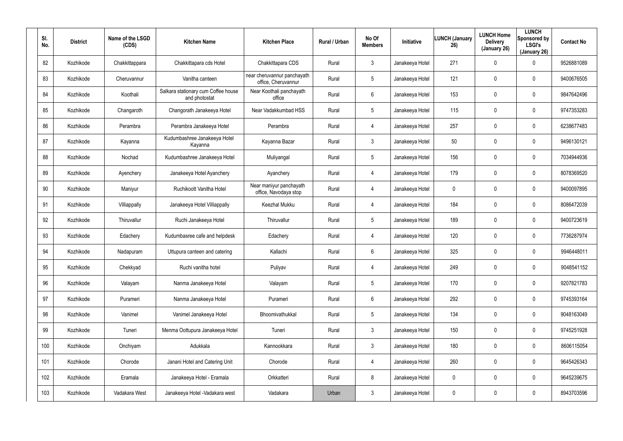| SI.<br>No. | <b>District</b> | Name of the LSGD<br>(CDS) | <b>Kitchen Name</b>                                  | <b>Kitchen Place</b>                               | Rural / Urban | No Of<br><b>Members</b> | Initiative      | <b>LUNCH (January</b><br>26) | <b>LUNCH Home</b><br><b>Delivery</b><br>(January 26) | <b>LUNCH</b><br>Sponsored by<br><b>LSGI's</b><br>(January 26) | <b>Contact No</b> |
|------------|-----------------|---------------------------|------------------------------------------------------|----------------------------------------------------|---------------|-------------------------|-----------------|------------------------------|------------------------------------------------------|---------------------------------------------------------------|-------------------|
| 82         | Kozhikode       | Chakkittappara            | Chakkittapara cds Hotel                              | Chakkittapara CDS                                  | Rural         | $\mathbf{3}$            | Janakeeya Hotel | 271                          | $\mathbf 0$                                          | 0                                                             | 9526881089        |
| 83         | Kozhikode       | Cheruvannur               | Vanitha canteen                                      | near cheruvannur panchayath<br>office, Cheruvannur | Rural         | 5                       | Janakeeya Hotel | 121                          | $\mathbf 0$                                          | $\mathbf 0$                                                   | 9400676505        |
| 84         | Kozhikode       | Koothali                  | Salkara stationary cum Coffee house<br>and photostat | Near Koothali panchayath<br>office                 | Rural         | 6                       | Janakeeya Hotel | 153                          | $\mathbf 0$                                          | $\mathbf 0$                                                   | 9847642496        |
| 85         | Kozhikode       | Changaroth                | Changorath Janakeeya Hotel                           | Near Vadakkumbad HSS                               | Rural         | 5                       | Janakeeya Hotel | 115                          | $\mathbf 0$                                          | $\mathbf 0$                                                   | 9747353283        |
| 86         | Kozhikode       | Perambra                  | Perambra Janakeeya Hotel                             | Perambra                                           | Rural         | $\overline{4}$          | Janakeeya Hotel | 257                          | $\mathbf 0$                                          | $\mathbf 0$                                                   | 6238677483        |
| 87         | Kozhikode       | Kayanna                   | Kudumbashree Janakeeya Hotel<br>Kayanna              | Kayanna Bazar                                      | Rural         | $\mathbf{3}$            | Janakeeya Hotel | 50                           | $\mathbf 0$                                          | $\mathbf 0$                                                   | 9496130121        |
| 88         | Kozhikode       | Nochad                    | Kudumbashree Janakeeya Hotel                         | Muliyangal                                         | Rural         | 5                       | Janakeeya Hotel | 156                          | $\mathbf 0$                                          | $\mathbf 0$                                                   | 7034944936        |
| 89         | Kozhikode       | Ayenchery                 | Janakeeya Hotel Ayanchery                            | Ayanchery                                          | Rural         | 4                       | Janakeeya Hotel | 179                          | 0                                                    | 0                                                             | 8078369520        |
| 90         | Kozhikode       | Maniyur                   | Ruchikoott Vanitha Hotel                             | Near maniyur panchayath<br>office, Navodaya stop   | Rural         | 4                       | Janakeeya Hotel | 0                            | $\mathbf 0$                                          | $\mathbf 0$                                                   | 9400097895        |
| 91         | Kozhikode       | Villiappally              | Janakeeya Hotel Villiappally                         | Keezhal Mukku                                      | Rural         | 4                       | Janakeeya Hotel | 184                          | 0                                                    | $\mathbf 0$                                                   | 8086472039        |
| 92         | Kozhikode       | Thiruvallur               | Ruchi Janakeeya Hotel                                | Thiruvallur                                        | Rural         | 5                       | Janakeeya Hotel | 189                          | $\mathbf 0$                                          | $\mathbf 0$                                                   | 9400723619        |
| 93         | Kozhikode       | Edachery                  | Kudumbasree cafe and helpdesk                        | Edachery                                           | Rural         | 4                       | Janakeeya Hotel | 120                          | $\mathbf 0$                                          | 0                                                             | 7736287974        |
| 94         | Kozhikode       | Nadapuram                 | Uttupura canteen and catering                        | Kallachi                                           | Rural         | 6                       | Janakeeya Hotel | 325                          | $\mathbf 0$                                          | 0                                                             | 9946448011        |
| 95         | Kozhikode       | Chekkyad                  | Ruchi vanitha hotel                                  | Puliyav                                            | Rural         | 4                       | Janakeeya Hotel | 249                          | $\mathbf 0$                                          | 0                                                             | 9048541152        |
| 96         | Kozhikode       | Valayam                   | Nanma Janakeeya Hotel                                | Valayam                                            | Rural         | $5\phantom{.0}$         | Janakeeya Hotel | 170                          | $\overline{0}$                                       | $\pmb{0}$                                                     | 9207821783        |
| 97         | Kozhikode       | Purameri                  | Nanma Janakeeya Hotel                                | Purameri                                           | Rural         | $6\phantom{.}6$         | Janakeeya Hotel | 292                          | $\mathbf 0$                                          | $\pmb{0}$                                                     | 9745393164        |
| 98         | Kozhikode       | Vanimel                   | Vanimel Janakeeya Hotel                              | Bhoomivathukkal                                    | Rural         | $5\phantom{.0}$         | Janakeeya Hotel | 134                          | $\overline{0}$                                       | $\pmb{0}$                                                     | 9048163049        |
| 99         | Kozhikode       | Tuneri                    | Menma Oottupura Janakeeya Hotel                      | Tuneri                                             | Rural         | 3 <sup>1</sup>          | Janakeeya Hotel | 150                          | $\mathbf 0$                                          | 0                                                             | 9745251928        |
| 100        | Kozhikode       | Onchiyam                  | Adukkala                                             | Kannookkara                                        | Rural         | 3 <sup>1</sup>          | Janakeeya Hotel | 180                          | $\pmb{0}$                                            | 0                                                             | 8606115054        |
| 101        | Kozhikode       | Chorode                   | Janani Hotel and Catering Unit                       | Chorode                                            | Rural         | $\overline{4}$          | Janakeeya Hotel | 260                          | $\mathbf 0$                                          | 0                                                             | 9645426343        |
| 102        | Kozhikode       | Eramala                   | Janakeeya Hotel - Eramala                            | Orkkatteri                                         | Rural         | 8                       | Janakeeya Hotel | 0                            | $\pmb{0}$                                            | 0                                                             | 9645239675        |
| 103        | Kozhikode       | Vadakara West             | Janakeeya Hotel - Vadakara west                      | Vadakara                                           | Urban         | $\mathfrak{Z}$          | Janakeeya Hotel | 0                            | $\mathbf 0$                                          | 0                                                             | 8943703596        |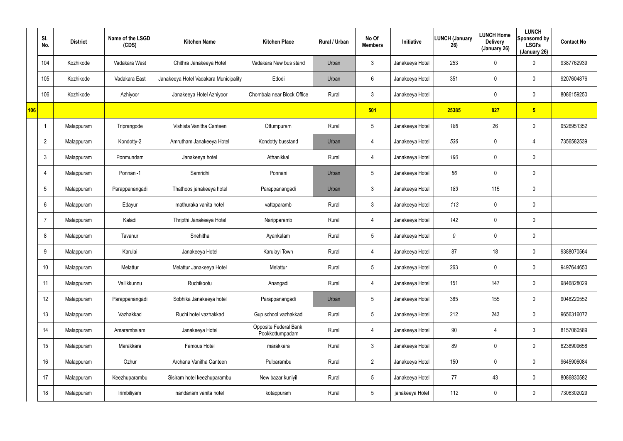|     | SI.<br>No.      | <b>District</b> | Name of the LSGD<br>(CDS) | <b>Kitchen Name</b>                   | <b>Kitchen Place</b>                     | Rural / Urban | No Of<br><b>Members</b> | Initiative      | LUNCH (January<br>26) | <b>LUNCH Home</b><br><b>Delivery</b><br>(January 26) | <b>LUNCH</b><br>Sponsored by<br><b>LSGI's</b><br>(January 26) | <b>Contact No</b> |
|-----|-----------------|-----------------|---------------------------|---------------------------------------|------------------------------------------|---------------|-------------------------|-----------------|-----------------------|------------------------------------------------------|---------------------------------------------------------------|-------------------|
|     | 104             | Kozhikode       | Vadakara West             | Chithra Janakeeya Hotel               | Vadakara New bus stand                   | Urban         | $\mathbf{3}$            | Janakeeya Hotel | 253                   | 0                                                    | $\mathbf 0$                                                   | 9387762939        |
|     | 105             | Kozhikode       | Vadakara East             | Janakeeya Hotel Vadakara Municipality | Edodi                                    | Urban         | 6                       | Janakeeya Hotel | 351                   | 0                                                    | $\mathbf 0$                                                   | 9207604876        |
|     | 106             | Kozhikode       | Azhiyoor                  | Janakeeya Hotel Azhiyoor              | Chombala near Block Office               | Rural         | 3 <sup>1</sup>          | Janakeeya Hotel |                       | 0                                                    | $\mathbf 0$                                                   | 8086159250        |
| 106 |                 |                 |                           |                                       |                                          |               | 501                     |                 | 25385                 | 827                                                  | 5 <sub>5</sub>                                                |                   |
|     |                 | Malappuram      | Triprangode               | Vishista Vanitha Canteen              | Ottumpuram                               | Rural         | $5\phantom{.0}$         | Janakeeya Hotel | 186                   | 26                                                   | $\mathbf 0$                                                   | 9526951352        |
|     | $\overline{2}$  | Malappuram      | Kondotty-2                | Amrutham Janakeeya Hotel              | Kondotty busstand                        | Urban         | $\overline{4}$          | Janakeeya Hotel | 536                   | 0                                                    | 4                                                             | 7356582539        |
|     | 3               | Malappuram      | Ponmundam                 | Janakeeya hotel                       | Athanikkal                               | Rural         | $\overline{4}$          | Janakeeya Hotel | 190                   | 0                                                    | $\mathbf 0$                                                   |                   |
|     | 4               | Malappuram      | Ponnani-1                 | Samridhi                              | Ponnani                                  | Urban         | $5\phantom{.0}$         | Janakeeya Hotel | 86                    | 0                                                    | $\mathbf 0$                                                   |                   |
|     | $5\overline{)}$ | Malappuram      | Parappanangadi            | Thathoos janakeeya hotel              | Parappanangadi                           | Urban         | $\mathbf{3}$            | Janakeeya Hotel | 183                   | 115                                                  | $\mathbf 0$                                                   |                   |
|     | 6               | Malappuram      | Edayur                    | mathuraka vanita hotel                | vattaparamb                              | Rural         | $\mathbf{3}$            | Janakeeya Hotel | 113                   | 0                                                    | $\mathbf 0$                                                   |                   |
|     | 7               | Malappuram      | Kaladi                    | Thripthi Janakeeya Hotel              | Naripparamb                              | Rural         | 4                       | Janakeeya Hotel | 142                   | 0                                                    | $\mathbf 0$                                                   |                   |
|     | 8               | Malappuram      | Tavanur                   | Snehitha                              | Ayankalam                                | Rural         | $5\overline{)}$         | Janakeeya Hotel | 0                     | 0                                                    | $\mathbf 0$                                                   |                   |
|     | 9               | Malappuram      | Karulai                   | Janakeeya Hotel                       | Karulayi Town                            | Rural         | 4                       | Janakeeya Hotel | 87                    | 18                                                   | $\mathbf 0$                                                   | 9388070564        |
|     | 10              | Malappuram      | Melattur                  | Melattur Janakeeya Hotel              | Melattur                                 | Rural         | $5\phantom{.0}$         | Janakeeya Hotel | 263                   | 0                                                    | $\pmb{0}$                                                     | 9497644650        |
|     | 11              | Malappuram      | Vallikkunnu               | Ruchikootu                            | Anangadi                                 | Rural         | $\overline{4}$          | Janakeeya Hotel | 151                   | 147                                                  | $\mathsf{0}$                                                  | 9846828029        |
|     | 12              | Malappuram      | Parappanangadi            | Sobhika Janakeeya hotel               | Parappanangadi                           | Urban         | $5\phantom{.0}$         | Janakeeya Hotel | 385                   | 155                                                  | $\mathsf{0}$                                                  | 9048220552        |
|     | 13              | Malappuram      | Vazhakkad                 | Ruchi hotel vazhakkad                 | Gup school vazhakkad                     | Rural         | $5\phantom{.0}$         | Janakeeya Hotel | 212                   | 243                                                  | $\mathsf{0}$                                                  | 9656316072        |
|     | 14              | Malappuram      | Amarambalam               | Janakeeya Hotel                       | Opposite Federal Bank<br>Pookkottumpadam | Rural         | $\overline{4}$          | Janakeeya Hotel | 90                    | 4                                                    | $\mathfrak{Z}$                                                | 8157060589        |
|     | 15              | Malappuram      | Marakkara                 | Famous Hotel                          | marakkara                                | Rural         | $\mathbf{3}$            | Janakeeya Hotel | 89                    | 0                                                    | $\mathbf 0$                                                   | 6238909658        |
|     | 16              | Malappuram      | Ozhur                     | Archana Vanitha Canteen               | Pulparambu                               | Rural         | $2^{\circ}$             | Janakeeya Hotel | 150                   | 0                                                    | $\pmb{0}$                                                     | 9645906084        |
|     | 17              | Malappuram      | Keezhuparambu             | Sisiram hotel keezhuparambu           | New bazar kuniyil                        | Rural         | $5\phantom{.0}$         | Janakeeya Hotel | 77                    | 43                                                   | $\mathbf 0$                                                   | 8086830582        |
|     | 18              | Malappuram      | Irimbiliyam               | nandanam vanita hotel                 | kotappuram                               | Rural         | $\sqrt{5}$              | janakeeya Hotel | 112                   | 0                                                    | $\pmb{0}$                                                     | 7306302029        |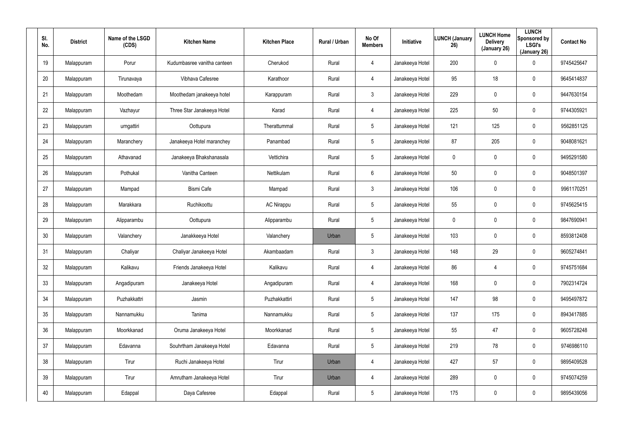| SI.<br>No. | <b>District</b> | Name of the LSGD<br>(CDS) | <b>Kitchen Name</b>         | <b>Kitchen Place</b> | Rural / Urban | No Of<br><b>Members</b> | Initiative      | <b>LUNCH (January</b><br>26) | <b>LUNCH Home</b><br><b>Delivery</b><br>(January 26) | <b>LUNCH</b><br>Sponsored by<br><b>LSGI's</b><br>(January 26) | <b>Contact No</b> |
|------------|-----------------|---------------------------|-----------------------------|----------------------|---------------|-------------------------|-----------------|------------------------------|------------------------------------------------------|---------------------------------------------------------------|-------------------|
| 19         | Malappuram      | Porur                     | Kudumbasree vanitha canteen | Cherukod             | Rural         | 4                       | Janakeeya Hotel | 200                          | $\pmb{0}$                                            | 0                                                             | 9745425647        |
| 20         | Malappuram      | Tirunavaya                | Vibhava Cafesree            | Karathoor            | Rural         | $\overline{4}$          | Janakeeya Hotel | 95                           | 18                                                   | 0                                                             | 9645414837        |
| 21         | Malappuram      | Moothedam                 | Moothedam janakeeya hotel   | Karappuram           | Rural         | $\mathbf{3}$            | Janakeeya Hotel | 229                          | $\pmb{0}$                                            | 0                                                             | 9447630154        |
| 22         | Malappuram      | Vazhayur                  | Three Star Janakeeya Hotel  | Karad                | Rural         | 4                       | Janakeeya Hotel | 225                          | 50                                                   | 0                                                             | 9744305921        |
| 23         | Malappuram      | urngattiri                | Oottupura                   | Therattummal         | Rural         | 5                       | Janakeeya Hotel | 121                          | 125                                                  | 0                                                             | 9562851125        |
| 24         | Malappuram      | Maranchery                | Janakeeya Hotel maranchey   | Panambad             | Rural         | 5                       | Janakeeya Hotel | 87                           | 205                                                  | 0                                                             | 9048081621        |
| 25         | Malappuram      | Athavanad                 | Janakeeya Bhakshanasala     | Vettichira           | Rural         | $5\phantom{.0}$         | Janakeeya Hotel | 0                            | $\pmb{0}$                                            | $\mathbf 0$                                                   | 9495291580        |
| 26         | Malappuram      | Pothukal                  | Vanitha Canteen             | Nettikulam           | Rural         | 6                       | Janakeeya Hotel | 50                           | $\boldsymbol{0}$                                     | $\mathbf 0$                                                   | 9048501397        |
| 27         | Malappuram      | Mampad                    | <b>Bismi Cafe</b>           | Mampad               | Rural         | $\mathbf{3}$            | Janakeeya Hotel | 106                          | $\overline{0}$                                       | $\mathbf 0$                                                   | 9961170251        |
| 28         | Malappuram      | Marakkara                 | Ruchikoottu                 | <b>AC Nirappu</b>    | Rural         | $5\phantom{.0}$         | Janakeeya Hotel | 55                           | $\mathbf 0$                                          | $\mathbf 0$                                                   | 9745625415        |
| 29         | Malappuram      | Alipparambu               | Oottupura                   | Alipparambu          | Rural         | $5\phantom{.0}$         | Janakeeya Hotel | 0                            | $\pmb{0}$                                            | $\mathbf 0$                                                   | 9847690941        |
| 30         | Malappuram      | Valanchery                | Janakkeeya Hotel            | Valanchery           | Urban         | $5\phantom{.0}$         | Janakeeya Hotel | 103                          | $\boldsymbol{0}$                                     | 0                                                             | 8593812408        |
| 31         | Malappuram      | Chaliyar                  | Chaliyar Janakeeya Hotel    | Akambaadam           | Rural         | $\mathbf{3}$            | Janakeeya Hotel | 148                          | 29                                                   | $\mathbf 0$                                                   | 9605274841        |
| 32         | Malappuram      | Kalikavu                  | Friends Janakeeya Hotel     | Kalikavu             | Rural         | 4                       | Janakeeya Hotel | 86                           | $\overline{4}$                                       | $\pmb{0}$                                                     | 9745751684        |
| 33         | Malappuram      | Angadipuram               | Janakeeya Hotel             | Angadipuram          | Rural         | $\overline{4}$          | Janakeeya Hotel | 168                          | $\mathbf 0$                                          | $\pmb{0}$                                                     | 7902314724        |
| 34         | Malappuram      | Puzhakkattri              | Jasmin                      | Puzhakkattiri        | Rural         | $5\phantom{.0}$         | Janakeeya Hotel | 147                          | 98                                                   | $\pmb{0}$                                                     | 9495497872        |
| 35         | Malappuram      | Nannamukku                | Tanima                      | Nannamukku           | Rural         | $5\phantom{.0}$         | Janakeeya Hotel | 137                          | 175                                                  | $\pmb{0}$                                                     | 8943417885        |
| 36         | Malappuram      | Moorkkanad                | Oruma Janakeeya Hotel       | Moorkkanad           | Rural         | $5\phantom{.0}$         | Janakeeya Hotel | 55                           | 47                                                   | 0                                                             | 9605728248        |
| 37         | Malappuram      | Edavanna                  | Souhrtham Janakeeya Hotel   | Edavanna             | Rural         | $5\phantom{.0}$         | Janakeeya Hotel | 219                          | 78                                                   | 0                                                             | 9746986110        |
| 38         | Malappuram      | Tirur                     | Ruchi Janakeeya Hotel       | Tirur                | Urban         | $\overline{4}$          | Janakeeya Hotel | 427                          | 57                                                   | 0                                                             | 9895409528        |
| 39         | Malappuram      | Tirur                     | Amrutham Janakeeya Hotel    | Tirur                | Urban         | $\overline{4}$          | Janakeeya Hotel | 289                          | $\mathbf 0$                                          | 0                                                             | 9745074259        |
| 40         | Malappuram      | Edappal                   | Daya Cafesree               | Edappal              | Rural         | $5\phantom{.0}$         | Janakeeya Hotel | 175                          | $\boldsymbol{0}$                                     | 0                                                             | 9895439056        |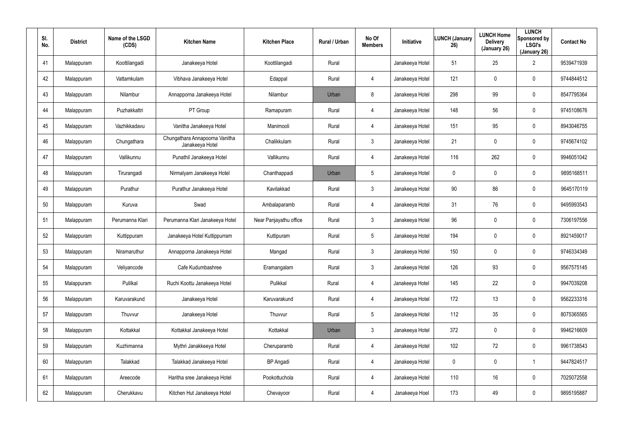| SI.<br>No. | <b>District</b> | Name of the LSGD<br>(CDS) | <b>Kitchen Name</b>                               | <b>Kitchen Place</b>   | Rural / Urban | No Of<br><b>Members</b> | Initiative      | <b>LUNCH (January</b><br>26) | <b>LUNCH Home</b><br><b>Delivery</b><br>(January 26) | <b>LUNCH</b><br>Sponsored by<br><b>LSGI's</b><br>(January 26) | <b>Contact No</b> |
|------------|-----------------|---------------------------|---------------------------------------------------|------------------------|---------------|-------------------------|-----------------|------------------------------|------------------------------------------------------|---------------------------------------------------------------|-------------------|
| 41         | Malappuram      | Koottilangadi             | Janakeeya Hotel                                   | Koottilangadi          | Rural         |                         | Janakeeya Hotel | 51                           | 25                                                   | $\overline{2}$                                                | 9539471939        |
| 42         | Malappuram      | Vattamkulam               | Vibhava Janakeeya Hotel                           | Edappal                | Rural         | $\overline{4}$          | Janakeeya Hotel | 121                          | $\mathbf 0$                                          | 0                                                             | 9744844512        |
| 43         | Malappuram      | Nilambur                  | Annapporna Janakeeya Hotel                        | Nilambur               | Urban         | 8                       | Janakeeya Hotel | 298                          | 99                                                   | 0                                                             | 8547795364        |
| 44         | Malappuram      | Puzhakkattri              | PT Group                                          | Ramapuram              | Rural         | $\overline{4}$          | Janakeeya Hotel | 148                          | 56                                                   | 0                                                             | 9745108676        |
| 45         | Malappuram      | Vazhikkadavu              | Vanitha Janakeeya Hotel                           | Manimooli              | Rural         | $\overline{4}$          | Janakeeya Hotel | 151                          | 95                                                   | 0                                                             | 8943046755        |
| 46         | Malappuram      | Chungathara               | Chungathara Annapoorna Vanitha<br>Janakeeya Hotel | Chalikkulam            | Rural         | $\mathbf{3}$            | Janakeeya Hotel | 21                           | $\mathbf 0$                                          | $\mathbf 0$                                                   | 9745674102        |
| 47         | Malappuram      | Vallikunnu                | Punathil Janakeeya Hotel                          | Vallikunnu             | Rural         | $\overline{4}$          | Janakeeya Hotel | 116                          | 262                                                  | $\mathbf 0$                                                   | 9946051042        |
| 48         | Malappuram      | Tirurangadi               | Nirmalyam Janakeeya Hotel                         | Chanthappadi           | Urban         | $5\overline{)}$         | Janakeeya Hotel | 0                            | 0                                                    | 0                                                             | 9895168511        |
| 49         | Malappuram      | Purathur                  | Purathur Janakeeya Hotel                          | Kavilakkad             | Rural         | $\mathbf{3}$            | Janakeeya Hotel | 90                           | 86                                                   | $\mathbf 0$                                                   | 9645170119        |
| 50         | Malappuram      | Kuruva                    | Swad                                              | Ambalaparamb           | Rural         | 4                       | Janakeeya Hotel | 31                           | 76                                                   | 0                                                             | 9495993543        |
| 51         | Malappuram      | Perumanna Klari           | Perumanna Klari Janakeeya Hotel                   | Near Panjayathu office | Rural         | $\mathbf{3}$            | Janakeeya Hotel | 96                           | $\mathbf 0$                                          | $\mathbf 0$                                                   | 7306197556        |
| 52         | Malappuram      | Kuttippuram               | Janakeeya Hotel Kuttippurram                      | Kuttipuram             | Rural         | $5\phantom{.0}$         | Janakeeya Hotel | 194                          | $\mathbf 0$                                          | 0                                                             | 8921459017        |
| 53         | Malappuram      | Niramaruthur              | Annapporna Janakeeya Hotel                        | Mangad                 | Rural         | $\mathbf{3}$            | Janakeeya Hotel | 150                          | $\overline{0}$                                       | 0                                                             | 9746334349        |
| 54         | Malappuram      | Veliyancode               | Cafe Kudumbashree                                 | Eramangalam            | Rural         | $\mathbf{3}$            | Janakeeya Hotel | 126                          | 93                                                   | 0                                                             | 9567575145        |
| 55         | Malappuram      | Pulilkal                  | Ruchi Koottu Janakeeya Hotel                      | Pulikkal               | Rural         | $\overline{4}$          | Janakeeya Hotel | 145                          | 22                                                   | $\pmb{0}$                                                     | 9947039208        |
| 56         | Malappuram      | Karuvarakund              | Janakeeya Hotel                                   | Karuvarakund           | Rural         | $\overline{4}$          | Janakeeya Hotel | 172                          | 13                                                   | $\pmb{0}$                                                     | 9562233316        |
| 57         | Malappuram      | Thuvvur                   | Janakeeya Hotel                                   | Thuvvur                | Rural         | $5\phantom{.0}$         | Janakeeya Hotel | 112                          | 35                                                   | $\pmb{0}$                                                     | 8075365565        |
| 58         | Malappuram      | Kottakkal                 | Kottakkal Janakeeya Hotel                         | Kottakkal              | Urban         | 3 <sup>1</sup>          | Janakeeya Hotel | 372                          | $\mathbf 0$                                          | 0                                                             | 9946216609        |
| 59         | Malappuram      | Kuzhimanna                | Mythri Janakkeeya Hotel                           | Cheruparamb            | Rural         | $\overline{4}$          | Janakeeya Hotel | 102                          | 72                                                   | 0                                                             | 9961738543        |
| 60         | Malappuram      | Talakkad                  | Talakkad Janakeeya Hotel                          | <b>BP</b> Angadi       | Rural         | $\overline{4}$          | Janakeeya Hotel | $\mathbf{0}$                 | $\mathbf 0$                                          |                                                               | 9447824517        |
| 61         | Malappuram      | Areecode                  | Haritha sree Janakeeya Hotel                      | Pookottuchola          | Rural         | $\overline{4}$          | Janakeeya Hotel | 110                          | 16                                                   | 0                                                             | 7025072558        |
| 62         | Malappuram      | Cherukkavu                | Kitchen Hut Janakeeya Hotel                       | Chevayoor              | Rural         | $\overline{4}$          | Janakeeya Hoel  | 173                          | 49                                                   | 0                                                             | 9895195887        |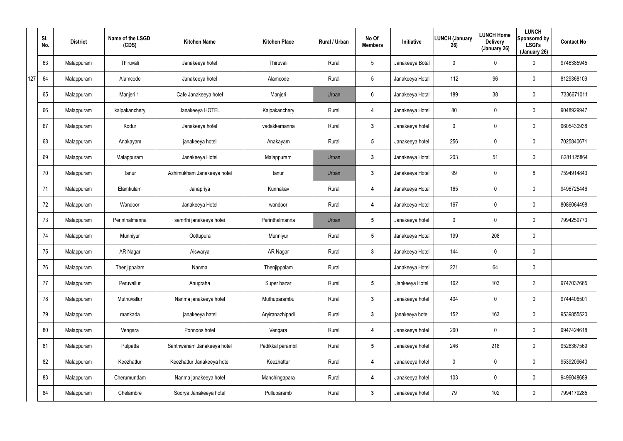|     | SI.<br>No. | <b>District</b> | Name of the LSGD<br>(CDS) | <b>Kitchen Name</b>        | <b>Kitchen Place</b> | Rural / Urban | No Of<br><b>Members</b> | Initiative      | <b>LUNCH (January</b><br>26) | <b>LUNCH Home</b><br><b>Delivery</b><br>(January 26) | <b>LUNCH</b><br>Sponsored by<br><b>LSGI's</b><br>(January 26) | <b>Contact No</b> |
|-----|------------|-----------------|---------------------------|----------------------------|----------------------|---------------|-------------------------|-----------------|------------------------------|------------------------------------------------------|---------------------------------------------------------------|-------------------|
|     | 63         | Malappuram      | Thiruvali                 | Janakeeya hotel            | Thiruvali            | Rural         | $5\overline{)}$         | Janakeeya Botal | 0                            | 0                                                    | $\mathbf 0$                                                   | 9746385945        |
| 127 | 64         | Malappuram      | Alamcode                  | Janakeeya hotel            | Alamcode             | Rural         | $5\phantom{.0}$         | Janakeeya Hotal | 112                          | 96                                                   | $\mathbf 0$                                                   | 8129368109        |
|     | 65         | Malappuram      | Manjeri 1                 | Cafe Janakeeya hotel       | Manjeri              | Urban         | 6                       | Janakeeya Hotal | 189                          | 38                                                   | $\mathbf 0$                                                   | 7336671011        |
|     | 66         | Malappuram      | kalpakanchery             | Janakeeya HOTEL            | Kalpakanchery        | Rural         | $\overline{4}$          | Janakeeya Hotel | 80                           | 0                                                    | $\mathbf 0$                                                   | 9048929947        |
|     | 67         | Malappuram      | Kodur                     | Janakeeya hotel            | vadakkemanna         | Rural         | $\mathbf{3}$            | Janakeeya hotel | 0                            | 0                                                    | $\mathbf 0$                                                   | 9605430938        |
|     | 68         | Malappuram      | Anakayam                  | janakeeya hotel            | Anakayam             | Rural         | $5\phantom{.0}$         | Janakeeya hotel | 256                          | 0                                                    | $\mathbf 0$                                                   | 7025840671        |
|     | 69         | Malappuram      | Malappuram                | Janakeeya Hotel            | Malappuram           | Urban         | $\mathbf{3}$            | Janakeeya Hotal | 203                          | 51                                                   | $\mathbf 0$                                                   | 8281125864        |
|     | 70         | Malappuram      | Tanur                     | Azhimukham Janakeeya hotel | tanur                | Urban         | $\mathbf{3}$            | Janakeeya Hotel | 99                           | 0                                                    | 8                                                             | 7594914843        |
|     | 71         | Malappuram      | Elamkulam                 | Janapriya                  | Kunnakav             | Rural         | 4                       | Janakeeya Hotel | 165                          | 0                                                    | $\mathbf 0$                                                   | 9496725446        |
|     | 72         | Malappuram      | Wandoor                   | Janakeeya Hotel            | wandoor              | Rural         | 4                       | Janakeeya Hotel | 167                          | 0                                                    | $\mathbf 0$                                                   | 8086064498        |
|     | 73         | Malappuram      | Perinthalmanna            | samrthi janakeeya hotei    | Perinthalmanna       | Urban         | $5\phantom{.0}$         | Janakeeya hotel | 0                            | 0                                                    | $\mathbf 0$                                                   | 7994259773        |
|     | 74         | Malappuram      | Munniyur                  | Oottupura                  | Munniyur             | Rural         | $5\phantom{.0}$         | Janakeeya Hotel | 199                          | 208                                                  | $\mathbf 0$                                                   |                   |
|     | 75         | Malappuram      | AR Nagar                  | Aiswarya                   | AR Nagar             | Rural         | $\mathbf{3}$            | Janakeeya Hotel | 144                          | 0                                                    | $\mathbf 0$                                                   |                   |
|     | 76         | Malappuram      | Thenjippalam              | Nanma                      | Thenjippalam         | Rural         |                         | Janakeeya Hotel | 221                          | 64                                                   | $\pmb{0}$                                                     |                   |
|     | 77         | Malappuram      | Peruvallur                | Anugraha                   | Super bazar          | Rural         | $5\phantom{.0}$         | Jankeeya Hotel  | 162                          | 103                                                  | $\overline{2}$                                                | 9747037665        |
|     | 78         | Malappuram      | Muthuvallur               | Nanma janakeeya hotel      | Muthuparambu         | Rural         | 3 <sup>1</sup>          | Janakeeya hotel | 404                          | 0                                                    | $\pmb{0}$                                                     | 9744406501        |
|     | 79         | Malappuram      | mankada                   | janakeeya hatel            | Aryiranazhipadi      | Rural         | $\mathbf{3}$            | janakeeya hotel | 152                          | 163                                                  | $\pmb{0}$                                                     | 9539855520        |
|     | 80         | Malappuram      | Vengara                   | Ponnoos hotel              | Vengara              | Rural         | 4                       | Janakeeya hotel | 260                          | 0                                                    | $\pmb{0}$                                                     | 9947424618        |
|     | 81         | Malappuram      | Pulpatta                  | Santhwanam Janakeeya hotel | Padikkal parambil    | Rural         | $5\phantom{.0}$         | Janakeeya hotel | 246                          | 218                                                  | $\pmb{0}$                                                     | 9526367569        |
|     | 82         | Malappuram      | Keezhattur                | Keezhattur Janakeeya hotel | Keezhattur           | Rural         | $\boldsymbol{4}$        | Janakeeya hotel | $\mathbf 0$                  | 0                                                    | $\pmb{0}$                                                     | 9539209640        |
|     | 83         | Malappuram      | Cherumundam               | Nanma janakeeya hotel      | Manchingapara        | Rural         | 4                       | Janakeeya hotel | 103                          | 0                                                    | $\mathsf{0}$                                                  | 9496048689        |
|     | 84         | Malappuram      | Chelambre                 | Soorya Janakeeya hotel     | Pulluparamb          | Rural         | $\mathbf{3}$            | Janakeeya hotel | 79                           | 102                                                  | $\pmb{0}$                                                     | 7994179285        |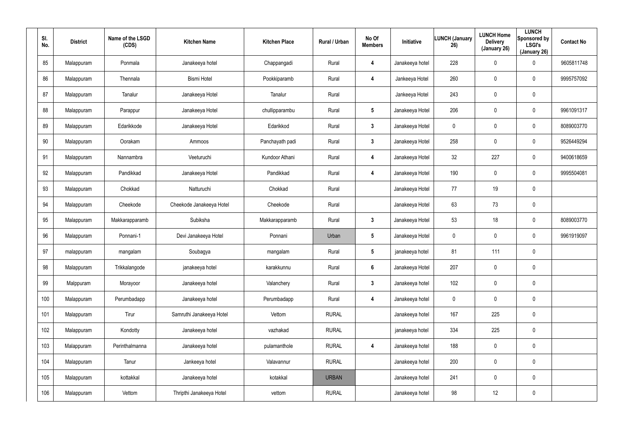| SI.<br>No. | <b>District</b> | Name of the LSGD<br>(CDS) | <b>Kitchen Name</b>      | <b>Kitchen Place</b> | Rural / Urban | No Of<br><b>Members</b> | Initiative      | <b>LUNCH (January</b><br>26) | <b>LUNCH Home</b><br><b>Delivery</b><br>(January 26) | <b>LUNCH</b><br>Sponsored by<br><b>LSGI's</b><br>(January 26) | <b>Contact No</b> |
|------------|-----------------|---------------------------|--------------------------|----------------------|---------------|-------------------------|-----------------|------------------------------|------------------------------------------------------|---------------------------------------------------------------|-------------------|
| 85         | Malappuram      | Ponmala                   | Janakeeya hotel          | Chappangadi          | Rural         | 4                       | Janakeeya hotel | 228                          | 0                                                    | $\mathbf 0$                                                   | 9605811748        |
| 86         | Malappuram      | Thennala                  | <b>Bismi Hotel</b>       | Pookkiparamb         | Rural         | 4                       | Jankeeya Hotel  | 260                          | 0                                                    | $\pmb{0}$                                                     | 9995757092        |
| 87         | Malappuram      | Tanalur                   | Janakeeya Hotel          | Tanalur              | Rural         |                         | Jankeeya Hotel  | 243                          | 0                                                    | $\pmb{0}$                                                     |                   |
| 88         | Malappuram      | Parappur                  | Janakeeya Hotel          | chullipparambu       | Rural         | $5\phantom{.0}$         | Janakeeya Hotel | 206                          | 0                                                    | $\pmb{0}$                                                     | 9961091317        |
| 89         | Malappuram      | Edarikkode                | Janakeeya Hotel          | Edarikkod            | Rural         | $\mathbf{3}$            | Janakeeya Hotel | 0                            | 0                                                    | $\pmb{0}$                                                     | 8089003770        |
| 90         | Malappuram      | Oorakam                   | Ammoos                   | Panchayath padi      | Rural         | $\mathbf{3}$            | Janakeeya Hotel | 258                          | 0                                                    | $\mathbf 0$                                                   | 9526449294        |
| 91         | Malappuram      | Nannambra                 | Veeturuchi               | Kundoor Athani       | Rural         | 4                       | Janakeeya Hotel | 32                           | 227                                                  | $\mathbf 0$                                                   | 9400618659        |
| 92         | Malappuram      | Pandikkad                 | Janakeeya Hotel          | Pandikkad            | Rural         | 4                       | Janakeeya Hotel | 190                          | $\mathbf 0$                                          | $\mathbf 0$                                                   | 9995504081        |
| 93         | Malappuram      | Chokkad                   | Natturuchi               | Chokkad              | Rural         |                         | Janakeeya Hotel | 77                           | 19                                                   | $\pmb{0}$                                                     |                   |
| 94         | Malappuram      | Cheekode                  | Cheekode Janakeeya Hotel | Cheekode             | Rural         |                         | Janakeeya Hotel | 63                           | 73                                                   | $\mathbf 0$                                                   |                   |
| 95         | Malappuram      | Makkarapparamb            | Subiksha                 | Makkarapparamb       | Rural         | $\mathbf{3}$            | Janakeeya Hotel | 53                           | 18                                                   | $\pmb{0}$                                                     | 8089003770        |
| 96         | Malappuram      | Ponnani-1                 | Devi Janakeeya Hotel     | Ponnani              | Urban         | $5\phantom{.0}$         | Janakeeya Hotel | 0                            | $\mathbf 0$                                          | $\mathbf 0$                                                   | 9961919097        |
| 97         | malappuram      | mangalam                  | Soubagya                 | mangalam             | Rural         | $5\phantom{.0}$         | janakeeya hotel | 81                           | 111                                                  | $\pmb{0}$                                                     |                   |
| 98         | Malappuram      | Trikkalangode             | janakeeya hotel          | karakkunnu           | Rural         | $6\phantom{.}$          | Janakeeya Hotel | 207                          | $\mathbf 0$                                          | $\pmb{0}$                                                     |                   |
| 99         | Malppuram       | Morayoor                  | Janakeeya hotel          | Valanchery           | Rural         | $3\phantom{a}$          | Janakeeya hotel | 102                          | $\mathbf 0$                                          | $\mathbf 0$                                                   |                   |
| 100        | Malappuram      | Perumbadapp               | Janakeeya hotel          | Perumbadapp          | Rural         | $\overline{\mathbf{4}}$ | Janakeeya hotel | $\mathbf 0$                  | $\mathbf 0$                                          | $\mathbf 0$                                                   |                   |
| 101        | Malappuram      | Tirur                     | Samruthi Janakeeya Hotel | Vettom               | <b>RURAL</b>  |                         | Janakeeya hotel | 167                          | 225                                                  | $\mathbf 0$                                                   |                   |
| 102        | Malappuram      | Kondotty                  | Janakeeya hotel          | vazhakad             | <b>RURAL</b>  |                         | janakeeya hotel | 334                          | 225                                                  | $\pmb{0}$                                                     |                   |
| 103        | Malappuram      | Perinthalmanna            | Janakeeya hotel          | pulamanthole         | <b>RURAL</b>  | 4                       | Janakeeya hotel | 188                          | 0                                                    | $\mathbf 0$                                                   |                   |
| 104        | Malappuram      | Tanur                     | Jankeeya hotel           | Valavannur           | <b>RURAL</b>  |                         | Janakeeya hotel | 200                          | $\pmb{0}$                                            | $\pmb{0}$                                                     |                   |
| 105        | Malappuram      | kottakkal                 | Janakeeya hotel          | kotakkal             | <b>URBAN</b>  |                         | Janakeeya hotel | 241                          | 0                                                    | $\mathbf 0$                                                   |                   |
| 106        | Malappuram      | Vettom                    | Thripthi Janakeeya Hotel | vettom               | <b>RURAL</b>  |                         | Janakeeya hotel | 98                           | 12                                                   | $\pmb{0}$                                                     |                   |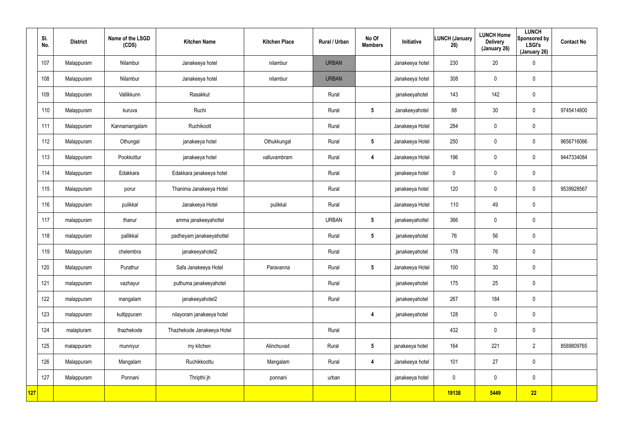|     | SI.<br>No. | <b>District</b> | Name of the LSGD<br>(CDS) | <b>Kitchen Name</b>        | <b>Kitchen Place</b> | Rural / Urban | No Of<br><b>Members</b> | Initiative      | <b>LUNCH (January</b><br>26) | <b>LUNCH Home</b><br><b>Delivery</b><br>(January 26) | <b>LUNCH</b><br>Sponsored by<br><b>LSGI's</b><br>(January 26) | <b>Contact No</b> |
|-----|------------|-----------------|---------------------------|----------------------------|----------------------|---------------|-------------------------|-----------------|------------------------------|------------------------------------------------------|---------------------------------------------------------------|-------------------|
|     | 107        | Malappuram      | Nilambur                  | Janakeeya hotel            | nilambur             | <b>URBAN</b>  |                         | Janakeeya hotel | 230                          | 20                                                   | $\pmb{0}$                                                     |                   |
|     | 108        | Malappuram      | Nilambur                  | Janakeeya hotel            | nilambur             | <b>URBAN</b>  |                         | Janakeeya hotel | 308                          | 0                                                    | $\mathbf 0$                                                   |                   |
|     | 109        | Malappuram      | Vallikkunn                | Rasakkut                   |                      | Rural         |                         | janakeeyahotel  | 143                          | 142                                                  | $\mathbf 0$                                                   |                   |
|     | 110        | Malappuram      | kuruva                    | Ruchi                      |                      | Rural         | $5\phantom{.0}$         | Janakeeyahotel  | 88                           | 30                                                   | $\mathbf 0$                                                   | 9745414800        |
|     | 111        | Malappuram      | Kannamangalam             | Ruchikoott                 |                      | Rural         |                         | Janakeeya Hotel | 284                          | 0                                                    | $\mathbf 0$                                                   |                   |
|     | 112        | Malappuram      | Othungal                  | janakeeya hotel            | Othukkungal          | Rural         | $5\phantom{.0}$         | Janakeeya Hotel | 250                          | 0                                                    | $\mathbf 0$                                                   | 9656716066        |
|     | 113        | Malappuram      | Pookkottur                | janakeeya hotel            | valluvambram         | Rural         | 4                       | Janakeeya Hotel | 196                          | $\mathbf 0$                                          | $\mathbf 0$                                                   | 9447334084        |
|     | 114        | Malappuram      | Edakkara                  | Edakkara janakeeya hotel   |                      | Rural         |                         | janakeeya hotel | 0                            | 0                                                    | $\mathbf 0$                                                   |                   |
|     | 115        | Malappuram      | porur                     | Thanima Janakeeya Hotel    |                      | Rural         |                         | janakeeya hotel | 120                          | $\mathbf 0$                                          | $\mathbf 0$                                                   | 9539928567        |
|     | 116        | Malappuram      | pulikkal                  | Janakeeya Hotel            | pulikkal             | Rural         |                         | Janakeeya Hotel | 110                          | 49                                                   | $\mathbf 0$                                                   |                   |
|     | 117        | malappuram      | thanur                    | amma janakeeyahottel       |                      | <b>URBAN</b>  | $5\phantom{.0}$         | janakeeyahottel | 366                          | $\mathbf 0$                                          | $\mathbf 0$                                                   |                   |
|     | 118        | malappuram      | pallikkal                 | padheyam janakeeyahottel   |                      | Rural         | $5\phantom{.0}$         | janakeeyahotel  | 76                           | 56                                                   | $\mathbf 0$                                                   |                   |
|     | 119        | Malappuram      | chelembra                 | janakeeyahotel2            |                      | Rural         |                         | janakeeyahotel  | 178                          | 76                                                   | $\pmb{0}$                                                     |                   |
|     | 120        | Malappuram      | Purathur                  | Safa Janakeeya Hotel       | Paravanna            | Rural         | $5\phantom{.0}$         | Janakeeya Hotel | 100                          | $30\,$                                               | $\pmb{0}$                                                     |                   |
|     | 121        | malappuram      | vazhayur                  | puthuma janakeeyahotel     |                      | Rural         |                         | janakeeyahotel  | 175                          | 25                                                   | $\pmb{0}$                                                     |                   |
|     | 122        | malappuram      | mangalam                  | janakeeyahotel2            |                      | Rural         |                         | janakeeyahotel  | 267                          | 184                                                  | $\pmb{0}$                                                     |                   |
|     | 123        | malappuram      | kuttippuram               | nilayoram janakeeya hotel  |                      |               | $\overline{\mathbf{4}}$ | janakeeyahotel  | 128                          | $\pmb{0}$                                            | $\pmb{0}$                                                     |                   |
|     | 124        | malapluram      | thazhekode                | Thazhekode Janakeeya Hotel |                      | Rural         |                         |                 | 432                          | 0                                                    | $\pmb{0}$                                                     |                   |
|     | 125        | malappuram      | munniyur                  | my kitchen                 | Alinchuvad           | Rural         | $5\phantom{.0}$         | janakeeya hotel | 164                          | 221                                                  | $\overline{2}$                                                | 8589809765        |
|     | 126        | Malappuram      | Mangalam                  | Ruchikkoottu               | Mangalam             | Rural         | $\overline{\mathbf{4}}$ | Janakeeya hotel | 101                          | 27                                                   | $\pmb{0}$                                                     |                   |
|     | 127        | Malappuram      | Ponnani                   | Thripthi jh                | ponnani              | urban         |                         | janakeeya hotel | $\mathbf 0$                  | $\mathbf 0$                                          | $\mathbf 0$                                                   |                   |
| 127 |            |                 |                           |                            |                      |               |                         |                 | 19138                        | 5449                                                 | 22                                                            |                   |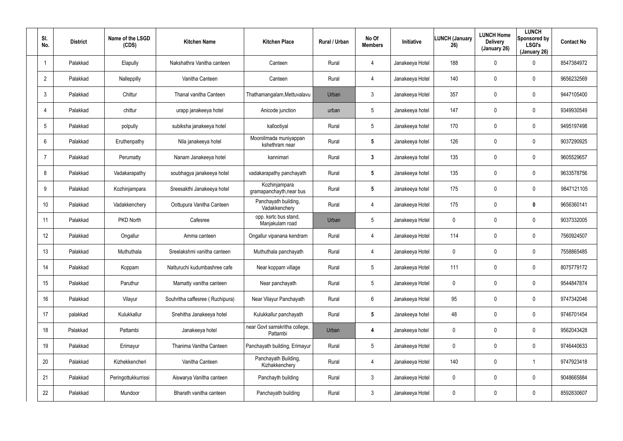| SI.<br>No.      | <b>District</b> | Name of the LSGD<br>(CDS) | <b>Kitchen Name</b>             | <b>Kitchen Place</b>                      | <b>Rural / Urban</b> | No Of<br><b>Members</b> | <b>Initiative</b> | <b>LUNCH (January</b><br>26) | <b>LUNCH Home</b><br><b>Delivery</b><br>(January 26) | <b>LUNCH</b><br>Sponsored by<br><b>LSGI's</b><br>(January 26) | <b>Contact No</b> |
|-----------------|-----------------|---------------------------|---------------------------------|-------------------------------------------|----------------------|-------------------------|-------------------|------------------------------|------------------------------------------------------|---------------------------------------------------------------|-------------------|
|                 | Palakkad        | Elapully                  | Nakshathra Vanitha canteen      | Canteen                                   | Rural                | 4                       | Janakeeya Hotel   | 188                          | $\mathbf{0}$                                         | 0                                                             | 8547384972        |
| $\overline{2}$  | Palakkad        | Nalleppilly               | Vanitha Canteen                 | Canteen                                   | Rural                | 4                       | Janakeeya Hotel   | 140                          | 0                                                    | 0                                                             | 9656232569        |
| 3               | Palakkad        | Chittur                   | Thanal vanitha Canteen          | Thathamangalam, Mettuvalavu               | Urban                | $\mathbf{3}$            | Janakeeya Hotel   | 357                          | 0                                                    | 0                                                             | 9447105400        |
| $\overline{4}$  | Palakkad        | chittur                   | urapp janakeeya hotel           | Anicode junction                          | urban                | 5                       | Janakeeya hotel   | 147                          | $\mathbf 0$                                          | 0                                                             | 9349930549        |
| 5               | Palakkad        | polpully                  | subiksha janakeeya hotel        | kallootiyal                               | Rural                | $5\overline{)}$         | Janakeeya hotel   | 170                          | 0                                                    | 0                                                             | 9495197498        |
| 6               | Palakkad        | Eruthenpathy              | Nila janakeeya hotel            | Mooniilmada muniyappan<br>kshethram near  | Rural                | 5                       | Janakeeya hotel   | 126                          | 0                                                    | 0                                                             | 9037290925        |
| $\overline{7}$  | Palakkad        | Perumatty                 | Nanam Janakeeya hotel           | kannimari                                 | Rural                | $\mathbf{3}$            | Janakeeya hotel   | 135                          | $\mathbf 0$                                          | 0                                                             | 9605529657        |
| 8               | Palakkad        | Vadakarapathy             | soubhagya janakeeya hotel       | vadakarapathy panchayath                  | Rural                | 5                       | Janakeeya hotel   | 135                          | 0                                                    | 0                                                             | 9633578756        |
| 9               | Palakkad        | Kozhinjampara             | Sreesakthi Janakeeya hotel      | Kozhinjampara<br>gramapanchayth, near bus | Rural                | $\overline{\mathbf{5}}$ | Janakeeya hotel   | 175                          | $\mathbf 0$                                          | 0                                                             | 9847121105        |
| 10 <sup>°</sup> | Palakkad        | Vadakkenchery             | Oottupura Vanitha Canteen       | Panchayath building,<br>Vadakkenchery     | Rural                | 4                       | Janakeeya Hotel   | 175                          | 0                                                    | 0                                                             | 9656360141        |
| 11              | Palakkad        | <b>PKD North</b>          | Cafesree                        | opp. ksrtc bus stand,<br>Manjakulam road  | Urban                | 5                       | Janakeeya Hotel   | 0                            | 0                                                    | 0                                                             | 9037332005        |
| 12              | Palakkad        | Ongallur                  | Amma canteen                    | Ongallur vipanana kendram                 | Rural                | 4                       | Janakeeya Hotel   | 114                          | 0                                                    | 0                                                             | 7560924507        |
| 13              | Palakkad        | Muthuthala                | Sreelakshmi vanitha canteen     | Muthuthala panchayath                     | Rural                | 4                       | Janakeeya Hotel   | 0                            | $\mathbf 0$                                          | 0                                                             | 7558865485        |
| 14              | Palakkad        | Koppam                    | Natturuchi kudumbashree cafe    | Near koppam village                       | Rural                | 5                       | Janakeeya Hotel   | 111                          | 0                                                    | 0                                                             | 8075779172        |
| 15              | Palakkad        | Paruthur                  | Mamatty vanitha canteen         | Near panchayath                           | Rural                | $5\phantom{.0}$         | Janakeeya Hotel   | 0                            | $\mathbf 0$                                          | 0                                                             | 9544847874        |
| 16              | Palakkad        | Vilayur                   | Souhritha caffesree (Ruchipura) | Near Vilayur Panchayath                   | Rural                | 6                       | Janakeeya Hotel   | 95                           | $\mathbf 0$                                          | 0                                                             | 9747342046        |
| 17              | palakkad        | Kulukkallur               | Snehitha Janakeeya hotel        | Kulukkallur panchayath                    | Rural                | $\sqrt{5}$              | Janakeeya hotel   | 48                           | $\mathbf 0$                                          | 0                                                             | 9746701454        |
| 18              | Palakkad        | Pattambi                  | Janakeeya hotel                 | near Govt samskritha college,<br>Pattambi | Urban                | 4                       | Janakeeya hotel   | 0                            | $\mathbf 0$                                          | 0                                                             | 9562043428        |
| 19              | Palakkad        | Erimayur                  | Thanima Vanitha Canteen         | Panchayath building, Erimayur             | Rural                | $5\phantom{.0}$         | Janakeeya Hotel   | 0                            | $\mathbf 0$                                          | 0                                                             | 9746440633        |
| 20              | Palakkad        | Kizhekkencheri            | Vanitha Canteen                 | Panchayath Building,<br>Kizhakkenchery    | Rural                | 4                       | Janakeeya Hotel   | 140                          | $\mathbf 0$                                          |                                                               | 9747923418        |
| 21              | Palakkad        | Peringottukkurrissi       | Aiswarya Vanitha canteen        | Panchayth building                        | Rural                | $\mathbf{3}$            | Janakeeya Hotel   | 0                            | $\mathbf 0$                                          | 0                                                             | 9048665884        |
| 22              | Palakkad        | Mundoor                   | Bharath vanitha canteen         | Panchayath building                       | Rural                | $\mathfrak{Z}$          | Janakeeya Hotel   | 0                            | $\mathbf 0$                                          | 0                                                             | 8592830607        |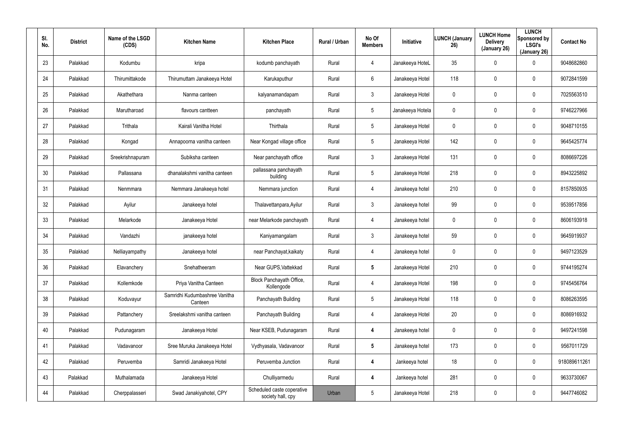| SI.<br>No. | <b>District</b> | Name of the LSGD<br>(CDS) | <b>Kitchen Name</b>                      | <b>Kitchen Place</b>                            | Rural / Urban | No Of<br><b>Members</b> | Initiative       | <b>LUNCH (January</b><br>26) | <b>LUNCH Home</b><br><b>Delivery</b><br>(January 26) | <b>LUNCH</b><br>Sponsored by<br><b>LSGI's</b><br>(January 26) | <b>Contact No</b> |
|------------|-----------------|---------------------------|------------------------------------------|-------------------------------------------------|---------------|-------------------------|------------------|------------------------------|------------------------------------------------------|---------------------------------------------------------------|-------------------|
| 23         | Palakkad        | Kodumbu                   | kripa                                    | kodumb panchayath                               | Rural         | $\overline{4}$          | Janakeeya HoteL  | 35                           | $\mathbf 0$                                          | 0                                                             | 9048682860        |
| 24         | Palakkad        | Thirumittakode            | Thirumuttam Janakeeya Hotel              | Karukaputhur                                    | Rural         | 6                       | Janakeeya Hotel  | 118                          | $\mathbf 0$                                          | 0                                                             | 9072841599        |
| 25         | Palakkad        | Akathethara               | Nanma canteen                            | kalyanamandapam                                 | Rural         | $\mathbf{3}$            | Janakeeya Hotel  | 0                            | $\mathbf 0$                                          | 0                                                             | 7025563510        |
| 26         | Palakkad        | Marutharoad               | flavours cantteen                        | panchayath                                      | Rural         | 5                       | Janakeeya Hotela | 0                            | $\mathbf 0$                                          | $\mathbf 0$                                                   | 9746227966        |
| 27         | Palakkad        | Trithala                  | Kairali Vanitha Hotel                    | Thirthala                                       | Rural         | 5                       | Janakeeya Hotel  | 0                            | $\mathbf 0$                                          | 0                                                             | 9048710155        |
| 28         | Palakkad        | Kongad                    | Annapoorna vanitha canteen               | Near Kongad village office                      | Rural         | 5                       | Janakeeya Hotel  | 142                          | $\mathbf 0$                                          | 0                                                             | 9645425774        |
| 29         | Palakkad        | Sreekrishnapuram          | Subiksha canteen                         | Near panchayath office                          | Rural         | $\mathbf{3}$            | Janakeeya Hotel  | 131                          | $\mathbf 0$                                          | $\mathbf 0$                                                   | 8086697226        |
| 30         | Palakkad        | Pallassana                | dhanalakshmi vanitha canteen             | pallassana panchayath<br>building               | Rural         | 5                       | Janakeeya Hotel  | 218                          | 0                                                    | 0                                                             | 8943225892        |
| 31         | Palakkad        | Nenmmara                  | Nemmara Janakeeya hotel                  | Nemmara junction                                | Rural         | $\overline{4}$          | Janakeeya hotel  | 210                          | $\mathbf 0$                                          | $\mathbf 0$                                                   | 8157850935        |
| 32         | Palakkad        | Ayilur                    | Janakeeya hotel                          | Thalavettanpara, Ayilur                         | Rural         | $\mathbf{3}$            | Janakeeya hotel  | 99                           | 0                                                    | 0                                                             | 9539517856        |
| 33         | Palakkad        | Melarkode                 | Janakeeya Hotel                          | near Melarkode panchayath                       | Rural         | 4                       | Janakeeya hotel  | 0                            | $\mathbf 0$                                          | $\mathbf 0$                                                   | 8606193918        |
| 34         | Palakkad        | Vandazhi                  | janakeeya hotel                          | Kaniyamangalam                                  | Rural         | $\mathbf{3}$            | Janakeeya hotel  | 59                           | 0                                                    | 0                                                             | 9645919937        |
| 35         | Palakkad        | Nelliayampathy            | Janakeeya hotel                          | near Panchayat, kaikaty                         | Rural         | 4                       | Janakeeya hotel  | 0                            | $\mathbf 0$                                          | 0                                                             | 9497123529        |
| 36         | Palakkad        | Elavanchery               | Snehatheeram                             | Near GUPS, Vattekkad                            | Rural         | $5\overline{)}$         | Janakeeya Hotel  | 210                          | $\mathbf 0$                                          | 0                                                             | 9744195274        |
| 37         | Palakkad        | Kollemkode                | Priya Vanitha Canteen                    | Block Panchayath Office,<br>Kollengode          | Rural         | $\overline{4}$          | Janakeeya Hotel  | 198                          | $\pmb{0}$                                            | 0                                                             | 9745456764        |
| 38         | Palakkad        | Koduvayur                 | Samridhi Kudumbashree Vanitha<br>Canteen | Panchayath Building                             | Rural         | 5                       | Janakeeya Hotel  | 118                          | $\mathbf 0$                                          | $\pmb{0}$                                                     | 8086263595        |
| 39         | Palakkad        | Pattanchery               | Sreelakshmi vanitha canteen              | Panchayath Building                             | Rural         | $\overline{4}$          | Janakeeya Hotel  | 20                           | $\pmb{0}$                                            | 0                                                             | 8086916932        |
| 40         | Palakkad        | Pudunagaram               | Janakeeya Hotel                          | Near KSEB, Pudunagaram                          | Rural         | 4                       | Janakeeya hotel  | 0                            | $\mathbf 0$                                          | 0                                                             | 9497241598        |
| 41         | Palakkad        | Vadavanoor                | Sree Muruka Janakeeya Hotel              | Vydhyasala, Vadavanoor                          | Rural         | $5\overline{)}$         | Janakeeya hotel  | 173                          | $\pmb{0}$                                            | 0                                                             | 9567011729        |
| 42         | Palakkad        | Peruvemba                 | Samridi Janakeeya Hotel                  | Peruvemba Junction                              | Rural         | $\boldsymbol{4}$        | Jankeeya hotel   | 18                           | $\pmb{0}$                                            | 0                                                             | 918089611261      |
| 43         | Palakkad        | Muthalamada               | Janakeeya Hotel                          | Chulliyarmedu                                   | Rural         | $\boldsymbol{4}$        | Jankeeya hotel   | 281                          | $\pmb{0}$                                            | 0                                                             | 9633730067        |
| 44         | Palakkad        | Cherppalasseri            | Swad Janakiyahotel, CPY                  | Scheduled caste coperative<br>society hall, cpy | Urban         | 5                       | Janakeeya Hotel  | 218                          | $\boldsymbol{0}$                                     | 0                                                             | 9447746082        |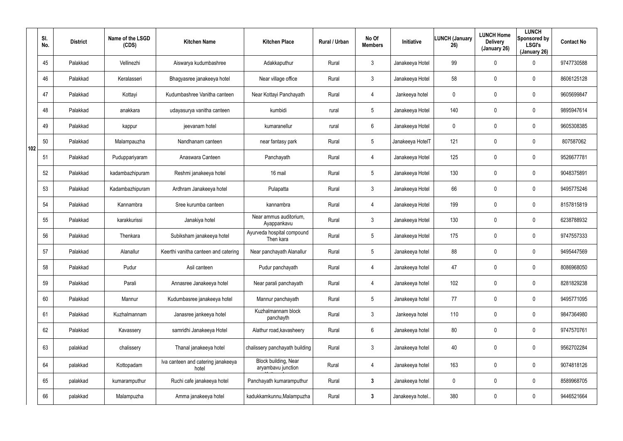|     | SI.<br>No. | <b>District</b> | Name of the LSGD<br>(CDS) | <b>Kitchen Name</b>                         | <b>Kitchen Place</b>                       | Rural / Urban | No Of<br><b>Members</b> | <b>Initiative</b> | <b>LUNCH (January</b><br>26) | <b>LUNCH Home</b><br><b>Delivery</b><br>(January 26) | <b>LUNCH</b><br>Sponsored by<br><b>LSGI's</b><br>(January 26) | <b>Contact No</b> |
|-----|------------|-----------------|---------------------------|---------------------------------------------|--------------------------------------------|---------------|-------------------------|-------------------|------------------------------|------------------------------------------------------|---------------------------------------------------------------|-------------------|
|     | 45         | Palakkad        | Vellinezhi                | Aiswarya kudumbashree                       | Adakkaputhur                               | Rural         | $\mathbf{3}$            | Janakeeya Hotel   | 99                           | 0                                                    | $\mathbf 0$                                                   | 9747730588        |
|     | 46         | Palakkad        | Keralasseri               | Bhagyasree janakeeya hotel                  | Near village office                        | Rural         | $\mathbf{3}$            | Janakeeya Hotel   | 58                           | 0                                                    | $\mathbf 0$                                                   | 8606125128        |
|     | 47         | Palakkad        | Kottayi                   | Kudumbashree Vanitha canteen                | Near Kottayi Panchayath                    | Rural         | $\overline{4}$          | Jankeeya hotel    | 0                            | 0                                                    | $\mathbf 0$                                                   | 9605699847        |
|     | 48         | Palakkad        | anakkara                  | udayasurya vanitha canteen                  | kumbidi                                    | rural         | $5\phantom{.0}$         | Janakeeya Hotel   | 140                          | 0                                                    | $\mathbf 0$                                                   | 9895947614        |
|     | 49         | Palakkad        | kappur                    | jeevanam hotel                              | kumaranellur                               | rural         | 6                       | Janakeeya Hotel   | 0                            | 0                                                    | $\mathbf 0$                                                   | 9605308385        |
| 102 | 50         | Palakkad        | Malampauzha               | Nandhanam canteen                           | near fantasy park                          | Rural         | $5\phantom{.0}$         | Janakeeya HotelT  | 121                          | 0                                                    | $\mathbf 0$                                                   | 807587062         |
|     | 51         | Palakkad        | Puduppariyaram            | Anaswara Canteen                            | Panchayath                                 | Rural         | $\overline{4}$          | Janakeeya Hotel   | 125                          | 0                                                    | $\mathbf 0$                                                   | 9526677781        |
|     | 52         | Palakkad        | kadambazhipuram           | Reshmi janakeeya hotel                      | 16 mail                                    | Rural         | $5\phantom{.0}$         | Janakeeya Hotel   | 130                          | 0                                                    | $\mathbf 0$                                                   | 9048375891        |
|     | 53         | Palakkad        | Kadambazhipuram           | Ardhram Janakeeya hotel                     | Pulapatta                                  | Rural         | $\mathbf{3}$            | Janakeeya Hotel   | 66                           | 0                                                    | $\mathbf 0$                                                   | 9495775246        |
|     | 54         | Palakkad        | Kannambra                 | Sree kurumba canteen                        | kannambra                                  | Rural         | 4                       | Janakeeya Hotel   | 199                          | 0                                                    | $\mathbf 0$                                                   | 8157815819        |
|     | 55         | Palakkad        | karakkurissi              | Janakiya hotel                              | Near ammus auditorium,<br>Ayappankavu      | Rural         | $\mathbf{3}$            | Janakeeya Hotel   | 130                          | 0                                                    | $\mathbf 0$                                                   | 6238788932        |
|     | 56         | Palakkad        | Thenkara                  | Subiksham janakeeya hotel                   | Ayurveda hospital compound<br>Then kara    | Rural         | $5\phantom{.0}$         | Janakeeya Hotel   | 175                          | 0                                                    | $\mathbf 0$                                                   | 9747557333        |
|     | 57         | Palakkad        | Alanallur                 | Keerthi vanitha canteen and catering        | Near panchayath Alanallur                  | Rural         | $5\phantom{.0}$         | Janakeeya hotel   | 88                           | 0                                                    | $\mathbf 0$                                                   | 9495447569        |
|     | 58         | Palakkad        | Pudur                     | Asil canteen                                | Pudur panchayath                           | Rural         | 4                       | Janakeeya hotel   | 47                           | 0                                                    | $\boldsymbol{0}$                                              | 8086968050        |
|     | 59         | Palakkad        | Parali                    | Annasree Janakeeya hotel                    | Near parali panchayath                     | Rural         | 4                       | Janakeeya hotel   | 102                          | 0                                                    | $\pmb{0}$                                                     | 8281829238        |
|     | 60         | Palakkad        | Mannur                    | Kudumbasree janakeeya hotel                 | Mannur panchayath                          | Rural         | $5\overline{)}$         | Janakeeya hotel   | 77                           | 0                                                    | $\pmb{0}$                                                     | 9495771095        |
|     | 61         | Palakkad        | Kuzhalmannam              | Janasree jankeeya hotel                     | Kuzhalmannam block<br>panchayth            | Rural         | $\mathfrak{Z}$          | Jankeeya hotel    | 110                          | 0                                                    | $\pmb{0}$                                                     | 9847364980        |
|     | 62         | Palakkad        | Kavassery                 | samridhi Janakeeya Hotel                    | Alathur road, kavasheery                   | Rural         | $6\overline{6}$         | Janakeeya hotel   | 80                           | 0                                                    | $\mathbf 0$                                                   | 9747570761        |
|     | 63         | palakkad        | chalissery                | Thanal janakeeya hotel                      | chalissery panchayath building             | Rural         | $\mathfrak{Z}$          | Janakeeya hotel   | 40                           | 0                                                    | $\pmb{0}$                                                     | 9562702284        |
|     | 64         | palakkad        | Kottopadam                | Iva canteen and catering janakeeya<br>hotel | Block building, Near<br>aryambavu junction | Rural         | 4                       | Janakeeya hotel   | 163                          | 0                                                    | $\mathbf 0$                                                   | 9074818126        |
|     | 65         | palakkad        | kumaramputhur             | Ruchi cafe janakeeya hotel                  | Panchayath kumaramputhur                   | Rural         | $3\phantom{a}$          | Janakeeya hotel   | $\mathbf 0$                  | 0                                                    | $\pmb{0}$                                                     | 8589968705        |
|     | 66         | palakkad        | Malampuzha                | Amma janakeeya hotel                        | kadukkamkunnu, Malampuzha                  | Rural         | $\mathbf{3}$            | Janakeeya hotel   | 380                          | 0                                                    | $\pmb{0}$                                                     | 9446521664        |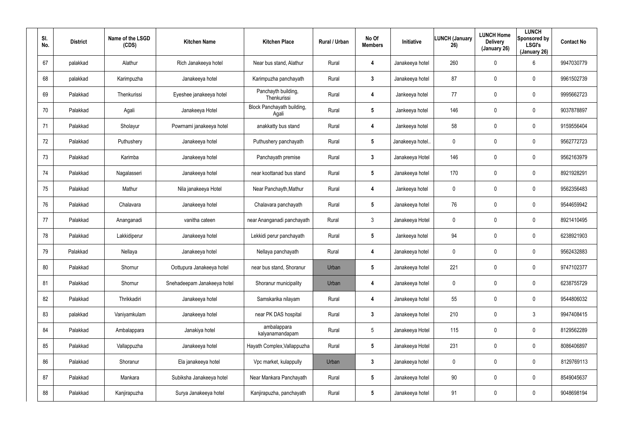| SI.<br>No. | <b>District</b> | Name of the LSGD<br>(CDS) | <b>Kitchen Name</b>         | <b>Kitchen Place</b>                | Rural / Urban | No Of<br><b>Members</b> | <b>Initiative</b> | <b>LUNCH (January</b><br>26) | <b>LUNCH Home</b><br><b>Delivery</b><br>(January 26) | <b>LUNCH</b><br>Sponsored by<br><b>LSGI's</b><br>(January 26) | <b>Contact No</b> |
|------------|-----------------|---------------------------|-----------------------------|-------------------------------------|---------------|-------------------------|-------------------|------------------------------|------------------------------------------------------|---------------------------------------------------------------|-------------------|
| 67         | palakkad        | Alathur                   | Rich Janakeeya hotel        | Near bus stand, Alathur             | Rural         | 4                       | Janakeeya hotel   | 260                          | $\mathbf 0$                                          | 6                                                             | 9947030779        |
| 68         | palakkad        | Karimpuzha                | Janakeeya hotel             | Karimpuzha panchayath               | Rural         | 3                       | Janakeeya hotel   | 87                           | 0                                                    | 0                                                             | 9961502739        |
| 69         | Palakkad        | Thenkurissi               | Eyeshee janakeeya hotel     | Panchayth building,<br>Thenkurissi  | Rural         | 4                       | Jankeeya hotel    | 77                           | 0                                                    | 0                                                             | 9995662723        |
| 70         | Palakkad        | Agali                     | Janakeeya Hotel             | Block Panchayath building,<br>Agali | Rural         | 5                       | Jankeeya hotel    | 146                          | 0                                                    | 0                                                             | 9037878897        |
| 71         | Palakkad        | Sholayur                  | Powrnami janakeeya hotel    | anakkatty bus stand                 | Rural         | 4                       | Jankeeya hotel    | 58                           | $\mathbf 0$                                          | 0                                                             | 9159556404        |
| 72         | Palakkad        | Puthushery                | Janakeeya hotel             | Puthushery panchayath               | Rural         | $\sqrt{5}$              | Janakeeya hotel.  | 0                            | 0                                                    | 0                                                             | 9562772723        |
| 73         | Palakkad        | Karimba                   | Janakeeya hotel             | Panchayath premise                  | Rural         | $\mathbf{3}$            | Janakeeya Hotel   | 146                          | 0                                                    | 0                                                             | 9562163979        |
| 74         | Palakkad        | Nagalasseri               | Janakeeya hotel             | near koottanad bus stand            | Rural         | 5                       | Janakeeya hotel   | 170                          | $\boldsymbol{0}$                                     | 0                                                             | 8921928291        |
| 75         | Palakkad        | Mathur                    | Nila janakeeya Hotel        | Near Panchayth, Mathur              | Rural         | 4                       | Jankeeya hotel    | 0                            | 0                                                    | 0                                                             | 9562356483        |
| 76         | Palakkad        | Chalavara                 | Janakeeya hotel             | Chalavara panchayath                | Rural         | 5                       | Janakeeya hotel   | 76                           | $\boldsymbol{0}$                                     | 0                                                             | 9544659942        |
| 77         | Palakkad        | Ananganadi                | vanitha cateen              | near Ananganadi panchayath          | Rural         | $\mathbf{3}$            | Janakeeya Hotel   | 0                            | 0                                                    | 0                                                             | 8921410495        |
| 78         | Palakkad        | Lakkidiperur              | Janakeeya hotel             | Lekkidi perur panchayath            | Rural         | 5                       | Jankeeya hotel    | 94                           | 0                                                    | 0                                                             | 6238921903        |
| 79         | Palakkad        | Nellaya                   | Janakeeya hotel             | Nellaya panchayath                  | Rural         | 4                       | Janakeeya hotel   | 0                            | $\mathbf 0$                                          | 0                                                             | 9562432883        |
| 80         | Palakkad        | Shornur                   | Oottupura Janakeeya hotel   | near bus stand, Shoranur            | Urban         | $\overline{\mathbf{5}}$ | Janakeeya hotel   | 221                          | 0                                                    | 0                                                             | 9747102377        |
| 81         | Palakkad        | Shornur                   | Snehadeepam Janakeeya hotel | Shoranur municipality               | Urban         | 4                       | Janakeeya hotel   | 0                            | $\mathbf 0$                                          | 0                                                             | 6238755729        |
| 82         | Palakkad        | Thrikkadiri               | Janakeeya hotel             | Samskarika nilayam                  | Rural         | 4                       | Janakeeya hotel   | 55                           | $\mathbf 0$                                          | 0                                                             | 9544806032        |
| 83         | palakkad        | Vaniyamkulam              | Janakeeya hotel             | near PK DAS hospital                | Rural         | $\mathbf{3}$            | Janakeeya hotel   | 210                          | $\boldsymbol{0}$                                     | $\mathfrak{Z}$                                                | 9947408415        |
| 84         | Palakkad        | Ambalappara               | Janakiya hotel              | ambalappara<br>kalyanamandapam      | Rural         | $5\phantom{.0}$         | Janakeeya Hotel   | 115                          | $\mathbf 0$                                          | 0                                                             | 8129562289        |
| 85         | Palakkad        | Vallappuzha               | Janakeeya hotel             | Hayath Complex, Vallappuzha         | Rural         | $5\phantom{.0}$         | Janakeeya Hotel   | 231                          | $\mathbf 0$                                          | 0                                                             | 8086406897        |
| 86         | Palakkad        | Shoranur                  | Ela janakeeya hotel         | Vpc market, kulappully              | Urban         | $\mathbf{3}$            | Janakeeya hotel   | 0                            | $\mathbf 0$                                          | 0                                                             | 8129769113        |
| 87         | Palakkad        | Mankara                   | Subiksha Janakeeya hotel    | Near Mankara Panchayath             | Rural         | $5\phantom{.0}$         | Janakeeya hotel   | 90                           | $\mathbf 0$                                          | 0                                                             | 8549045637        |
| 88         | Palakkad        | Kanjirapuzha              | Surya Janakeeya hotel       | Kanjirapuzha, panchayath            | Rural         | $5\phantom{.0}$         | Janakeeya hotel   | 91                           | $\mathbf 0$                                          | 0                                                             | 9048698194        |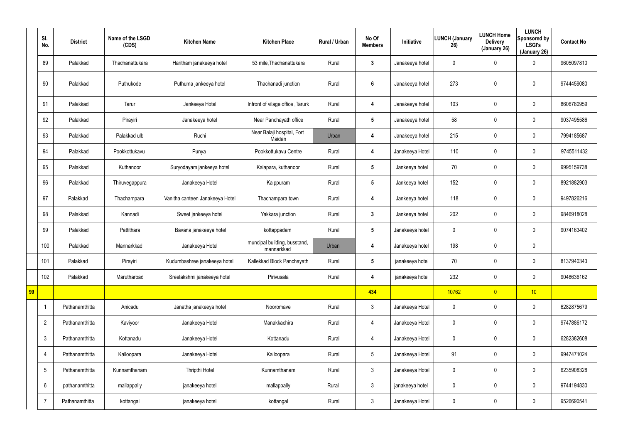|    | SI.<br>No.      | <b>District</b> | Name of the LSGD<br>(CDS) | <b>Kitchen Name</b>             | <b>Kitchen Place</b>                       | Rural / Urban | No Of<br><b>Members</b> | Initiative      | <b>LUNCH (January</b><br>26) | <b>LUNCH Home</b><br><b>Delivery</b><br>(January 26) | <b>LUNCH</b><br>Sponsored by<br><b>LSGI's</b><br>(January 26) | <b>Contact No</b> |
|----|-----------------|-----------------|---------------------------|---------------------------------|--------------------------------------------|---------------|-------------------------|-----------------|------------------------------|------------------------------------------------------|---------------------------------------------------------------|-------------------|
|    | 89              | Palakkad        | Thachanattukara           | Haritham janakeeya hotel        | 53 mile, Thachanattukara                   | Rural         | $\mathbf{3}$            | Janakeeya hotel | 0                            | 0                                                    | $\mathbf 0$                                                   | 9605097810        |
|    | 90              | Palakkad        | Puthukode                 | Puthuma jankeeya hotel          | Thachanadi junction                        | Rural         | $\boldsymbol{6}$        | Janakeeya hotel | 273                          | 0                                                    | $\pmb{0}$                                                     | 9744459080        |
|    | 91              | Palakkad        | Tarur                     | Jankeeya Hotel                  | Infront of vilage office, Tarurk           | Rural         | 4                       | Janakeeya hotel | 103                          | 0                                                    | $\mathbf 0$                                                   | 8606780959        |
|    | 92              | Palakkad        | Pirayiri                  | Janakeeya hotel                 | Near Panchayath office                     | Rural         | $5\phantom{.0}$         | Janakeeya hotel | 58                           | 0                                                    | $\boldsymbol{0}$                                              | 9037495586        |
|    | 93              | Palakkad        | Palakkad ulb              | Ruchi                           | Near Balaji hospital, Fort<br>Maidan       | Urban         | 4                       | Janakeeya hotel | 215                          | 0                                                    | $\mathbf 0$                                                   | 7994185687        |
|    | 94              | Palakkad        | Pookkottukavu             | Punya                           | Pookkottukavu Centre                       | Rural         | 4                       | Janakeeya Hotel | 110                          | 0                                                    | $\boldsymbol{0}$                                              | 9745511432        |
|    | 95              | Palakkad        | Kuthanoor                 | Suryodayam jankeeya hotel       | Kalapara, kuthanoor                        | Rural         | $5\phantom{.0}$         | Jankeeya hotel  | 70                           | 0                                                    | $\mathbf 0$                                                   | 9995159738        |
|    | 96              | Palakkad        | Thiruvegappura            | Janakeeya Hotel                 | Kaippuram                                  | Rural         | $5\phantom{.0}$         | Jankeeya hotel  | 152                          | 0                                                    | $\boldsymbol{0}$                                              | 8921882903        |
|    | 97              | Palakkad        | Thachampara               | Vanitha canteen Janakeeya Hotel | Thachampara town                           | Rural         | 4                       | Jankeeya hotel  | 118                          | 0                                                    | $\mathbf 0$                                                   | 9497826216        |
|    | 98              | Palakkad        | Kannadi                   | Sweet jankeeya hotel            | Yakkara junction                           | Rural         | $\mathbf{3}$            | Jankeeya hotel  | 202                          | 0                                                    | $\mathbf 0$                                                   | 9846918028        |
|    | 99              | Palakkad        | Pattithara                | Bavana janakeeya hotel          | kottappadam                                | Rural         | $5\phantom{.0}$         | Janakeeya hotel | 0                            | 0                                                    | $\mathbf 0$                                                   | 9074163402        |
|    | 100             | Palakkad        | Mannarkkad                | Janakeeya Hotel                 | muncipal building, busstand,<br>mannarkkad | Urban         | 4                       | Janakeeya hotel | 198                          | 0                                                    | $\mathbf 0$                                                   |                   |
|    | 101             | Palakkad        | Pirayiri                  | Kudumbashree janakeeya hotel    | Kallekkad Block Panchayath                 | Rural         | 5                       | janakeeya hotel | 70                           | 0                                                    | 0                                                             | 8137940343        |
|    | 102             | Palakkad        | Marutharoad               | Sreelakshmi janakeeya hotel     | Pirivusala                                 | Rural         | 4                       | janakeeya hotel | 232                          | 0                                                    | $\mathbf 0$                                                   | 9048636162        |
| 99 |                 |                 |                           |                                 |                                            |               | 434                     |                 | 10762                        | $\overline{0}$                                       | 10                                                            |                   |
|    | -1              | Pathanamthitta  | Anicadu                   | Janatha janakeeya hotel         | Nooromave                                  | Rural         | $\mathfrak{Z}$          | Janakeeya Hotel | 0                            | $\mathbf 0$                                          | $\mathbf 0$                                                   | 6282875679        |
|    | $\overline{2}$  | Pathanamthitta  | Kaviyoor                  | Janakeeya Hotel                 | Manakkachira                               | Rural         | 4                       | Janakeeya Hotel | 0                            | 0                                                    | $\mathsf{0}$                                                  | 9747886172        |
|    | $\mathfrak{Z}$  | Pathanamthitta  | Kottanadu                 | Janakeeya Hotel                 | Kottanadu                                  | Rural         | 4                       | Janakeeya Hotel | 0                            | $\mathbf 0$                                          | $\mathsf{0}$                                                  | 6282382608        |
|    | $\overline{4}$  | Pathanamthitta  | Kalloopara                | Janakeeya Hotel                 | Kalloopara                                 | Rural         | $5\phantom{.0}$         | Janakeeya Hotel | 91                           | $\pmb{0}$                                            | $\mathsf{0}$                                                  | 9947471024        |
|    | $5\phantom{.0}$ | Pathanamthitta  | Kunnamthanam              | Thripthi Hotel                  | Kunnamthanam                               | Rural         | $\mathfrak{Z}$          | Janakeeya Hotel | 0                            | $\pmb{0}$                                            | $\mathsf{0}$                                                  | 6235908328        |
|    | 6               | pathanamthitta  | mallappally               | janakeeya hotel                 | mallappally                                | Rural         | $\mathfrak{Z}$          | janakeeya hotel | 0                            | $\pmb{0}$                                            | $\mathsf{0}$                                                  | 9744194830        |
|    | $\overline{7}$  | Pathanamthitta  | kottangal                 | janakeeya hotel                 | kottangal                                  | Rural         | $\mathfrak{Z}$          | Janakeeya Hotel | 0                            | 0                                                    | $\bf{0}$                                                      | 9526690541        |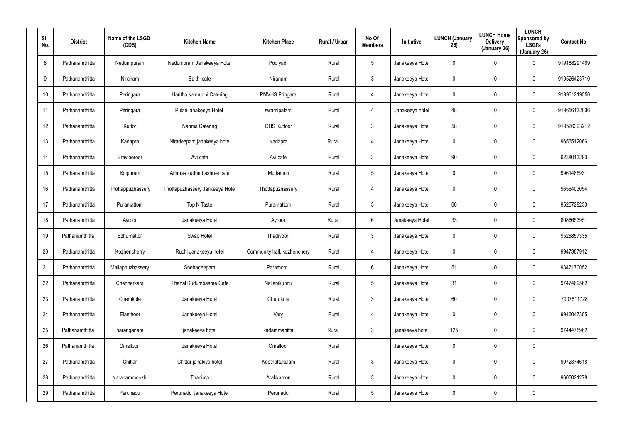| SI.<br>No. | <b>District</b> | Name of the LSGD<br>(CDS) | <b>Kitchen Name</b>             | <b>Kitchen Place</b>        | <b>Rural / Urban</b> | No Of<br><b>Members</b> | Initiative      | <b>LUNCH (January</b><br>26) | <b>LUNCH Home</b><br><b>Delivery</b><br>(January 26) | <b>LUNCH</b><br>Sponsored by<br><b>LSGI's</b><br>(January 26) | <b>Contact No</b> |
|------------|-----------------|---------------------------|---------------------------------|-----------------------------|----------------------|-------------------------|-----------------|------------------------------|------------------------------------------------------|---------------------------------------------------------------|-------------------|
| 8          | Pathanamthitta  | Nedumpuram                | Nedumpram Janakeeya Hotel       | Podiyadi                    | Rural                | $5\overline{)}$         | Janakeeya Hotel | 0                            | $\mathbf 0$                                          | $\mathbf 0$                                                   | 919188291409      |
| 9          | Pathanamthitta  | Niranam                   | Sakhi cafe                      | Niranam                     | Rural                | $\mathbf{3}$            | Janakeeya Hotel | 0                            | 0                                                    | $\mathbf 0$                                                   | 919526423710      |
| 10         | Pathanamthitta  | Peringara                 | Haritha samrudhi Catering       | <b>PMVHS Pringara</b>       | Rural                | $\overline{4}$          | Janakeeya Hotel | 0                            | 0                                                    | $\mathbf 0$                                                   | 919961219550      |
| 11         | Pathanamthitta  | Peringara                 | Pulari janakeeya Hotel          | swamipalam                  | Rural                | 4                       | Janakeeya hotel | 48                           | $\mathbf 0$                                          | $\mathbf 0$                                                   | 919656132036      |
| 12         | Pathanamthitta  | Kuttor                    | Nanma Catering                  | <b>GHS Kuttoor</b>          | Rural                | $\mathbf{3}$            | Janakeeya Hotel | 58                           | $\boldsymbol{0}$                                     | $\mathbf 0$                                                   | 919526323212      |
| 13         | Pathanamthitta  | Kadapra                   | Niradeepam janakeeya hotel      | Kadapra                     | Rural                | 4                       | Janakeeya Hotel | 0                            | 0                                                    | $\mathbf 0$                                                   | 9656512066        |
| 14         | Pathanamthitta  | Eraviperoor               | Avi cafe                        | Avi cafe                    | Rural                | 3                       | Janakeeya Hotel | 90                           | $\mathbf 0$                                          | $\mathbf 0$                                                   | 6238013293        |
| 15         | Pathanamthitta  | Koipuram                  | Ammas kudumbashree cafe         | Muttamon                    | Rural                | $5\overline{)}$         | Janakeeya Hotel | 0                            | $\mathbf 0$                                          | $\mathbf 0$                                                   | 9961485931        |
| 16         | Pathanamthitta  | Thottappuzhassery         | Thottapuzhassery Jankeeya Hotel | Thottapuzhassery            | Rural                | $\overline{4}$          | Janakeeya Hotel | 0                            | $\mathbf 0$                                          | $\mathbf 0$                                                   | 9656403054        |
| 17         | Pathanamthitta  | Puramattom                | Top N Taste                     | Puramattom                  | Rural                | 3                       | Janakeeya Hotel | 60                           | $\mathbf 0$                                          | $\mathbf 0$                                                   | 9526728230        |
| 18         | Pathanamthitta  | Ayroor                    | Janakeeya Hotel                 | Ayroor                      | Rural                | 6                       | Janakeeya Hotel | 33                           | $\mathbf 0$                                          | $\mathbf 0$                                                   | 8086653951        |
| 19         | Pathanamthitta  | Ezhumattor                | Swad Hotel                      | Thadiyoor                   | Rural                | 3                       | Janakeeya Hotel | 0                            | $\boldsymbol{0}$                                     | $\mathbf 0$                                                   | 9526857335        |
| 20         | Pathanamthitta  | Kozhencherry              | Ruchi Janakeeya hotel           | Community hall, kozhenchery | Rural                | $\overline{4}$          | Janakeeya Hotel | 0                            | $\mathbf 0$                                          | $\mathbf 0$                                                   | 9947387912        |
| 21         | Pathanamthitta  | Mallappuzhassery          | Snehadeepam                     | Paramootil                  | Rural                | 6                       | Janakeeya Hotel | 51                           | $\pmb{0}$                                            | $\pmb{0}$                                                     | 9847170052        |
| 22         | Pathanamthitta  | Chennerkara               | Thanal Kudumbasree Cafe         | Nallanikunnu                | Rural                | $5\phantom{.0}$         | Janakeeya Hotel | 31                           | $\mathbf 0$                                          | $\pmb{0}$                                                     | 9747469562        |
| 23         | Pathanamthitta  | Cherukole                 | Janakeeya Hotel                 | Cherukole                   | Rural                | $\mathfrak{Z}$          | Janakeeya Hotel | 60                           | $\boldsymbol{0}$                                     | $\pmb{0}$                                                     | 7907811728        |
| 24         | Pathanamthitta  | Elanthoor                 | Janakeeya Hotel                 | Vary                        | Rural                | $\overline{4}$          | Janakeeya Hotel | 0                            | $\mathbf 0$                                          | $\pmb{0}$                                                     | 9946047385        |
| 25         | Pathanamthitta  | naranganam                | janakeeya hotel                 | kadammanitta                | Rural                | $\mathbf{3}$            | janakeeya hotel | 125                          | $\mathbf 0$                                          | $\mathbf 0$                                                   | 9744478962        |
| 26         | Pathanamthitta  | Omalloor                  | Janakeeya Hotel                 | Omalloor                    | Rural                |                         | Janakeeya Hotel | 0                            | $\mathbf 0$                                          | $\pmb{0}$                                                     |                   |
| 27         | Pathanamthitta  | Chittar                   | Chittar janakiya hotel          | Koothattukulam              | Rural                | $\mathbf{3}$            | Janakeeya Hotel | 0                            | $\mathbf 0$                                          | $\pmb{0}$                                                     | 9072374618        |
| 28         | Pathanamthitta  | Naranammoozhi             | Thanima                         | Arakkamon                   | Rural                | $\mathbf{3}$            | Janakeeya Hotel | 0                            | $\mathbf 0$                                          | $\mathbf 0$                                                   | 9605021278        |
| 29         | Pathanamthitta  | Perunadu                  | Perunadu Janakeeya Hotel        | Perunadu                    | Rural                | $5\phantom{.0}$         | Janakeeya Hotel | 0                            | $\mathbf 0$                                          | $\pmb{0}$                                                     |                   |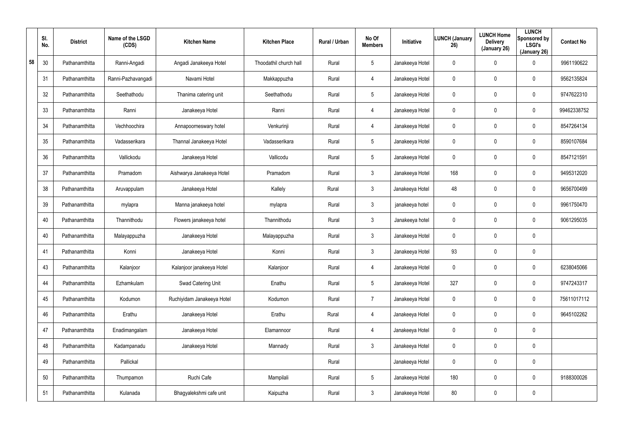|    | SI.<br>No. | <b>District</b> | Name of the LSGD<br>(CDS) | <b>Kitchen Name</b>        | <b>Kitchen Place</b>   | Rural / Urban | No Of<br><b>Members</b> | Initiative      | <b>LUNCH (January</b><br>26) | <b>LUNCH Home</b><br><b>Delivery</b><br>(January 26) | <b>LUNCH</b><br>Sponsored by<br><b>LSGI's</b><br>(January 26) | <b>Contact No</b> |
|----|------------|-----------------|---------------------------|----------------------------|------------------------|---------------|-------------------------|-----------------|------------------------------|------------------------------------------------------|---------------------------------------------------------------|-------------------|
| 58 | 30         | Pathanamthitta  | Ranni-Angadi              | Angadi Janakeeya Hotel     | Thoodathil church hall | Rural         | 5                       | Janakeeya Hotel | 0                            | $\mathbf 0$                                          | 0                                                             | 9961190622        |
|    | 31         | Pathanamthitta  | Ranni-Pazhavangadi        | Navami Hotel               | Makkappuzha            | Rural         | 4                       | Janakeeya Hotel | 0                            | $\pmb{0}$                                            | 0                                                             | 9562135824        |
|    | 32         | Pathanamthitta  | Seethathodu               | Thanima catering unit      | Seethathodu            | Rural         | $5\phantom{.0}$         | Janakeeya Hotel | 0                            | $\pmb{0}$                                            | 0                                                             | 9747622310        |
|    | 33         | Pathanamthitta  | Ranni                     | Janakeeya Hotel            | Ranni                  | Rural         | $\overline{4}$          | Janakeeya Hotel | 0                            | $\mathbf 0$                                          | 0                                                             | 99462338752       |
|    | 34         | Pathanamthitta  | Vechhoochira              | Annapoorneswary hotel      | Venkurinji             | Rural         | 4                       | Janakeeya Hotel | 0                            | $\pmb{0}$                                            | 0                                                             | 8547264134        |
|    | 35         | Pathanamthitta  | Vadasserikara             | Thannal Janakeeya Hotel    | Vadasserikara          | Rural         | $5\overline{)}$         | Janakeeya Hotel | 0                            | $\mathbf 0$                                          | 0                                                             | 8590107684        |
|    | 36         | Pathanamthitta  | Vallickodu                | Janakeeya Hotel            | Vallicodu              | Rural         | $5\phantom{.0}$         | Janakeeya Hotel | $\mathbf 0$                  | $\pmb{0}$                                            | 0                                                             | 8547121591        |
|    | 37         | Pathanamthitta  | Pramadom                  | Aishwarya Janakeeya Hotel  | Pramadom               | Rural         | $\mathbf{3}$            | Janakeeya Hotel | 168                          | $\pmb{0}$                                            | 0                                                             | 9495312020        |
|    | 38         | Pathanamthitta  | Aruvappulam               | Janakeeya Hotel            | Kallely                | Rural         | $\mathbf{3}$            | Janakeeya Hotel | 48                           | $\pmb{0}$                                            | 0                                                             | 9656700499        |
|    | 39         | Pathanamthitta  | mylapra                   | Manna janakeeya hotel      | mylapra                | Rural         | $\mathbf{3}$            | janakeeya hotel | 0                            | $\mathbf 0$                                          | 0                                                             | 9961750470        |
|    | 40         | Pathanamthitta  | Thannithodu               | Flowers janakeeya hotel    | Thannithodu            | Rural         | $\mathbf{3}$            | Janakeeya hotel | $\mathbf 0$                  | $\pmb{0}$                                            | 0                                                             | 9061295035        |
|    | 40         | Pathanamthitta  | Malayappuzha              | Janakeeya Hotel            | Malayappuzha           | Rural         | $\mathbf{3}$            | Janakeeya Hotel | 0                            | $\mathbf 0$                                          | 0                                                             |                   |
|    | 41         | Pathanamthitta  | Konni                     | Janakeeya Hotel            | Konni                  | Rural         | $\mathbf{3}$            | Janakeeya Hotel | 93                           | $\mathbf 0$                                          | 0                                                             |                   |
|    | 43         | Pathanamthitta  | Kalanjoor                 | Kalanjoor janakeeya Hotel  | Kalanjoor              | Rural         | 4                       | Janakeeya Hotel | 0                            | $\mathbf 0$                                          | 0                                                             | 6238045066        |
|    | 44         | Pathanamthitta  | Ezhamkulam                | Swad Catering Unit         | Enathu                 | Rural         | $5\phantom{.0}$         | Janakeeya Hotel | 327                          | $\mathbf 0$                                          | 0                                                             | 9747243317        |
|    | 45         | Pathanamthitta  | Kodumon                   | Ruchiyidam Janakeeya Hotel | Kodumon                | Rural         | $\overline{7}$          | Janakeeya Hotel | $\mathbf 0$                  | $\mathbf 0$                                          | 0                                                             | 75611017112       |
|    | 46         | Pathanamthitta  | Erathu                    | Janakeeya Hotel            | Erathu                 | Rural         | 4                       | Janakeeya Hotel | 0                            | $\mathbf 0$                                          | 0                                                             | 9645102262        |
|    | 47         | Pathanamthitta  | Enadimangalam             | Janakeeya Hotel            | Elamannoor             | Rural         | $\overline{4}$          | Janakeeya Hotel | $\mathbf 0$                  | $\mathbf 0$                                          | 0                                                             |                   |
|    | 48         | Pathanamthitta  | Kadampanadu               | Janakeeya Hotel            | Mannady                | Rural         | 3 <sup>1</sup>          | Janakeeya Hotel | 0                            | $\mathbf 0$                                          | 0                                                             |                   |
|    | 49         | Pathanamthitta  | Pallickal                 |                            |                        | Rural         |                         | Janakeeya Hotel | 0                            | $\mathbf 0$                                          | 0                                                             |                   |
|    | 50         | Pathanamthitta  | Thumpamon                 | Ruchi Cafe                 | Mampilali              | Rural         | $5\phantom{.0}$         | Janakeeya Hotel | 180                          | $\mathbf 0$                                          | 0                                                             | 9188300026        |
|    | 51         | Pathanamthitta  | Kulanada                  | Bhagyalekshmi cafe unit    | Kaipuzha               | Rural         | $\mathfrak{Z}$          | Janakeeya Hotel | 80                           | $\boldsymbol{0}$                                     | 0                                                             |                   |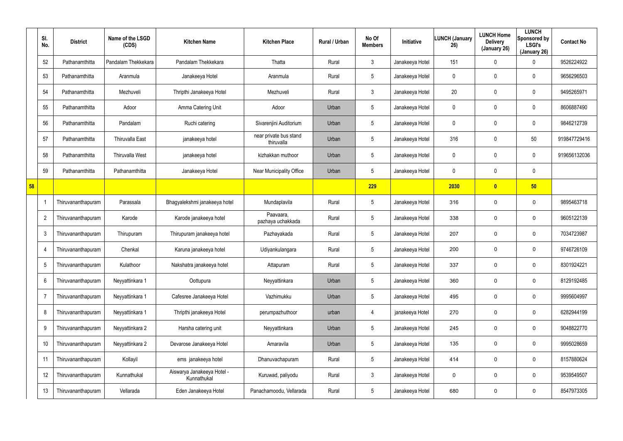|    | SI.<br>No.     | <b>District</b>    | Name of the LSGD<br>(CDS) | <b>Kitchen Name</b>                       | <b>Kitchen Place</b>                 | Rural / Urban | No Of<br><b>Members</b> | Initiative      | <b>LUNCH (January</b><br>26) | <b>LUNCH Home</b><br><b>Delivery</b><br>(January 26) | <b>LUNCH</b><br>Sponsored by<br><b>LSGI's</b><br>(January 26) | <b>Contact No</b> |
|----|----------------|--------------------|---------------------------|-------------------------------------------|--------------------------------------|---------------|-------------------------|-----------------|------------------------------|------------------------------------------------------|---------------------------------------------------------------|-------------------|
|    | 52             | Pathanamthitta     | Pandalam Thekkekara       | Pandalam Thekkekara                       | Thatta                               | Rural         | 3                       | Janakeeya Hotel | 151                          | 0                                                    | 0                                                             | 9526224922        |
|    | 53             | Pathanamthitta     | Aranmula                  | Janakeeya Hotel                           | Aranmula                             | Rural         | $5\phantom{.0}$         | Janakeeya Hotel | 0                            | 0                                                    | $\mathbf 0$                                                   | 9656296503        |
|    | 54             | Pathanamthitta     | Mezhuveli                 | Thripthi Janakeeya Hotel                  | Mezhuveli                            | Rural         | $\mathbf{3}$            | Janakeeya Hotel | 20                           | 0                                                    | $\mathbf 0$                                                   | 9495265971        |
|    | 55             | Pathanamthitta     | Adoor                     | Amma Catering Unit                        | Adoor                                | Urban         | $5\phantom{.0}$         | Janakeeya Hotel | 0                            | 0                                                    | $\mathbf 0$                                                   | 8606887490        |
|    | 56             | Pathanamthitta     | Pandalam                  | Ruchi catering                            | Sivarenjini Auditorium               | Urban         | $5\overline{)}$         | Janakeeya Hotel | 0                            | 0                                                    | $\mathbf 0$                                                   | 9846212739        |
|    | 57             | Pathanamthitta     | <b>Thiruvalla East</b>    | janakeeya hotel                           | near private bus stand<br>thiruvalla | Urban         | $5\phantom{.0}$         | Janakeeya Hotel | 316                          | 0                                                    | 50                                                            | 919847729416      |
|    | 58             | Pathanamthitta     | <b>Thiruvalla West</b>    | janakeeya hotel                           | kizhakkan muthoor                    | Urban         | $5\phantom{.0}$         | Janakeeya Hotel | 0                            | 0                                                    | $\mathbf 0$                                                   | 919656132036      |
|    | 59             | Pathanamthitta     | Pathanamthitta            | Janakeeya Hotel                           | Near Municipality Office             | Urban         | $5\phantom{.0}$         | Janakeeya Hotel | 0                            | 0                                                    | $\mathbf 0$                                                   |                   |
| 58 |                |                    |                           |                                           |                                      |               | 229                     |                 | 2030                         | $\overline{\mathbf{0}}$                              | 50                                                            |                   |
|    |                | Thiruvananthapuram | Parassala                 | Bhagyalekshmi janakeeya hotel             | Mundaplavila                         | Rural         | $5\phantom{.0}$         | Janakeeya Hotel | 316                          | 0                                                    | $\mathbf 0$                                                   | 9895463718        |
|    | $\overline{2}$ | Thiruvananthapuram | Karode                    | Karode janakeeya hotel                    | Paavaara,<br>pazhaya uchakkada       | Rural         | $5\phantom{.0}$         | Janakeeya Hotel | 338                          | 0                                                    | $\mathbf 0$                                                   | 9605122139        |
|    | 3              | Thiruvananthapuram | Thirupuram                | Thirupuram janakeeya hotel                | Pazhayakada                          | Rural         | $5\phantom{.0}$         | Janakeeya Hotel | 207                          | 0                                                    | $\mathbf 0$                                                   | 7034723987        |
|    | -4             | Thiruvananthapuram | Chenkal                   | Karuna janakeeya hotel                    | Udiyankulangara                      | Rural         | $5\phantom{.0}$         | Janakeeya Hotel | 200                          | 0                                                    | $\mathbf 0$                                                   | 9746726109        |
|    |                | Thiruvananthapuram | Kulathoor                 | Nakshatra janakeeya hotel                 | Attapuram                            | Rural         | 5                       | Janakeeya Hotel | 337                          | 0                                                    | $\mathbf 0$                                                   | 8301924221        |
|    | 6              | Thiruvananthapuram | Neyyattinkara 1           | Oottupura                                 | Neyyattinkara                        | Urban         | $\overline{5}$          | Janakeeya Hotel | 360                          | 0                                                    | $\mathbf 0$                                                   | 8129192485        |
|    | $\overline{7}$ | Thiruvananthapuram | Neyyattinkara 1           | Cafesree Janakeeya Hotel                  | Vazhimukku                           | Urban         | $5\phantom{.0}$         | Janakeeya Hotel | 495                          | 0                                                    | $\pmb{0}$                                                     | 9995604997        |
|    | 8              | Thiruvananthapuram | Neyyattinkara 1           | Thripthi janakeeya Hotel                  | perumpazhuthoor                      | urban         | 4                       | janakeeya Hotel | 270                          | 0                                                    | $\mathbf 0$                                                   | 6282944199        |
|    | 9              | Thiruvananthapuram | Neyyattinkara 2           | Harsha catering unit                      | Neyyattinkara                        | Urban         | $5\phantom{.0}$         | Janakeeya Hotel | 245                          | 0                                                    | $\pmb{0}$                                                     | 9048822770        |
|    | 10             | Thiruvananthapuram | Neyyattinkara 2           | Devarose Janakeeya Hotel                  | Amaravila                            | Urban         | $5\phantom{.0}$         | Janakeeya Hotel | 135                          | 0                                                    | $\pmb{0}$                                                     | 9995028659        |
|    | 11             | Thiruvananthapuram | Kollayil                  | ems janakeeya hotel                       | Dhanuvachapuram                      | Rural         | $5\phantom{.0}$         | Janakeeya Hotel | 414                          | 0                                                    | $\pmb{0}$                                                     | 8157880624        |
|    | 12             | Thiruvananthapuram | Kunnathukal               | Aiswarya Janakeeya Hotel -<br>Kunnathukal | Kuruwad, paliyodu                    | Rural         | $\mathfrak{Z}$          | Janakeeya Hotel | 0                            | 0                                                    | $\pmb{0}$                                                     | 9539549507        |
|    | 13             | Thiruvananthapuram | Vellarada                 | Eden Janakeeya Hotel                      | Panachamoodu, Vellarada              | Rural         | $5\phantom{.0}$         | Janakeeya Hotel | 680                          | 0                                                    | $\mathbf 0$                                                   | 8547973305        |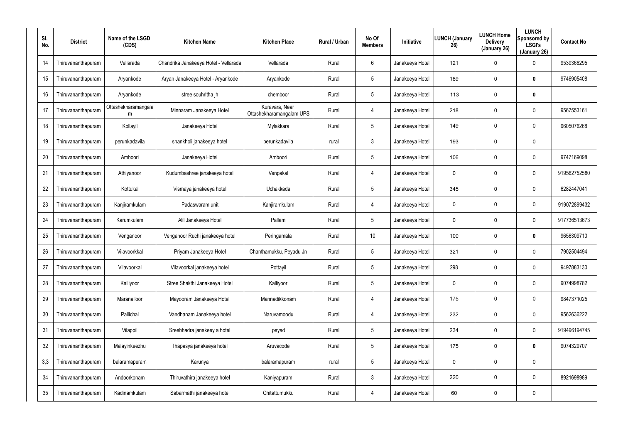| SI.<br>No. | <b>District</b>    | Name of the LSGD<br>(CDS) | <b>Kitchen Name</b>                   | <b>Kitchen Place</b>                       | <b>Rural / Urban</b> | No Of<br><b>Members</b> | Initiative      | <b>LUNCH (January</b><br>26) | <b>LUNCH Home</b><br><b>Delivery</b><br>(January 26) | <b>LUNCH</b><br>Sponsored by<br><b>LSGI's</b><br>(January 26) | <b>Contact No</b> |
|------------|--------------------|---------------------------|---------------------------------------|--------------------------------------------|----------------------|-------------------------|-----------------|------------------------------|------------------------------------------------------|---------------------------------------------------------------|-------------------|
| 14         | Thiruvananthapuram | Vellarada                 | Chandrika Janakeeya Hotel - Vellarada | Vellarada                                  | Rural                | 6                       | Janakeeya Hotel | 121                          | 0                                                    | 0                                                             | 9539366295        |
| 15         | Thiruvananthapuram | Aryankode                 | Aryan Janakeeya Hotel - Aryankode     | Aryankode                                  | Rural                | 5                       | Janakeeya Hotel | 189                          | 0                                                    | $\mathbf 0$                                                   | 9746905408        |
| 16         | Thiruvananthapuram | Aryankode                 | stree souhritha jh                    | chemboor                                   | Rural                | 5                       | Janakeeya Hotel | 113                          | 0                                                    | $\mathbf 0$                                                   |                   |
| 17         | Thiruvananthapuram | Ottashekharamangala<br>m  | Minnaram Janakeeya Hotel              | Kuravara, Near<br>Ottashekharamangalam UPS | Rural                | 4                       | Janakeeya Hotel | 218                          | 0                                                    | 0                                                             | 9567553161        |
| 18         | Thiruvananthapuram | Kollayil                  | Janakeeya Hotel                       | Mylakkara                                  | Rural                | $5\overline{)}$         | Janakeeya Hotel | 149                          | 0                                                    | $\mathbf 0$                                                   | 9605076268        |
| 19         | Thiruvananthapuram | perunkadavila             | shankholi janakeeya hotel             | perunkadavila                              | rural                | 3                       | Janakeeya Hotel | 193                          | 0                                                    | $\mathbf 0$                                                   |                   |
| 20         | Thiruvananthapuram | Amboori                   | Janakeeya Hotel                       | Amboori                                    | Rural                | $5\overline{)}$         | Janakeeya Hotel | 106                          | 0                                                    | 0                                                             | 9747169098        |
| 21         | Thiruvananthapuram | Athiyanoor                | Kudumbashree janakeeya hotel          | Venpakal                                   | Rural                | 4                       | Janakeeya Hotel | 0                            | 0                                                    | $\mathbf 0$                                                   | 919562752580      |
| 22         | Thiruvananthapuram | Kottukal                  | Vismaya janakeeya hotel               | Uchakkada                                  | Rural                | $5\overline{)}$         | Janakeeya Hotel | 345                          | 0                                                    | $\mathbf 0$                                                   | 6282447041        |
| 23         | Thiruvananthapuram | Kanjiramkulam             | Padaswaram unit                       | Kanjiramkulam                              | Rural                | 4                       | Janakeeya Hotel | 0                            | 0                                                    | $\mathbf 0$                                                   | 919072899432      |
| 24         | Thiruvananthapuram | Karumkulam                | Alil Janakeeya Hotel                  | Pallam                                     | Rural                | $5\overline{)}$         | Janakeeya Hotel | 0                            | 0                                                    | $\mathbf 0$                                                   | 917736513673      |
| 25         | Thiruvananthapuram | Venganoor                 | Venganoor Ruchi janakeeya hotel       | Peringamala                                | Rural                | 10                      | Janakeeya Hotel | 100                          | 0                                                    | $\mathbf 0$                                                   | 9656309710        |
| 26         | Thiruvananthapuram | Vilavoorkkal              | Priyam Janakeeya Hotel                | Chanthamukku, Peyadu Jn                    | Rural                | 5                       | Janakeeya Hotel | 321                          | 0                                                    | 0                                                             | 7902504494        |
| 27         | Thiruvananthapuram | Vilavoorkal               | Vilavoorkal janakeeya hotel           | Pottayil                                   | Rural                | 5                       | Janakeeya Hotel | 298                          | 0                                                    | 0                                                             | 9497883130        |
| 28         | Thiruvananthapuram | Kalliyoor                 | Stree Shakthi Janakeeya Hotel         | Kalliyoor                                  | Rural                | $5\overline{)}$         | Janakeeya Hotel | 0                            | 0                                                    | 0                                                             | 9074998782        |
| 29         | Thiruvananthapuram | Maranalloor               | Mayooram Janakeeya Hotel              | Mannadikkonam                              | Rural                | 4                       | Janakeeya Hotel | 175                          | 0                                                    | 0                                                             | 9847371025        |
| 30         | Thiruvananthapuram | Pallichal                 | Vandhanam Janakeeya hotel             | Naruvamoodu                                | Rural                | 4                       | Janakeeya Hotel | 232                          | 0                                                    | 0                                                             | 9562636222        |
| 31         | Thiruvananthapuram | Vilappil                  | Sreebhadra janakeey a hotel           | peyad                                      | Rural                | 5                       | Janakeeya Hotel | 234                          | 0                                                    | 0                                                             | 919496194745      |
| 32         | Thiruvananthapuram | Malayinkeezhu             | Thapasya janakeeya hotel              | Aruvacode                                  | Rural                | 5                       | Janakeeya Hotel | 175                          | 0                                                    | $\mathbf 0$                                                   | 9074329707        |
| 3,3        | Thiruvananthapuram | balaramapuram             | Karunya                               | balaramapuram                              | rural                | 5                       | Janakeeya Hotel | 0                            | 0                                                    | 0                                                             |                   |
| 34         | Thiruvananthapuram | Andoorkonam               | Thiruvathira janakeeya hotel          | Kaniyapuram                                | Rural                | $\mathbf{3}$            | Janakeeya Hotel | 220                          | 0                                                    | 0                                                             | 8921698989        |
| 35         | Thiruvananthapuram | Kadinamkulam              | Sabarmathi janakeeya hotel            | Chitattumukku                              | Rural                | 4                       | Janakeeya Hotel | 60                           | 0                                                    | $\mathbf 0$                                                   |                   |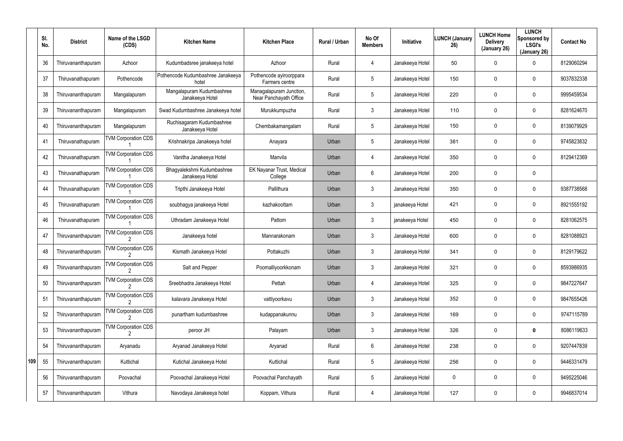|     | SI.<br>No. | <b>District</b>    | Name of the LSGD<br>(CDS)  | <b>Kitchen Name</b>                           | <b>Kitchen Place</b>                              | <b>Rural / Urban</b> | No Of<br><b>Members</b> | <b>Initiative</b> | <b>LUNCH (January</b><br>26) | <b>LUNCH Home</b><br><b>Delivery</b><br>(January 26) | <b>LUNCH</b><br>Sponsored by<br><b>LSGI's</b><br>(January 26) | <b>Contact No</b> |
|-----|------------|--------------------|----------------------------|-----------------------------------------------|---------------------------------------------------|----------------------|-------------------------|-------------------|------------------------------|------------------------------------------------------|---------------------------------------------------------------|-------------------|
|     | 36         | Thiruvananthapuram | Azhoor                     | Kudumbadsree janakeeya hotel                  | Azhoor                                            | Rural                | $\overline{4}$          | Janakeeya Hotel   | 50                           | 0                                                    | 0                                                             | 8129060294        |
|     | 37         | Thiruvanathapuram  | Pothencode                 | Pothencode Kudumbashree Janakeeya<br>hotel    | Pothencode ayiroorppara<br>Farmers centre         | Rural                | $5\phantom{.0}$         | Janakeeya Hotel   | 150                          | 0                                                    | 0                                                             | 9037832338        |
|     | 38         | Thiruvananthapuram | Mangalapuram               | Mangalapuram Kudumbashree<br>Janakeeya Hotel  | Managalapuram Junction,<br>Near Panchayath Office | Rural                | $5\phantom{.0}$         | Janakeeya Hotel   | 220                          | 0                                                    | 0                                                             | 9995459534        |
|     | 39         | Thiruvananthapuram | Mangalapuram               | Swad Kudumbashree Janakeeya hotel             | Murukkumpuzha                                     | Rural                | 3                       | Janakeeya Hotel   | 110                          | 0                                                    | 0                                                             | 8281624670        |
|     | 40         | Thiruvananthapuram | Mangalapuram               | Ruchisagaram Kudumbashree<br>Janakeeya Hotel  | Chembakamangalam                                  | Rural                | $5\phantom{.0}$         | Janakeeya Hotel   | 150                          | 0                                                    | 0                                                             | 8139079929        |
|     | 41         | Thiruvanathapuram  | <b>TVM Corporation CDS</b> | Krishnakripa Janakeeya hotel                  | Anayara                                           | Urban                | $5\phantom{.0}$         | Janakeeya Hotel   | 381                          | 0                                                    | 0                                                             | 9745823832        |
|     | 42         | Thiruvanathapuram  | <b>TVM Corporation CDS</b> | Vanitha Janakeeya Hotel                       | Manvila                                           | Urban                | $\overline{4}$          | Janakeeya Hotel   | 350                          | 0                                                    | 0                                                             | 8129412369        |
|     | 43         | Thiruvanathapuram  | <b>TVM Corporation CDS</b> | Bhagyalekshmi Kudumbashree<br>Janakeeya Hotel | EK Nayanar Trust, Medical<br>College              | Urban                | 6                       | Janakeeya Hotel   | 200                          | 0                                                    | $\mathbf 0$                                                   |                   |
|     | 44         | Thiruvanathapuram  | <b>TVM Corporation CDS</b> | Tripthi Janakeeya Hotel                       | Pallithura                                        | Urban                | $\mathbf{3}$            | Janakeeya Hotel   | 350                          | 0                                                    | $\mathbf 0$                                                   | 9387738568        |
|     | 45         | Thiruvanathapuram  | <b>TVM Corporation CDS</b> | soubhagya janakeeya Hotel                     | kazhakoottam                                      | Urban                | 3                       | janakeeya Hotel   | 421                          | 0                                                    | 0                                                             | 8921555192        |
|     | 46         | Thiruvanathapuram  | <b>TVM Corporation CDS</b> | Uthradam Janakeeya Hotel                      | Pattom                                            | Urban                | $\mathbf{3}$            | janakeeya Hotel   | 450                          | 0                                                    | 0                                                             | 8281062575        |
|     | 47         | Thiruvananthapuram | <b>TVM Corporation CDS</b> | Janakeeya hotel                               | Mannarakonam                                      | Urban                | 3                       | Janakeeya Hotel   | 600                          | 0                                                    | 0                                                             | 8281088923        |
|     | 48         | Thiruvananthapuram | <b>TVM Corporation CDS</b> | Kismath Janakeeya Hotel                       | Pottakuzhi                                        | Urban                | 3                       | Janakeeya Hotel   | 341                          | 0                                                    | 0                                                             | 8129179622        |
|     | 49         | Thiruvananthapuram | <b>TVM Corporation CDS</b> | Salt and Pepper                               | Poomalliyoorkkonam                                | Urban                | $\mathbf{3}$            | Janakeeya Hotel   | 321                          | 0                                                    | 0                                                             | 8593986935        |
|     | 50         | Thiruvananthapuram | <b>TVM Corporation CDS</b> | Sreebhadra Janakeeya Hotel                    | Pettah                                            | Urban                | 4                       | Janakeeya Hotel   | 325                          | 0                                                    | 0                                                             | 9847227647        |
|     | 51         | Thiruvananthapuram | <b>TVM Corporation CDS</b> | kalavara Janakeeya Hotel                      | vattiyoorkavu                                     | Urban                | $\mathbf{3}$            | Janakeeya Hotel   | 352                          | 0                                                    | 0                                                             | 9847655426        |
|     | 52         | Thiruvananthapuram | <b>TVM Corporation CDS</b> | punartham kudumbashree                        | kudappanakunnu                                    | Urban                | $\mathbf{3}$            | Janakeeya Hotel   | 169                          | 0                                                    | 0                                                             | 9747115789        |
|     | 53         | Thiruvananthapuram | <b>TVM Corporation CDS</b> | peroor JH                                     | Palayam                                           | Urban                | $\mathbf{3}$            | Janakeeya Hotel   | 326                          | 0                                                    | $\mathbf 0$                                                   | 8086119633        |
|     | 54         | Thiruvananthapuram | Aryanadu                   | Aryanad Janakeeya Hotel                       | Aryanad                                           | Rural                | 6                       | Janakeeya Hotel   | 238                          | 0                                                    | 0                                                             | 9207447839        |
| 109 | 55         | Thiruvananthapuram | Kuttichal                  | Kutichal Janakeeya Hotel                      | Kuttichal                                         | Rural                | $5\phantom{.0}$         | Janakeeya Hotel   | 256                          | 0                                                    | $\mathbf 0$                                                   | 9446331479        |
|     | 56         | Thiruvananthapuram | Poovachal                  | Poovachal Janakeeya Hotel                     | Poovachal Panchayath                              | Rural                | $5\phantom{.0}$         | Janakeeya Hotel   | 0                            | 0                                                    | 0                                                             | 9495225046        |
|     | 57         | Thiruvananthapuram | Vithura                    | Navodaya Janakeeya hotel                      | Koppam, Vithura                                   | Rural                | 4                       | Janakeeya Hotel   | 127                          | 0                                                    | $\pmb{0}$                                                     | 9946837014        |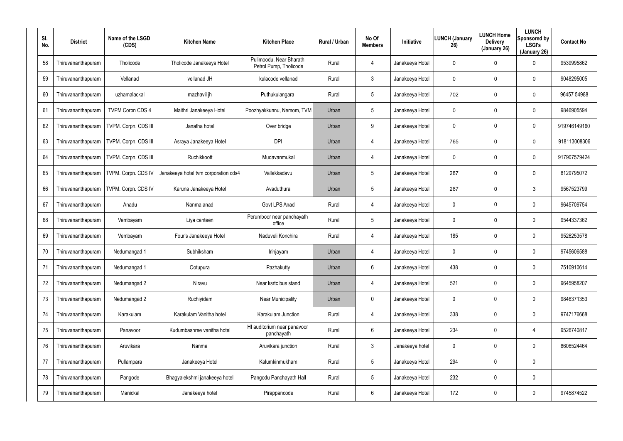| SI.<br>No. | <b>District</b>    | Name of the LSGD<br>(CDS) | <b>Kitchen Name</b>                  | <b>Kitchen Place</b>                              | <b>Rural / Urban</b> | No Of<br><b>Members</b> | Initiative      | <b>LUNCH (January</b><br>26) | <b>LUNCH Home</b><br><b>Delivery</b><br>(January 26) | <b>LUNCH</b><br>Sponsored by<br><b>LSGI's</b><br>(January 26) | <b>Contact No</b> |
|------------|--------------------|---------------------------|--------------------------------------|---------------------------------------------------|----------------------|-------------------------|-----------------|------------------------------|------------------------------------------------------|---------------------------------------------------------------|-------------------|
| 58         | Thiruvananthapuram | Tholicode                 | Tholicode Janakeeya Hotel            | Pulimoodu, Near Bharath<br>Petrol Pump, Tholicode | Rural                | $\overline{4}$          | Janakeeya Hotel | 0                            | $\mathbf 0$                                          | 0                                                             | 9539995862        |
| 59         | Thiruvananthapuram | Vellanad                  | vellanad JH                          | kulacode vellanad                                 | Rural                | $\mathbf{3}$            | Janakeeya Hotel | 0                            | 0                                                    | 0                                                             | 9048295005        |
| 60         | Thiruvananthapuram | uzhamalackal              | mazhavil jh                          | Puthukulangara                                    | Rural                | $5\phantom{.0}$         | Janakeeya Hotel | 702                          | 0                                                    | 0                                                             | 96457 54988       |
| 61         | Thiruvananthapuram | <b>TVPM Corpn CDS 4</b>   | Maithri Janakeeya Hotel              | Poozhyakkunnu, Nemom, TVM                         | Urban                | $5\phantom{.0}$         | Janakeeya Hotel | 0                            | $\mathbf 0$                                          | 0                                                             | 9846905594        |
| 62         | Thiruvananthapuram | TVPM. Corpn. CDS III      | Janatha hotel                        | Over bridge                                       | Urban                | 9                       | Janakeeya Hotel | 0                            | $\mathbf 0$                                          | 0                                                             | 919746149160      |
| 63         | Thiruvananthapuram | TVPM. Corpn. CDS III      | Asraya Janakeeya Hotel               | <b>DPI</b>                                        | Urban                | $\overline{4}$          | Janakeeya Hotel | 765                          | $\mathbf 0$                                          | 0                                                             | 918113008306      |
| 64         | Thiruvananthapuram | TVPM. Corpn. CDS III      | Ruchikkoott                          | Mudavanmukal                                      | Urban                | 4                       | Janakeeya Hotel | 0                            | $\mathbf 0$                                          | 0                                                             | 917907579424      |
| 65         | Thiruvananthapuram | TVPM. Corpn. CDS IV       | Janakeeya hotel tvm corporation cds4 | Vallakkadavu                                      | Urban                | $5\phantom{.0}$         | Janakeeya Hotel | 287                          | $\mathbf 0$                                          | 0                                                             | 8129795072        |
| 66         | Thiruvananthapuram | TVPM. Corpn. CDS IV       | Karuna Janakeeya Hotel               | Avaduthura                                        | Urban                | $5\phantom{.0}$         | Janakeeya Hotel | 267                          | $\mathbf 0$                                          | 3                                                             | 9567523799        |
| 67         | Thiruvananthapuram | Anadu                     | Nanma anad                           | Govt LPS Anad                                     | Rural                | $\overline{4}$          | Janakeeya Hotel | 0                            | 0                                                    | 0                                                             | 9645709754        |
| 68         | Thiruvananthapuram | Vembayam                  | Liya canteen                         | Perumboor near panchayath<br>office               | Rural                | $5\phantom{.0}$         | Janakeeya Hotel | 0                            | $\mathbf 0$                                          | 0                                                             | 9544337362        |
| 69         | Thiruvananthapuram | Vembayam                  | Four's Janakeeya Hotel               | Naduveli Konchira                                 | Rural                | $\overline{4}$          | Janakeeya Hotel | 185                          | 0                                                    | 0                                                             | 9526253578        |
| 70         | Thiruvananthapuram | Nedumangad 1              | Subhiksham                           | Irinjayam                                         | Urban                | 4                       | Janakeeya Hotel | 0                            | 0                                                    | 0                                                             | 9745606588        |
| 71         | Thiruvananthapuram | Nedumangad 1              | Ootupura                             | Pazhakutty                                        | Urban                | 6                       | Janakeeya Hotel | 438                          | $\mathbf 0$                                          | 0                                                             | 7510910614        |
| 72         | Thiruvananthapuram | Nedumangad 2              | Niravu                               | Near ksrtc bus stand                              | Urban                | 4                       | Janakeeya Hotel | 521                          | $\boldsymbol{0}$                                     | 0                                                             | 9645958207        |
| 73         | Thiruvananthapuram | Nedumangad 2              | Ruchiyidam                           | <b>Near Municipality</b>                          | Urban                | $\mathbf 0$             | Janakeeya Hotel | 0                            | $\boldsymbol{0}$                                     | 0                                                             | 9846371353        |
| 74         | Thiruvananthapuram | Karakulam                 | Karakulam Vanitha hotel              | Karakulam Junction                                | Rural                | 4                       | Janakeeya Hotel | 338                          | $\boldsymbol{0}$                                     | 0                                                             | 9747176668        |
| 75         | Thiruvananthapuram | Panavoor                  | Kudumbashree vanitha hotel           | HI auditorium near panavoor<br>panchayath         | Rural                | 6                       | Janakeeya Hotel | 234                          | $\pmb{0}$                                            | 4                                                             | 9526740817        |
| 76         | Thiruvananthapuram | Aruvikara                 | Nanma                                | Aruvikara junction                                | Rural                | $\mathbf{3}$            | Janakeeya hotel | 0                            | $\mathbf 0$                                          | 0                                                             | 8606524464        |
| 77         | Thiruvananthapuram | Pullampara                | Janakeeya Hotel                      | Kalumkinmukham                                    | Rural                | $5\overline{)}$         | Janakeeya Hotel | 294                          | $\pmb{0}$                                            | 0                                                             |                   |
| 78         | Thiruvananthapuram | Pangode                   | Bhagyalekshmi janakeeya hotel        | Pangodu Panchayath Hall                           | Rural                | $5\phantom{.0}$         | Janakeeya Hotel | 232                          | $\boldsymbol{0}$                                     | 0                                                             |                   |
| 79         | Thiruvananthapuram | Manickal                  | Janakeeya hotel                      | Pirappancode                                      | Rural                | 6                       | Janakeeya Hotel | 172                          | $\boldsymbol{0}$                                     | 0                                                             | 9745874522        |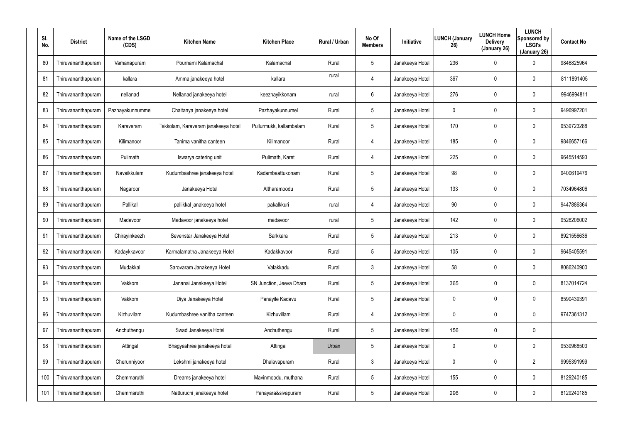| SI.<br>No. | <b>District</b>    | Name of the LSGD<br>(CDS) | <b>Kitchen Name</b>                 | <b>Kitchen Place</b>     | <b>Rural / Urban</b> | No Of<br><b>Members</b> | Initiative      | <b>LUNCH (January</b><br>26) | <b>LUNCH Home</b><br><b>Delivery</b><br>(January 26) | <b>LUNCH</b><br>Sponsored by<br><b>LSGI's</b><br>(January 26) | <b>Contact No</b> |
|------------|--------------------|---------------------------|-------------------------------------|--------------------------|----------------------|-------------------------|-----------------|------------------------------|------------------------------------------------------|---------------------------------------------------------------|-------------------|
| 80         | Thiruvananthapuram | Vamanapuram               | Pournami Kalamachal                 | Kalamachal               | Rural                | 5                       | Janakeeya Hotel | 236                          | 0                                                    | 0                                                             | 9846825964        |
| 81         | Thiruvananthapuram | kallara                   | Amma janakeeya hotel                | kallara                  | rural                | 4                       | Janakeeya Hotel | 367                          | 0                                                    | $\mathbf 0$                                                   | 8111891405        |
| 82         | Thiruvananthapuram | nellanad                  | Nellanad janakeeya hotel            | keezhayikkonam           | rural                | 6                       | Janakeeya Hotel | 276                          | 0                                                    | $\mathbf 0$                                                   | 9946994811        |
| 83         | Thiruvananthapuram | Pazhayakunnummel          | Chaitanya janakeeya hotel           | Pazhayakunnumel          | Rural                | 5                       | Janakeeya Hotel | $\mathbf 0$                  | $\mathbf 0$                                          | $\mathbf 0$                                                   | 9496997201        |
| 84         | Thiruvananthapuram | Karavaram                 | Takkolam, Karavaram janakeeya hotel | Pullurmukk, kallambalam  | Rural                | 5                       | Janakeeya Hotel | 170                          | 0                                                    | $\mathbf 0$                                                   | 9539723288        |
| 85         | Thiruvananthapuram | Kilimanoor                | Tanima vanitha canteen              | Kilimanoor               | Rural                | 4                       | Janakeeya Hotel | 185                          | 0                                                    | $\mathbf 0$                                                   | 9846657166        |
| 86         | Thiruvananthapuram | Pulimath                  | Iswarya catering unit               | Pulimath, Karet          | Rural                | $\overline{4}$          | Janakeeya Hotel | 225                          | 0                                                    | $\mathbf 0$                                                   | 9645514593        |
| 87         | Thiruvananthapuram | Navaikkulam               | Kudumbashree janakeeya hotel        | Kadambaattukonam         | Rural                | 5                       | Janakeeya Hotel | 98                           | 0                                                    | $\mathbf 0$                                                   | 9400619476        |
| 88         | Thiruvananthapuram | Nagaroor                  | Janakeeya Hotel                     | Altharamoodu             | Rural                | 5                       | Janakeeya Hotel | 133                          | 0                                                    | $\mathbf 0$                                                   | 7034964806        |
| 89         | Thiruvananthapuram | Pallikal                  | pallikkal janakeeya hotel           | pakalkkuri               | rural                | 4                       | Janakeeya Hotel | 90                           | 0                                                    | $\mathbf 0$                                                   | 9447886364        |
| 90         | Thiruvananthapuram | Madavoor                  | Madavoor janakeeya hotel            | madavoor                 | rural                | 5                       | Janakeeya Hotel | 142                          | $\boldsymbol{0}$                                     | $\mathbf 0$                                                   | 9526206002        |
| 91         | Thiruvananthapuram | Chirayinkeezh             | Sevenstar Janakeeya Hotel           | Sarkkara                 | Rural                | 5                       | Janakeeya Hotel | 213                          | 0                                                    | $\mathbf 0$                                                   | 8921556636        |
| 92         | Thiruvananthapuram | Kadaykkavoor              | Karmalamatha Janakeeya Hotel        | Kadakkavoor              | Rural                | 5                       | Janakeeya Hotel | 105                          | $\boldsymbol{0}$                                     | 0                                                             | 9645405591        |
| 93         | Thiruvananthapuram | Mudakkal                  | Sarovaram Janakeeya Hotel           | Valakkadu                | Rural                | 3                       | Janakeeya Hotel | 58                           | $\boldsymbol{0}$                                     | $\pmb{0}$                                                     | 8086240900        |
| 94         | Thiruvananthapuram | Vakkom                    | Jananai Janakeeya Hotel             | SN Junction, Jeeva Dhara | Rural                | $5\phantom{.0}$         | Janakeeya Hotel | 365                          | 0                                                    | 0                                                             | 8137014724        |
| 95         | Thiruvananthapuram | Vakkom                    | Diya Janakeeya Hotel                | Panayile Kadavu          | Rural                | $5\phantom{.0}$         | Janakeeya Hotel | 0                            | 0                                                    | 0                                                             | 8590439391        |
| 96         | Thiruvananthapuram | Kizhuvilam                | Kudumbashree vanitha canteen        | Kizhuvillam              | Rural                | 4                       | Janakeeya Hotel | 0                            | 0                                                    | 0                                                             | 9747361312        |
| 97         | Thiruvananthapuram | Anchuthengu               | Swad Janakeeya Hotel                | Anchuthengu              | Rural                | $5\phantom{.0}$         | Janakeeya Hotel | 156                          | $\mathbf 0$                                          | 0                                                             |                   |
| 98         | Thiruvananthapuram | Attingal                  | Bhagyashree janakeeya hotel         | Attingal                 | Urban                | 5                       | Janakeeya Hotel | 0                            | $\boldsymbol{0}$                                     | 0                                                             | 9539968503        |
| 99         | Thiruvananthapuram | Cherunniyoor              | Lekshmi janakeeya hotel             | Dhalavapuram             | Rural                | $\mathbf{3}$            | Janakeeya Hotel | 0                            | $\boldsymbol{0}$                                     | $\overline{2}$                                                | 9995391999        |
| 100        | Thiruvananthapuram | Chemmaruthi               | Dreams janakeeya hotel              | Mavinmoodu, muthana      | Rural                | 5                       | Janakeeya Hotel | 155                          | $\boldsymbol{0}$                                     | 0                                                             | 8129240185        |
| 101        | Thiruvananthapuram | Chemmaruthi               | Natturuchi janakeeya hotel          | Panayara&sivapuram       | Rural                | 5                       | Janakeeya Hotel | 296                          | $\boldsymbol{0}$                                     | 0                                                             | 8129240185        |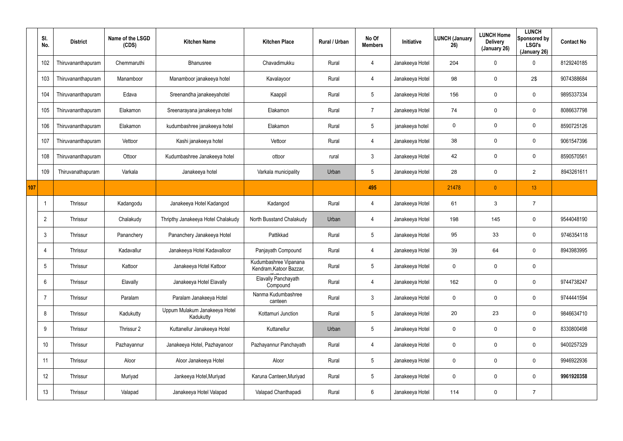|     | SI.<br>No.      | <b>District</b>    | Name of the LSGD<br>(CDS) | <b>Kitchen Name</b>                        | <b>Kitchen Place</b>                             | Rural / Urban | No Of<br><b>Members</b> | Initiative      | LUNCH (January<br>26) | <b>LUNCH Home</b><br><b>Delivery</b><br>(January 26) | <b>LUNCH</b><br>Sponsored by<br><b>LSGI's</b><br>(January 26) | <b>Contact No</b> |
|-----|-----------------|--------------------|---------------------------|--------------------------------------------|--------------------------------------------------|---------------|-------------------------|-----------------|-----------------------|------------------------------------------------------|---------------------------------------------------------------|-------------------|
|     | 102             | Thiruvananthapuram | Chemmaruthi               | Bhanusree                                  | Chavadimukku                                     | Rural         | 4                       | Janakeeya Hotel | 204                   | 0                                                    | $\mathbf 0$                                                   | 8129240185        |
|     | 103             | Thiruvananthapuram | Manamboor                 | Manamboor janakeeya hotel                  | Kavalayoor                                       | Rural         | $\overline{4}$          | Janakeeya Hotel | 98                    | 0                                                    | $2\$                                                          | 9074388684        |
|     | 104             | Thiruvananthapuram | Edava                     | Sreenandha janakeeyahotel                  | Kaappil                                          | Rural         | $5\overline{)}$         | Janakeeya Hotel | 156                   | 0                                                    | $\mathbf 0$                                                   | 9895337334        |
|     | 105             | Thiruvananthapuram | Elakamon                  | Sreenarayana janakeeya hotel               | Elakamon                                         | Rural         | 7                       | Janakeeya Hotel | 74                    | 0                                                    | 0                                                             | 8086637798        |
|     | 106             | Thiruvananthapuram | Elakamon                  | kudumbashree janakeeya hotel               | Elakamon                                         | Rural         | $5\overline{)}$         | janakeeya hotel | 0                     | 0                                                    | 0                                                             | 8590725126        |
|     | 107             | Thiruvananthapuram | Vettoor                   | Kashi janakeeya hotel                      | Vettoor                                          | Rural         | 4                       | Janakeeya Hotel | 38                    | 0                                                    | 0                                                             | 9061547396        |
|     | 108             | Thiruvananthapuram | Ottoor                    | Kudumbashree Janakeeya hotel               | ottoor                                           | rural         | $\mathbf{3}$            | Janakeeya Hotel | 42                    | 0                                                    | 0                                                             | 8590570561        |
|     | 109             | Thiruvanathapuram  | Varkala                   | Janakeeya hotel                            | Varkala municipality                             | Urban         | $5\phantom{.0}$         | Janakeeya Hotel | 28                    | 0                                                    | $\overline{2}$                                                | 8943261611        |
| 107 |                 |                    |                           |                                            |                                                  |               | 495                     |                 | 21478                 | $\overline{0}$                                       | 13                                                            |                   |
|     |                 | Thrissur           | Kadangodu                 | Janakeeya Hotel Kadangod                   | Kadangod                                         | Rural         | 4                       | Janakeeya Hotel | 61                    | 3                                                    | $\overline{7}$                                                |                   |
|     | $\overline{2}$  | Thrissur           | Chalakudy                 | Thripthy Janakeeya Hotel Chalakudy         | North Busstand Chalakudy                         | Urban         | 4                       | Janakeeya Hotel | 198                   | 145                                                  | $\mathbf 0$                                                   | 9544048190        |
|     | $\mathbf{3}$    | Thrissur           | Pananchery                | Pananchery Janakeeya Hotel                 | Pattikkad                                        | Rural         | $5\phantom{.0}$         | Janakeeya Hotel | 95                    | 33                                                   | $\mathbf 0$                                                   | 9746354118        |
|     | $\overline{4}$  | Thrissur           | Kadavallur                | Janakeeya Hotel Kadavalloor                | Panjayath Compound                               | Rural         | 4                       | Janakeeya Hotel | 39                    | 64                                                   | 0                                                             | 8943983995        |
|     | $5\overline{)}$ | Thrissur           | Kattoor                   | Janakeeya Hotel Kattoor                    | Kudumbashree Vipanana<br>Kendram, Katoor Bazzar, | Rural         | $5\phantom{.0}$         | Janakeeya Hotel | $\mathbf 0$           | 0                                                    | $\mathbf 0$                                                   |                   |
|     | $6\overline{6}$ | Thrissur           | Elavally                  | Janakeeya Hotel Elavally                   | Elavally Panchayath<br>Compound                  | Rural         | $\overline{4}$          | Janakeeya Hotel | 162                   | 0                                                    | $\mathbf 0$                                                   | 9744738247        |
|     | $\overline{7}$  | Thrissur           | Paralam                   | Paralam Janakeeya Hotel                    | Nanma Kudumbashree<br>canteen                    | Rural         | $\mathbf{3}$            | Janakeeya Hotel | 0                     | 0                                                    | 0                                                             | 9744441594        |
|     | 8               | Thrissur           | Kadukutty                 | Uppum Mulakum Janakeeya Hotel<br>Kadukutty | Kottamuri Junction                               | Rural         | $5\,$                   | Janakeeya Hotel | 20                    | 23                                                   | $\mathbf 0$                                                   | 9846634710        |
|     | 9               | Thrissur           | Thrissur 2                | Kuttanellur Janakeeya Hotel                | Kuttanellur                                      | Urban         | $5\,$                   | Janakeeya Hotel | 0                     | 0                                                    | $\mathbf 0$                                                   | 8330800498        |
|     | 10              | Thrissur           | Pazhayannur               | Janakeeya Hotel, Pazhayanoor               | Pazhayannur Panchayath                           | Rural         | 4                       | Janakeeya Hotel | 0                     | 0                                                    | $\mathbf 0$                                                   | 9400257329        |
|     | 11              | Thrissur           | Aloor                     | Aloor Janakeeya Hotel                      | Aloor                                            | Rural         | $5\phantom{.0}$         | Janakeeya Hotel | 0                     | 0                                                    | $\mathbf 0$                                                   | 9946922936        |
|     | 12              | Thrissur           | Muriyad                   | Jankeeya Hotel, Muriyad                    | Karuna Canteen, Muriyad                          | Rural         | $5\phantom{.0}$         | Janakeeya Hotel | 0                     | 0                                                    | $\mathbf 0$                                                   | 9961920358        |
|     | 13              | Thrissur           | Valapad                   | Janakeeya Hotel Valapad                    | Valapad Chanthapadi                              | Rural         | $6\,$                   | Janakeeya Hotel | 114                   | 0                                                    | $\overline{7}$                                                |                   |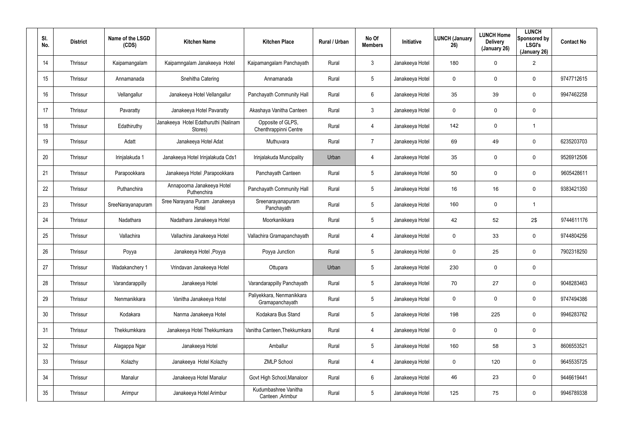| SI.<br>No. | <b>District</b> | Name of the LSGD<br>(CDS) | <b>Kitchen Name</b>                             | <b>Kitchen Place</b>                         | Rural / Urban | No Of<br><b>Members</b> | <b>Initiative</b> | <b>LUNCH (January</b><br>26) | <b>LUNCH Home</b><br><b>Delivery</b><br>(January 26) | <b>LUNCH</b><br>Sponsored by<br><b>LSGI's</b><br>(January 26) | <b>Contact No</b> |
|------------|-----------------|---------------------------|-------------------------------------------------|----------------------------------------------|---------------|-------------------------|-------------------|------------------------------|------------------------------------------------------|---------------------------------------------------------------|-------------------|
| 14         | Thrissur        | Kaipamangalam             | Kaipamngalam Janakeeya Hotel                    | Kaipamangalam Panchayath                     | Rural         | 3                       | Janakeeya Hotel   | 180                          | 0                                                    | $\overline{2}$                                                |                   |
| 15         | Thrissur        | Annamanada                | Snehitha Catering                               | Annamanada                                   | Rural         | $5\phantom{.0}$         | Janakeeya Hotel   | 0                            | 0                                                    | 0                                                             | 9747712615        |
| 16         | Thrissur        | Vellangallur              | Janakeeya Hotel Vellangallur                    | Panchayath Community Hall                    | Rural         | 6                       | Janakeeya Hotel   | 35                           | 39                                                   | $\mathbf 0$                                                   | 9947462258        |
| 17         | Thrissur        | Pavaratty                 | Janakeeya Hotel Pavaratty                       | Akashaya Vanitha Canteen                     | Rural         | $\mathbf{3}$            | Janakeeya Hotel   | 0                            | 0                                                    | $\mathbf 0$                                                   |                   |
| 18         | Thrissur        | Edathiruthy               | Janakeeya Hotel Edathuruthi (Nalinam<br>Stores) | Opposite of GLPS,<br>Chenthrappinni Centre   | Rural         | 4                       | Janakeeya Hotel   | 142                          | 0                                                    | $\mathbf{1}$                                                  |                   |
| 19         | Thrissur        | Adatt                     | Janakeeya Hotel Adat                            | Muthuvara                                    | Rural         | $\overline{7}$          | Janakeeya Hotel   | 69                           | 49                                                   | 0                                                             | 6235203703        |
| 20         | Thrissur        | Irinjalakuda 1            | Janakeeya Hotel Irinjalakuda Cds1               | Irinjalakuda Muncipality                     | Urban         | 4                       | Janakeeya Hotel   | 35                           | 0                                                    | 0                                                             | 9526912506        |
| 21         | Thrissur        | Parapookkara              | Janakeeya Hotel , Parapookkara                  | Panchayath Canteen                           | Rural         | $5\overline{)}$         | Janakeeya Hotel   | 50                           | 0                                                    | $\mathbf 0$                                                   | 9605428611        |
| 22         | Thrissur        | Puthanchira               | Annapoorna Janakeeya Hotel<br>Puthenchira       | Panchayath Community Hall                    | Rural         | $5\phantom{.0}$         | Janakeeya Hotel   | 16                           | 16                                                   | $\mathbf 0$                                                   | 9383421350        |
| 23         | Thrissur        | SreeNarayanapuram         | Sree Narayana Puram Janakeeya<br>Hotel          | Sreenarayanapuram<br>Panchayath              | Rural         | $5\overline{)}$         | Janakeeya Hotel   | 160                          | 0                                                    | $\mathbf{1}$                                                  |                   |
| 24         | Thrissur        | Nadathara                 | Nadathara Janakeeya Hotel                       | Moorkanikkara                                | Rural         | $5\phantom{.0}$         | Janakeeya Hotel   | 42                           | 52                                                   | 2\$                                                           | 9744611176        |
| 25         | Thrissur        | Vallachira                | Vallachira Janakeeya Hotel                      | Vallachira Gramapanchayath                   | Rural         | 4                       | Janakeeya Hotel   | 0                            | 33                                                   | $\mathbf 0$                                                   | 9744804256        |
| 26         | Thrissur        | Poyya                     | Janakeeya Hotel, Poyya                          | Poyya Junction                               | Rural         | $5\phantom{.0}$         | Janakeeya Hotel   | 0                            | 25                                                   | $\mathbf 0$                                                   | 7902318250        |
| 27         | Thrissur        | Wadakanchery 1            | Vrindavan Janakeeya Hotel                       | Ottupara                                     | Urban         | 5                       | Janakeeya Hotel   | 230                          | 0                                                    | 0                                                             |                   |
| 28         | Thrissur        | Varandarappilly           | Janakeeya Hotel                                 | Varandarappilly Panchayath                   | Rural         | $5\phantom{.0}$         | Janakeeya Hotel   | 70                           | 27                                                   | 0                                                             | 9048283463        |
| 29         | Thrissur        | Nenmanikkara              | Vanitha Janakeeya Hotel                         | Paliyekkara, Nenmanikkara<br>Gramapanchayath | Rural         | $5\phantom{.0}$         | Janakeeya Hotel   | 0                            | 0                                                    | $\mathbf 0$                                                   | 9747494386        |
| 30         | Thrissur        | Kodakara                  | Nanma Janakeeya Hotel                           | Kodakara Bus Stand                           | Rural         | $5\phantom{.0}$         | Janakeeya Hotel   | 198                          | 225                                                  | 0                                                             | 9946283762        |
| 31         | Thrissur        | Thekkumkkara              | Janakeeya Hotel Thekkumkara                     | Vanitha Canteen, Thekkumkara                 | Rural         | 4                       | Janakeeya Hotel   | 0                            | 0                                                    | $\mathbf 0$                                                   |                   |
| 32         | Thrissur        | Alagappa Ngar             | Janakeeya Hotel                                 | Amballur                                     | Rural         | $5\phantom{.0}$         | Janakeeya Hotel   | 160                          | 58                                                   | 3                                                             | 8606553521        |
| 33         | Thrissur        | Kolazhy                   | Janakeeya Hotel Kolazhy                         | <b>ZMLP School</b>                           | Rural         | 4                       | Janakeeya Hotel   | 0                            | 120                                                  | $\mathbf 0$                                                   | 9645535725        |
| 34         | Thrissur        | Manalur                   | Janakeeya Hotel Manalur                         | Govt High School, Manaloor                   | Rural         | 6                       | Janakeeya Hotel   | 46                           | 23                                                   | 0                                                             | 9446619441        |
| 35         | Thrissur        | Arimpur                   | Janakeeya Hotel Arimbur                         | Kudumbashree Vanitha<br>Canteen, Arimbur     | Rural         | $5\phantom{.0}$         | Janakeeya Hotel   | 125                          | 75                                                   | $\mathbf 0$                                                   | 9946789338        |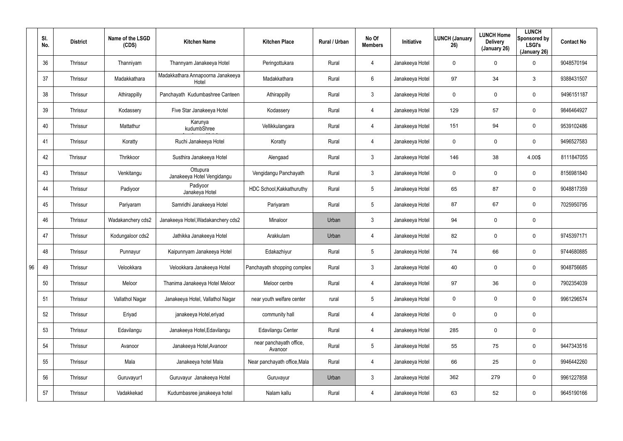|    | SI.<br>No. | <b>District</b> | Name of the LSGD<br>(CDS) | <b>Kitchen Name</b>                        | <b>Kitchen Place</b>               | <b>Rural / Urban</b> | No Of<br><b>Members</b> | Initiative      | <b>LUNCH (January</b><br>26) | <b>LUNCH Home</b><br><b>Delivery</b><br>(January 26) | <b>LUNCH</b><br>Sponsored by<br><b>LSGI's</b><br>(January 26) | <b>Contact No</b> |
|----|------------|-----------------|---------------------------|--------------------------------------------|------------------------------------|----------------------|-------------------------|-----------------|------------------------------|------------------------------------------------------|---------------------------------------------------------------|-------------------|
|    | 36         | Thrissur        | Thanniyam                 | Thannyam Janakeeya Hotel                   | Peringottukara                     | Rural                | $\overline{4}$          | Janakeeya Hotel | $\mathbf 0$                  | 0                                                    | 0                                                             | 9048570194        |
|    | 37         | Thrissur        | Madakkathara              | Madakkathara Annapoorna Janakeeya<br>Hotel | Madakkathara                       | Rural                | 6                       | Janakeeya Hotel | 97                           | 34                                                   | 3                                                             | 9388431507        |
|    | 38         | Thrissur        | Athirappilly              | Panchayath Kudumbashree Canteen            | Athirappilly                       | Rural                | $\mathbf{3}$            | Janakeeya Hotel | $\mathbf 0$                  | 0                                                    | $\mathbf 0$                                                   | 9496151187        |
|    | 39         | Thrissur        | Kodassery                 | Five Star Janakeeya Hotel                  | Kodassery                          | Rural                | $\overline{4}$          | Janakeeya Hotel | 129                          | 57                                                   | $\mathbf 0$                                                   | 9846464927        |
|    | 40         | Thrissur        | Mattathur                 | Karunya<br>kudumbShree                     | Vellikkulangara                    | Rural                | 4                       | Janakeeya Hotel | 151                          | 94                                                   | $\mathbf 0$                                                   | 9539102486        |
|    | 41         | Thrissur        | Koratty                   | Ruchi Janakeeya Hotel                      | Koratty                            | Rural                | 4                       | Janakeeya Hotel | 0                            | 0                                                    | $\mathbf 0$                                                   | 9496527583        |
|    | 42         | Thrissur        | Thrikkoor                 | Susthira Janakeeya Hotel                   | Alengaad                           | Rural                | $\mathbf{3}$            | Janakeeya Hotel | 146                          | 38                                                   | 4.00\$                                                        | 8111847055        |
|    | 43         | Thrissur        | Venkitangu                | Ottupura<br>Janakeeya Hotel Vengidangu     | Vengidangu Panchayath              | Rural                | $\mathbf{3}$            | Janakeeya Hotel | 0                            | 0                                                    | $\mathbf 0$                                                   | 8156981840        |
|    | 44         | Thrissur        | Padiyoor                  | Padiyoor<br>Janakeya Hotel                 | HDC School, Kakkathuruthy          | Rural                | $5\phantom{.0}$         | Janakeeya Hotel | 65                           | 87                                                   | $\mathbf 0$                                                   | 9048817359        |
|    | 45         | Thrissur        | Pariyaram                 | Samridhi Janakeeya Hotel                   | Pariyaram                          | Rural                | $5\phantom{.0}$         | Janakeeya Hotel | 87                           | 67                                                   | $\mathbf 0$                                                   | 7025950795        |
|    | 46         | Thrissur        | Wadakanchery cds2         | Janakeeya Hotel, Wadakanchery cds2         | Minaloor                           | Urban                | $\mathfrak{Z}$          | Janakeeya Hotel | 94                           | 0                                                    | $\mathbf 0$                                                   |                   |
|    | 47         | Thrissur        | Kodungaloor cds2          | Jathikka Janakeeya Hotel                   | Arakkulam                          | Urban                | 4                       | Janakeeya Hotel | 82                           | 0                                                    | $\mathbf 0$                                                   | 9745397171        |
|    | 48         | Thrissur        | Punnayur                  | Kaipunnyam Janakeeya Hotel                 | Edakazhiyur                        | Rural                | $5\phantom{.0}$         | Janakeeya Hotel | 74                           | 66                                                   | $\mathbf 0$                                                   | 9744680885        |
| 96 | 49         | Thrissur        | Velookkara                | Velookkara Janakeeya Hotel                 | Panchayath shopping complex        | Rural                | $\mathbf{3}$            | Janakeeya Hotel | 40                           | 0                                                    | $\mathbf 0$                                                   | 9048756685        |
|    | 50         | Thrissur        | Meloor                    | Thanima Janakeeya Hotel Meloor             | Meloor centre                      | Rural                | 4                       | Janakeeya Hotel | 97                           | 36                                                   | 0                                                             | 7902354039        |
|    | 51         | Thrissur        | Vallathol Nagar           | Janakeeya Hotel, Vallathol Nagar           | near youth welfare center          | rural                | $5\overline{)}$         | Janakeeya Hotel | $\mathbf 0$                  | 0                                                    | 0                                                             | 9961296574        |
|    | 52         | Thrissur        | Eriyad                    | janakeeya Hotel, eriyad                    | community hall                     | Rural                | 4                       | Janakeeya Hotel | $\mathbf 0$                  | 0                                                    | $\mathbf 0$                                                   |                   |
|    | 53         | Thrissur        | Edavilangu                | Janakeeya Hotel, Edavilangu                | Edavilangu Center                  | Rural                | 4                       | Janakeeya Hotel | 285                          | 0                                                    | 0                                                             |                   |
|    | 54         | Thrissur        | Avanoor                   | Janakeeya Hotel, Avanoor                   | near panchayath office,<br>Avanoor | Rural                | $5\,$                   | Janakeeya Hotel | 55                           | 75                                                   | 0                                                             | 9447343516        |
|    | 55         | Thrissur        | Mala                      | Janakeeya hotel Mala                       | Near panchayath office, Mala       | Rural                | 4                       | Janakeeya Hotel | 66                           | 25                                                   | $\mathbf 0$                                                   | 9946442260        |
|    | 56         | Thrissur        | Guruvayur1                | Guruvayur Janakeeya Hotel                  | Guruvayur                          | Urban                | $\mathbf{3}$            | Janakeeya Hotel | 362                          | 279                                                  | $\mathbf 0$                                                   | 9961227858        |
|    | 57         | Thrissur        | Vadakkekad                | Kudumbasree janakeeya hotel                | Nalam kallu                        | Rural                | 4                       | Janakeeya Hotel | 63                           | 52                                                   | 0                                                             | 9645190166        |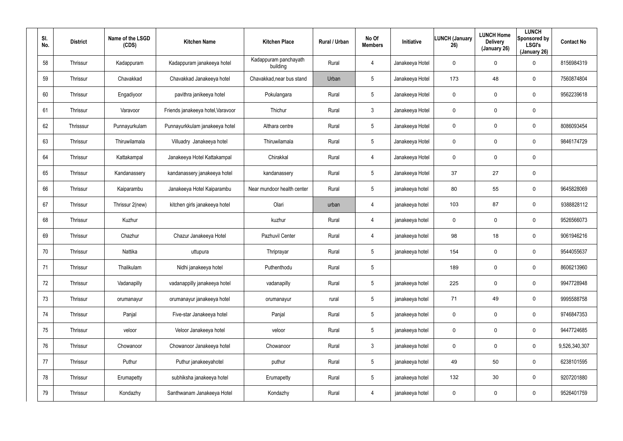| SI.<br>No. | <b>District</b> | Name of the LSGD<br>(CDS) | <b>Kitchen Name</b>               | <b>Kitchen Place</b>              | Rural / Urban | No Of<br><b>Members</b> | Initiative      | <b>LUNCH (January</b><br>26) | <b>LUNCH Home</b><br><b>Delivery</b><br>(January 26) | <b>LUNCH</b><br>Sponsored by<br><b>LSGI's</b><br>(January 26) | <b>Contact No</b> |
|------------|-----------------|---------------------------|-----------------------------------|-----------------------------------|---------------|-------------------------|-----------------|------------------------------|------------------------------------------------------|---------------------------------------------------------------|-------------------|
| 58         | Thrissur        | Kadappuram                | Kadappuram janakeeya hotel        | Kadappuram panchayath<br>building | Rural         | 4                       | Janakeeya Hotel | 0                            | 0                                                    | 0                                                             | 8156984319        |
| 59         | Thrissur        | Chavakkad                 | Chavakkad Janakeeya hotel         | Chavakkad, near bus stand         | Urban         | $5\phantom{.0}$         | Janakeeya Hotel | 173                          | 48                                                   | 0                                                             | 7560874804        |
| 60         | Thrissur        | Engadiyoor                | pavithra janikeeya hotel          | Pokulangara                       | Rural         | $5\phantom{.0}$         | Janakeeya Hotel | 0                            | $\mathbf 0$                                          | 0                                                             | 9562239618        |
| 61         | Thrissur        | Varavoor                  | Friends janakeeya hotel, Varavoor | Thichur                           | Rural         | $\mathbf{3}$            | Janakeeya Hotel | 0                            | 0                                                    | 0                                                             |                   |
| 62         | Thrisssur       | Punnayurkulam             | Punnayurkkulam janakeeya hotel    | Althara centre                    | Rural         | $5\phantom{.0}$         | Janakeeya Hotel | 0                            | $\mathbf 0$                                          | 0                                                             | 8086093454        |
| 63         | Thrissur        | Thiruwilamala             | Villuadry Janakeeya hotel         | Thiruwilamala                     | Rural         | $5\phantom{.0}$         | Janakeeya Hotel | 0                            | 0                                                    | $\mathbf 0$                                                   | 9846174729        |
| 64         | Thrissur        | Kattakampal               | Janakeeya Hotel Kattakampal       | Chirakkal                         | Rural         | 4                       | Janakeeya Hotel | 0                            | $\mathbf 0$                                          | 0                                                             |                   |
| 65         | Thrissur        | Kandanassery              | kandanassery janakeeya hotel      | kandanassery                      | Rural         | $5\overline{)}$         | Janakeeya Hotel | 37                           | 27                                                   | 0                                                             |                   |
| 66         | Thrissur        | Kaiparambu                | Janakeeya Hotel Kaiparambu        | Near mundoor health center        | Rural         | $5\phantom{.0}$         | janakeeya hotel | 80                           | 55                                                   | 0                                                             | 9645828069        |
| 67         | Thrissur        | Thrissur 2(new)           | kitchen girls janakeeya hotel     | Olari                             | urban         | 4                       | janakeeya hotel | 103                          | 87                                                   | 0                                                             | 9388828112        |
| 68         | Thrissur        | Kuzhur                    |                                   | kuzhur                            | Rural         | 4                       | janakeeya hotel | 0                            | $\mathbf 0$                                          | 0                                                             | 9526566073        |
| 69         | Thrissur        | Chazhur                   | Chazur Janakeeya Hotel            | Pazhuvil Center                   | Rural         | 4                       | janakeeya hotel | 98                           | 18                                                   | 0                                                             | 9061946216        |
| 70         | Thrissur        | Nattika                   | uttupura                          | Thriprayar                        | Rural         | $5\overline{)}$         | janakeeya hotel | 154                          | 0                                                    | 0                                                             | 9544055637        |
| 71         | Thrissur        | Thalikulam                | Nidhi janakeeya hotel             | Puthenthodu                       | Rural         | 5                       |                 | 189                          | $\mathsf{O}$                                         | 0                                                             | 8606213960        |
| 72         | Thrissur        | Vadanapilly               | vadanappilly janakeeya hotel      | vadanapilly                       | Rural         | $5\phantom{.0}$         | janakeeya hotel | 225                          | $\mathsf{O}$                                         | 0                                                             | 9947728948        |
| 73         | Thrissur        | orumanayur                | orumanayur janakeeya hotel        | orumanayur                        | rural         | $5\phantom{.0}$         | janakeeya hotel | 71                           | 49                                                   | 0                                                             | 9995588758        |
| 74         | Thrissur        | Panjal                    | Five-star Janakeeya hotel         | Panjal                            | Rural         | $5\phantom{.0}$         | janakeeya hotel | 0                            | $\mathsf{O}$                                         | 0                                                             | 9746847353        |
| 75         | Thrissur        | veloor                    | Veloor Janakeeya hotel            | veloor                            | Rural         | $5\phantom{.0}$         | janakeeya hotel | 0                            | $\mathsf{O}$                                         | 0                                                             | 9447724685        |
| 76         | Thrissur        | Chowanoor                 | Chowanoor Janakeeya hotel         | Chowanoor                         | Rural         | $\mathbf{3}$            | janakeeya hotel | 0                            | $\mathsf{O}$                                         | 0                                                             | 9,526,340,307     |
| 77         | Thrissur        | Puthur                    | Puthur janakeeyahotel             | puthur                            | Rural         | $5\phantom{.0}$         | janakeeya hotel | 49                           | 50                                                   | 0                                                             | 6238101595        |
| 78         | Thrissur        | Erumapetty                | subhiksha janakeeya hotel         | Erumapetty                        | Rural         | $5\phantom{.0}$         | janakeeya hotel | 132                          | 30                                                   | 0                                                             | 9207201880        |
| 79         | Thrissur        | Kondazhy                  | Santhwanam Janakeeya Hotel        | Kondazhy                          | Rural         | $\overline{4}$          | janakeeya hotel | 0                            | 0                                                    | 0                                                             | 9526401759        |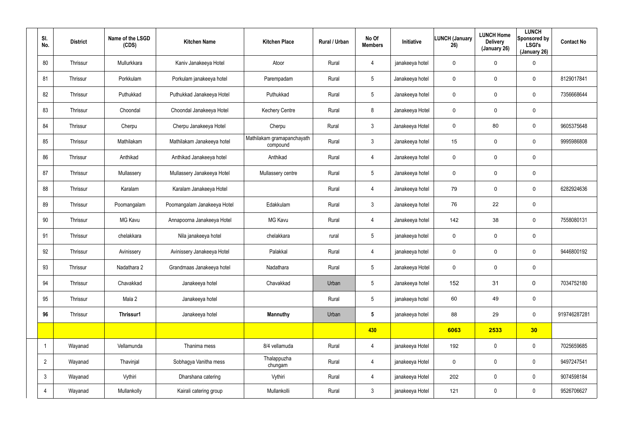| SI.<br>No.     | <b>District</b> | Name of the LSGD<br>(CDS) | <b>Kitchen Name</b>         | <b>Kitchen Place</b>                   | Rural / Urban | No Of<br><b>Members</b> | Initiative      | LUNCH (January<br>26) | <b>LUNCH Home</b><br><b>Delivery</b><br>(January 26) | <b>LUNCH</b><br>Sponsored by<br><b>LSGI's</b><br>(January 26) | <b>Contact No</b> |
|----------------|-----------------|---------------------------|-----------------------------|----------------------------------------|---------------|-------------------------|-----------------|-----------------------|------------------------------------------------------|---------------------------------------------------------------|-------------------|
| 80             | Thrissur        | Mullurkkara               | Kaniv Janakeeya Hotel       | Atoor                                  | Rural         | 4                       | janakeeya hotel | $\mathbf 0$           | 0                                                    | $\mathbf 0$                                                   |                   |
| 81             | Thrissur        | Porkkulam                 | Porkulam janakeeya hotel    | Parempadam                             | Rural         | $5\phantom{.0}$         | Janakeeya hotel | $\mathbf 0$           | 0                                                    | $\mathbf 0$                                                   | 8129017841        |
| 82             | Thrissur        | Puthukkad                 | Puthukkad Janakeeya Hotel   | Puthukkad                              | Rural         | $5\overline{)}$         | Janakeeya hotel | $\mathbf 0$           | 0                                                    | $\mathbf 0$                                                   | 7356668644        |
| 83             | Thrissur        | Choondal                  | Choondal Janakeeya Hotel    | <b>Kechery Centre</b>                  | Rural         | 8                       | Janakeeya Hotel | $\mathbf 0$           | 0                                                    | $\mathbf 0$                                                   |                   |
| 84             | Thrissur        | Cherpu                    | Cherpu Janakeeya Hotel      | Cherpu                                 | Rural         | 3                       | Janakeeya Hotel | $\mathbf 0$           | 80                                                   | $\mathbf 0$                                                   | 9605375648        |
| 85             | Thrissur        | Mathilakam                | Mathilakam Janakeeya hotel  | Mathilakam gramapanchayath<br>compound | Rural         | 3                       | Janakeeya hotel | 15                    | 0                                                    | $\mathbf 0$                                                   | 9995986808        |
| 86             | Thrissur        | Anthikad                  | Anthikad Janakeeya hotel    | Anthikad                               | Rural         | 4                       | Janakeeya hotel | $\mathbf 0$           | 0                                                    | $\mathbf 0$                                                   |                   |
| 87             | Thrissur        | Mullassery                | Mullassery Janakeeya Hotel  | Mullassery centre                      | Rural         | 5                       | Janakeeya hotel | $\mathbf 0$           | 0                                                    | $\mathbf 0$                                                   |                   |
| 88             | Thrissur        | Karalam                   | Karalam Janakeeya Hotel     |                                        | Rural         | 4                       | Janakeeya hotel | 79                    | 0                                                    | 0                                                             | 6282924636        |
| 89             | Thrissur        | Poomangalam               | Poomangalam Janakeeya Hotel | Edakkulam                              | Rural         | 3                       | Janakeeya hotel | 76                    | 22                                                   | $\mathbf 0$                                                   |                   |
| 90             | Thrissur        | MG Kavu                   | Annapoorna Janakeeya Hotel  | <b>MG Kavu</b>                         | Rural         | 4                       | Janakeeya hotel | 142                   | 38                                                   | $\mathbf 0$                                                   | 7558080131        |
| 91             | Thrissur        | chelakkara                | Nila janakeeya hotel        | chelakkara                             | rural         | 5                       | janakeeya hotel | $\mathbf 0$           | 0                                                    | $\mathbf 0$                                                   |                   |
| 92             | Thrissur        | Avinissery                | Avinissery Janakeeya Hotel  | Palakkal                               | Rural         | 4                       | janakeeya hotel | $\mathbf 0$           | 0                                                    | 0                                                             | 9446800192        |
| 93             | Thrissur        | Nadathara 2               | Grandmaas Janakeeya hotel   | Nadathara                              | Rural         | 5                       | Janakeeya Hotel | 0                     | $\pmb{0}$                                            | $\pmb{0}$                                                     |                   |
| 94             | Thrissur        | Chavakkad                 | Janakeeya hotel             | Chavakkad                              | Urban         | $5\overline{)}$         | Janakeeya hotel | 152                   | 31                                                   | $\mathbf 0$                                                   | 7034752180        |
| 95             | Thrissur        | Mala 2                    | Janakeeya hotel             |                                        | Rural         | $5\overline{)}$         | janakeeya hotel | 60                    | 49                                                   | $\mathbf 0$                                                   |                   |
| 96             | Thrissur        | Thrissur1                 | Janakeeya hotel             | <b>Mannuthy</b>                        | Urban         | $5\phantom{.0}$         | janakeeya hotel | 88                    | 29                                                   | $\mathbf 0$                                                   | 919746287281      |
|                |                 |                           |                             |                                        |               | 430                     |                 | 6063                  | 2533                                                 | 30                                                            |                   |
|                | Wayanad         | Vellamunda                | Thanima mess                | 8/4 vellamuda                          | Rural         | 4                       | janakeeya Hotel | 192                   | $\mathbf 0$                                          | $\mathbf 0$                                                   | 7025659685        |
| $\overline{2}$ | Wayanad         | Thavinjal                 | Sobhagya Vanitha mess       | Thalappuzha<br>chungam                 | Rural         | 4                       | janakeeya Hotel | 0                     | $\mathbf 0$                                          | $\mathsf{0}$                                                  | 9497247541        |
| $\mathbf{3}$   | Wayanad         | Vythiri                   | Dharshana catering          | Vythiri                                | Rural         | 4                       | janakeeya Hotel | 202                   | $\mathbf 0$                                          | $\mathbf 0$                                                   | 9074598184        |
| $\overline{4}$ | Wayanad         | Mullankolly               | Kairali catering group      | Mullankolli                            | Rural         | $\mathfrak{Z}$          | janakeeya Hotel | 121                   | 0                                                    | $\mathsf{0}$                                                  | 9526706627        |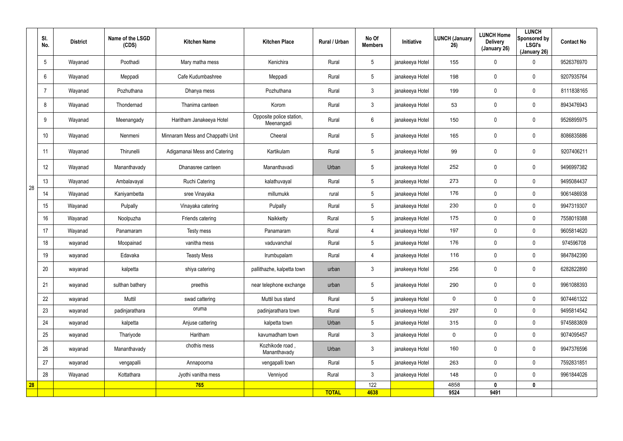|    | $^{\circ}$ SI.<br>No. | <b>District</b> | Name of the LSGD<br>(CDS) | <b>Kitchen Name</b>              | <b>Kitchen Place</b>                   | Rural / Urban | No Of<br><b>Members</b> | Initiative      | LUNCH (January<br>26) | <b>LUNCH Home</b><br><b>Delivery</b><br>(January 26) | <b>LUNCH</b><br>Sponsored by<br><b>LSGI's</b><br>(January 26) | <b>Contact No</b> |
|----|-----------------------|-----------------|---------------------------|----------------------------------|----------------------------------------|---------------|-------------------------|-----------------|-----------------------|------------------------------------------------------|---------------------------------------------------------------|-------------------|
|    | $5\overline{)}$       | Wayanad         | Poothadi                  | Mary matha mess                  | Kenichira                              | Rural         | $5\phantom{.0}$         | janakeeya Hotel | 155                   | 0                                                    | $\mathbf 0$                                                   | 9526376970        |
|    | 6                     | Wayanad         | Meppadi                   | Cafe Kudumbashree                | Meppadi                                | Rural         | $5\phantom{.0}$         | janakeeya Hotel | 198                   | 0                                                    | $\mathbf 0$                                                   | 9207935764        |
|    | 7                     | Wayanad         | Pozhuthana                | Dhanya mess                      | Pozhuthana                             | Rural         | $\mathbf{3}$            | janakeeya Hotel | 199                   | 0                                                    | $\mathbf 0$                                                   | 8111838165        |
|    | 8                     | Wayanad         | Thondernad                | Thanima canteen                  | Korom                                  | Rural         | $\mathbf{3}$            | janakeeya Hotel | 53                    | 0                                                    | $\mathbf 0$                                                   | 8943476943        |
|    | 9                     | Wayanad         | Meenangady                | Haritham Janakeeya Hotel         | Opposite police station,<br>Meenangadi | Rural         | 6                       | janakeeya Hotel | 150                   | 0                                                    | $\mathbf 0$                                                   | 9526895975        |
|    | 10                    | Wayanad         | Nenmeni                   | Minnaram Mess and Chappathi Unit | Cheeral                                | Rural         | $5\phantom{.0}$         | janakeeya Hotel | 165                   | 0                                                    | $\mathbf 0$                                                   | 8086835886        |
|    | 11                    | Wayanad         | Thirunelli                | Adigamanai Mess and Catering     | Kartikulam                             | Rural         | $5\phantom{.0}$         | janakeeya Hotel | 99                    | 0                                                    | $\mathbf 0$                                                   | 9207406211        |
|    | 12                    | Wayanad         | Mananthavady              | Dhanasree canteen                | Mananthavadi                           | Urban         | $5\phantom{.0}$         | janakeeya Hotel | 252                   | 0                                                    | $\mathbf 0$                                                   | 9496997382        |
|    | 13                    | Wayanad         | Ambalavayal               | <b>Ruchi Catering</b>            | kalathuvayal                           | Rural         | $5\phantom{.0}$         | janakeeya Hotel | 273                   | 0                                                    | $\mathbf 0$                                                   | 9495084437        |
| 28 | 14                    | Wayanad         | Kaniyambetta              | sree Vinayaka                    | millumukk                              | rural         | $5\phantom{.0}$         | janakeeya Hotel | 176                   | 0                                                    | $\mathbf 0$                                                   | 9061486938        |
|    | 15                    | Wayanad         | Pulpally                  | Vinayaka catering                | Pulpally                               | Rural         | $5\phantom{.0}$         | janakeeya Hotel | 230                   | 0                                                    | $\mathbf 0$                                                   | 9947319307        |
|    | 16                    | Wayanad         | Noolpuzha                 | Friends catering                 | Naikketty                              | Rural         | $5\phantom{.0}$         | janakeeya Hotel | 175                   | 0                                                    | $\mathbf 0$                                                   | 7558019388        |
|    | 17                    | Wayanad         | Panamaram                 | Testy mess                       | Panamaram                              | Rural         | $\overline{4}$          | janakeeya Hotel | 197                   | 0                                                    | $\mathbf 0$                                                   | 9605814620        |
|    | 18                    | wayanad         | Moopainad                 | vanitha mess                     | vaduvanchal                            | Rural         | $5\phantom{.0}$         | janakeeya Hotel | 176                   | 0                                                    | $\mathbf 0$                                                   | 974596708         |
|    | 19                    | wayanad         | Edavaka                   | <b>Teasty Mess</b>               | Irumbupalam                            | Rural         | 4                       | janakeeya Hotel | 116                   | 0                                                    | $\mathbf 0$                                                   | 9847842390        |
|    | 20                    | wayanad         | kalpetta                  | shiya catering                   | pallithazhe, kalpetta town             | urban         | $\mathbf{3}$            | janakeeya Hotel | 256                   | 0                                                    | $\pmb{0}$                                                     | 6282822890        |
|    | 21                    | wayanad         | sulthan bathery           | preethis                         | near telephone exchange                | urban         | $5\phantom{.0}$         | janakeeya Hotel | 290                   | 0                                                    | $\mathbf 0$                                                   | 9961088393        |
|    | 22                    | wayanad         | Muttil                    | swad cattering                   | Muttil bus stand                       | Rural         | 5 <sup>5</sup>          | janakeeya Hotel | 0                     | 0                                                    | $\mathbf 0$                                                   | 9074461322        |
|    | 23                    | wayanad         | padinjarathara            | oruma                            | padinjarathara town                    | Rural         | $5\phantom{.0}$         | janakeeya Hotel | 297                   | 0                                                    | $\mathbf 0$                                                   | 9495814542        |
|    | 24                    | wayanad         | kalpetta                  | Anjuse cattering                 | kalpetta town                          | Urban         | $5\phantom{.0}$         | janakeeya Hotel | 315                   | 0                                                    | $\mathbf 0$                                                   | 9745883809        |
|    | 25                    | wayanad         | Thariyode                 | Haritham                         | kavumadham town                        | Rural         | 3 <sup>1</sup>          | janakeeya Hotel | $\mathbf 0$           | 0                                                    | $\mathbf 0$                                                   | 9074095457        |
|    | 26                    | wayanad         | Mananthavady              | chothis mess                     | Kozhikode road,<br>Mananthavady        | Urban         | 3 <sup>1</sup>          | janakeeya Hotel | 160                   | 0                                                    | $\mathbf 0$                                                   | 9947376596        |
|    | 27                    | wayanad         | vengapalli                | Annapoorna                       | vengapalli town                        | Rural         | $5\phantom{.0}$         | janakeeya Hotel | 263                   | 0                                                    | $\pmb{0}$                                                     | 7592831851        |
|    | 28                    | Wayanad         | Kottathara                | Jyothi vanitha mess              | Venniyod                               | Rural         | $\mathfrak{Z}$          | janakeeya Hotel | 148                   | 0                                                    | $\pmb{0}$                                                     | 9961844026        |
| 28 |                       |                 |                           | 765                              |                                        |               | 122                     |                 | 4858                  | 0                                                    | $\mathbf 0$                                                   |                   |
|    |                       |                 |                           |                                  |                                        | <b>TOTAL</b>  | 4638                    |                 | 9524                  | 9491                                                 |                                                               |                   |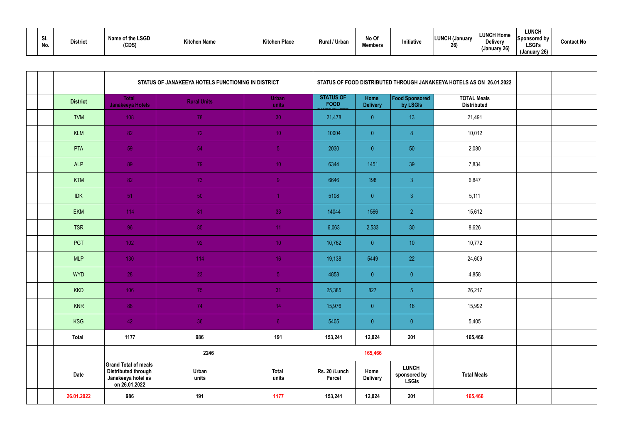| vı.<br>No. |  | <b>District</b> | Name of the LSGD<br>(CDS) | <b>Kitchen Name</b> | Kitchen Place | <b>Rural / Urbar</b> | No Of<br><b>Members</b> | nitiative | <b>LUNCH (January</b><br>26) | <b>LUNCH Home</b><br><b>Delivery</b><br>(January 26) | <b>LUNCH</b><br>Sponsored by<br><b>LSGI's</b><br>(January 26) | <b>Contact No</b> |
|------------|--|-----------------|---------------------------|---------------------|---------------|----------------------|-------------------------|-----------|------------------------------|------------------------------------------------------|---------------------------------------------------------------|-------------------|
|------------|--|-----------------|---------------------------|---------------------|---------------|----------------------|-------------------------|-----------|------------------------------|------------------------------------------------------|---------------------------------------------------------------|-------------------|

|  |                 |                                                                                                  | STATUS OF JANAKEEYA HOTELS FUNCTIONING IN DISTRICT |                       | STATUS OF FOOD DISTRIBUTED THROUGH JANAKEEYA HOTELS AS ON 26.01.2022 |                         |                                              |                                          |  |
|--|-----------------|--------------------------------------------------------------------------------------------------|----------------------------------------------------|-----------------------|----------------------------------------------------------------------|-------------------------|----------------------------------------------|------------------------------------------|--|
|  | <b>District</b> | <b>Total</b><br>Janakeeya Hotels                                                                 | <b>Rural Units</b>                                 | <b>Urban</b><br>units | <b>STATUS OF</b><br><b>FOOD</b>                                      | Home<br><b>Delivery</b> | Food Sponsored<br>by LSGIs                   | <b>TOTAL Meals</b><br><b>Distributed</b> |  |
|  | <b>TVM</b>      | 108                                                                                              | 78                                                 | 30 <sub>1</sub>       | 21,478                                                               | $\overline{0}$          | 13                                           | 21,491                                   |  |
|  | KLM             | 82                                                                                               | 72                                                 | 10 <sub>1</sub>       | 10004                                                                | $\overline{0}$          | 8 <sub>1</sub>                               | 10,012                                   |  |
|  | PTA             | 59                                                                                               | 54                                                 | 5 <sup>1</sup>        | 2030                                                                 | $\overline{0}$          | 50                                           | 2,080                                    |  |
|  | <b>ALP</b>      | 89                                                                                               | 79                                                 | 10 <sub>1</sub>       | 6344                                                                 | 1451                    | 39                                           | 7,834                                    |  |
|  | <b>KTM</b>      | 82                                                                                               | 73                                                 | 9 <sup>°</sup>        | 6646                                                                 | 198                     | $\mathbf{3}$                                 | 6,847                                    |  |
|  | <b>IDK</b>      | $-51$                                                                                            | 50                                                 |                       | 5108                                                                 | $\overline{0}$          | $\mathbf{3}$                                 | 5,111                                    |  |
|  | <b>EKM</b>      | 114                                                                                              | 81                                                 | 33                    | 14044                                                                | 1566                    | $\overline{2}$                               | 15,612                                   |  |
|  | <b>TSR</b>      | 96                                                                                               | 85                                                 | 11 <sub>1</sub>       | 6,063                                                                | 2,533                   | 30                                           | 8,626                                    |  |
|  | PGT             | $1021$                                                                                           | 92 <sup>°</sup>                                    | 10 <sup>°</sup>       | 10,762                                                               | $\overline{0}$          | 10                                           | 10,772                                   |  |
|  | <b>MLP</b>      | 130                                                                                              | 114                                                | 16 <sup>°</sup>       | 19,138                                                               | 5449                    | 22                                           | 24,609                                   |  |
|  | <b>WYD</b>      | 28                                                                                               | 23                                                 | 5 <sub>1</sub>        | 4858                                                                 | $\overline{0}$          | $\overline{0}$                               | 4,858                                    |  |
|  | <b>KKD</b>      | 106                                                                                              | 75                                                 | 31                    | 25,385                                                               | 827                     | 5 <sup>1</sup>                               | 26,217                                   |  |
|  | KNR             | 88                                                                                               | 74                                                 | 14                    | 15,976                                                               | $\overline{0}$          | 16                                           | 15,992                                   |  |
|  | <b>KSG</b>      | 42                                                                                               | 36                                                 | 6 <sup>1</sup>        | 5405                                                                 | $\overline{0}$          | $\overline{0}$                               | 5,405                                    |  |
|  | <b>Total</b>    | 1177                                                                                             | 986                                                | 191                   | 153,241                                                              | 12,024                  | 201                                          | 165,466                                  |  |
|  |                 |                                                                                                  | 2246                                               |                       |                                                                      | 165,466                 |                                              |                                          |  |
|  | <b>Date</b>     | <b>Grand Total of meals</b><br><b>Distributed through</b><br>Janakeeya hotel as<br>on 26.01.2022 | Urban<br>units                                     | <b>Total</b><br>units | Rs. 20 /Lunch<br><b>Parcel</b>                                       | Home<br><b>Delivery</b> | <b>LUNCH</b><br>sponsored by<br><b>LSGIs</b> | <b>Total Meals</b>                       |  |
|  | 26.01.2022      | 986                                                                                              | 191                                                | 1177                  | 153,241                                                              | 12,024                  | 201                                          | 165,466                                  |  |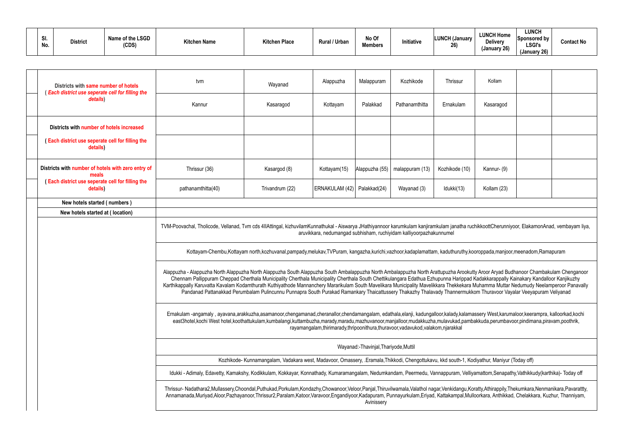| Districts with same number of hotels<br>(Each district use seperate cell for filling the | tvm                                                                                                                                                                                                                                                                                                                                                                                                                                                                                                                                                                    | Wayanad                                                                                                                                                                                                                                                                                                                                                                                                                                                        | Alappuzha                     | Malappuram     | Kozhikode                                                           | Thrissur       | Kollam      |  |  |
|------------------------------------------------------------------------------------------|------------------------------------------------------------------------------------------------------------------------------------------------------------------------------------------------------------------------------------------------------------------------------------------------------------------------------------------------------------------------------------------------------------------------------------------------------------------------------------------------------------------------------------------------------------------------|----------------------------------------------------------------------------------------------------------------------------------------------------------------------------------------------------------------------------------------------------------------------------------------------------------------------------------------------------------------------------------------------------------------------------------------------------------------|-------------------------------|----------------|---------------------------------------------------------------------|----------------|-------------|--|--|
| details)                                                                                 | Kannur                                                                                                                                                                                                                                                                                                                                                                                                                                                                                                                                                                 | Kasaragod                                                                                                                                                                                                                                                                                                                                                                                                                                                      | Kottayam                      | Palakkad       | Pathanamthitta                                                      | Ernakulam      | Kasaragod   |  |  |
| Districts with number of hotels increased                                                |                                                                                                                                                                                                                                                                                                                                                                                                                                                                                                                                                                        |                                                                                                                                                                                                                                                                                                                                                                                                                                                                |                               |                |                                                                     |                |             |  |  |
| (Each district use seperate cell for filling the<br>details)                             |                                                                                                                                                                                                                                                                                                                                                                                                                                                                                                                                                                        |                                                                                                                                                                                                                                                                                                                                                                                                                                                                |                               |                |                                                                     |                |             |  |  |
| Districts with number of hotels with zero entry of<br>meals                              | Thrissur (36)                                                                                                                                                                                                                                                                                                                                                                                                                                                                                                                                                          | Kasargod (8)                                                                                                                                                                                                                                                                                                                                                                                                                                                   | Kottayam(15)                  | Alappuzha (55) | malappuram (13)                                                     | Kozhikode (10) | Kannur- (9) |  |  |
| (Each district use seperate cell for filling the<br>details)                             | pathanamthitta(40)                                                                                                                                                                                                                                                                                                                                                                                                                                                                                                                                                     | Trivandrum (22)                                                                                                                                                                                                                                                                                                                                                                                                                                                | ERNAKULAM (42)   Palakkad(24) |                | Wayanad (3)                                                         | Idukki(13)     | Kollam (23) |  |  |
| New hotels started (numbers)                                                             |                                                                                                                                                                                                                                                                                                                                                                                                                                                                                                                                                                        |                                                                                                                                                                                                                                                                                                                                                                                                                                                                |                               |                |                                                                     |                |             |  |  |
| New hotels started at (location)                                                         |                                                                                                                                                                                                                                                                                                                                                                                                                                                                                                                                                                        |                                                                                                                                                                                                                                                                                                                                                                                                                                                                |                               |                |                                                                     |                |             |  |  |
|                                                                                          | TVM-Poovachal, Tholicode, Vellanad, Tvm cds 4IIAttingal, kizhuvilamKunnathukal - Aiswarya JHathiyannoor karumkulam kanjiramkulam janatha ruchikkoottCherunniyoor, ElakamonAnad, vembayam liya,                                                                                                                                                                                                                                                                                                                                                                         |                                                                                                                                                                                                                                                                                                                                                                                                                                                                |                               |                | aruvikkara, nedumangad subhisham, ruchiyidam kalliyoorpazhakunnumel |                |             |  |  |
|                                                                                          |                                                                                                                                                                                                                                                                                                                                                                                                                                                                                                                                                                        | Kottayam-Chembu,Kottayam north,kozhuvanal,pampady,melukav,TVPuram, kangazha,kurichi,vazhoor,kadaplamattam, kaduthuruthy,kooroppada,manjoor,meenadom,Ramapuram                                                                                                                                                                                                                                                                                                  |                               |                |                                                                     |                |             |  |  |
|                                                                                          | Alappuzha - Alappuzha North Alappuzha North Alappuzha South Alappuzha South Ambalappuzha North Ambalappuzha North Arattupuzha Arookutty Aroor Aryad Budhanoor Chambakulam Chenganoor<br>Chennam Pallippuram Cheppad Cherthala Municipality Cherthala Municipality Cherthala South Chettikulangara Edathua Ezhupunna Harippad Kadakkarappally Kainakary Kandalloor Kanjikuzhy<br>Karthikappally Karuvatta Kavalam Kodamthurath Kuthiyathode Mannanchery Mararikulam South Mavelikara Municipality Mavelikkara Thekkekara Muhamma Muttar Nedumudy Neelamperoor Panavally | Pandanad Pattanakkad Perumbalam Pulincunnu Punnapra South Purakad Ramankary Thaicattussery Thakazhy Thalavady Thannermukkom Thuravoor Vayalar Veeyapuram Veliyanad                                                                                                                                                                                                                                                                                             |                               |                |                                                                     |                |             |  |  |
|                                                                                          |                                                                                                                                                                                                                                                                                                                                                                                                                                                                                                                                                                        | Ernakulam -angamaly, ayavana,arakkuzha,asamanoor,chengamanad,cheranallor,chendamangalam, edathala,elanji, kadungalloor,kalady,kalamassery West,karumaloor,keerampra, kalloorkad,kochi<br>east3hotel,kochi West hotel,koothattukulam,kumbalangi,kuttambuzha,marady,maradu,mazhuvanoor,manjalloor,mudakkuzha,mulavukad,pambakkuda,perumbavoor,pindimana,piravam,poothrik,<br>rayamangalam, thirimarady, thripoonithura, thuravoor, vadavukod, valakom, njarakkal |                               |                |                                                                     |                |             |  |  |
|                                                                                          | Wayanad:-Thavinjal, Thariyode, Muttil                                                                                                                                                                                                                                                                                                                                                                                                                                                                                                                                  |                                                                                                                                                                                                                                                                                                                                                                                                                                                                |                               |                |                                                                     |                |             |  |  |
|                                                                                          | Kozhikode- Kunnamangalam, Vadakara west, Madavoor, Omassery, .Eramala, Thikkodi, Chengottukavu, kkd south-1, Kodiyathur, Maniyur (Today off)                                                                                                                                                                                                                                                                                                                                                                                                                           |                                                                                                                                                                                                                                                                                                                                                                                                                                                                |                               |                |                                                                     |                |             |  |  |
|                                                                                          | Idukki - Adimaly, Edavetty, Kamakshy, Kodikkulam, Kokkayar, Konnathady, Kumaramangalam, Nedumkandam, Peermedu, Vannappuram, Velliyamattom, Senapathy, Vathikkudy (karthika)- Today off                                                                                                                                                                                                                                                                                                                                                                                 |                                                                                                                                                                                                                                                                                                                                                                                                                                                                |                               |                |                                                                     |                |             |  |  |
|                                                                                          | Thrissur- Nadathara2,Mullassery,Choondal,Puthukad,Porkulam,Kondazhy,Chowanoor,Veloor,Panjal,Thiruvilwamala,Valathol nagar,Venkidangu,Koratty,Athirappily,Thekumkara,Nenmanikara,Pavarattty,<br>Annamanada,Muriyad,Aloor,Pazhayanoor,Thrissur2,Paralam,Katoor,Varavoor,Engandiyoor,Kadapuram, Punnayurkulam,Eriyad, Kattakampal,Mulloorkara, Anthikkad, Chelakkara, Kuzhur, Thanniyam,<br>Avinissery                                                                                                                                                                    |                                                                                                                                                                                                                                                                                                                                                                                                                                                                |                               |                |                                                                     |                |             |  |  |

|                                                                                                                    | Kollam                                                                                                                                                                                                    |  |  |  |  |  |  |  |  |  |
|--------------------------------------------------------------------------------------------------------------------|-----------------------------------------------------------------------------------------------------------------------------------------------------------------------------------------------------------|--|--|--|--|--|--|--|--|--|
|                                                                                                                    | Kasaragod                                                                                                                                                                                                 |  |  |  |  |  |  |  |  |  |
|                                                                                                                    |                                                                                                                                                                                                           |  |  |  |  |  |  |  |  |  |
|                                                                                                                    |                                                                                                                                                                                                           |  |  |  |  |  |  |  |  |  |
|                                                                                                                    | Kannur- (9)                                                                                                                                                                                               |  |  |  |  |  |  |  |  |  |
|                                                                                                                    | Kollam (23)                                                                                                                                                                                               |  |  |  |  |  |  |  |  |  |
|                                                                                                                    |                                                                                                                                                                                                           |  |  |  |  |  |  |  |  |  |
|                                                                                                                    |                                                                                                                                                                                                           |  |  |  |  |  |  |  |  |  |
|                                                                                                                    | uchikkoottCherunniyoor, ElakamonAnad, vembayam liya,                                                                                                                                                      |  |  |  |  |  |  |  |  |  |
|                                                                                                                    | cooroppada,manjoor,meenadom,Ramapuram                                                                                                                                                                     |  |  |  |  |  |  |  |  |  |
|                                                                                                                    | utty Aroor Aryad Budhanoor Chambakulam Chenganoor<br>d Kadakkarappally Kainakary Kandalloor Kanjikuzhy<br>I Muhamma Muttar Nedumudy Neelamperoor Panavally<br>kkom Thuravoor Vayalar Veeyapuram Veliyanad |  |  |  |  |  |  |  |  |  |
|                                                                                                                    | nassery West,karumaloor,keerampra, kalloorkad,kochi<br>bakkuda,perumbavoor,pindimana,piravam,poothrik,                                                                                                    |  |  |  |  |  |  |  |  |  |
|                                                                                                                    |                                                                                                                                                                                                           |  |  |  |  |  |  |  |  |  |
| odiyathur, Maniyur (Today off)                                                                                     |                                                                                                                                                                                                           |  |  |  |  |  |  |  |  |  |
| iyamattom,Senapathy,Vathikkudy(karthika)- Today off                                                                |                                                                                                                                                                                                           |  |  |  |  |  |  |  |  |  |
| Gratty, Athirappily, Thekumkara, Nenmanikara, Pavarattty,<br>ulloorkara, Anthikkad, Chelakkara, Kuzhur, Thanniyam, |                                                                                                                                                                                                           |  |  |  |  |  |  |  |  |  |